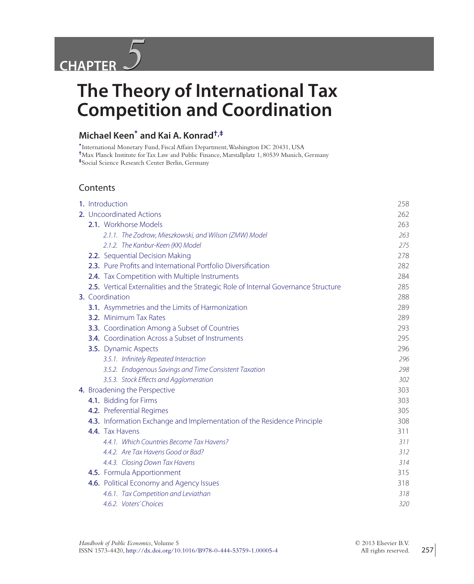

# **The Theory of International Tax Competition and Coordination**

# **Michael Keen[\\*](#page-1-0) and Kai A. Konra[d†,‡](#page-1-0)**

[\\*I](#page-1-0)nternational Monetary Fund, Fiscal Affairs Department,Washington DC 20431, USA

**[†](#page-1-0)**Max Planck Institute for Tax Law and Public Finance, Marstallplatz 1, 80539 Munich, Germany **[‡](#page-1-0)**Social Science Research Center Berlin, Germany

# **Contents**

| 1. Introduction                                                                            | 258 |
|--------------------------------------------------------------------------------------------|-----|
| 2. Uncoordinated Actions                                                                   | 262 |
| 2.1. Workhorse Models                                                                      | 263 |
| 2.1.1. The Zodrow, Mieszkowski, and Wilson (ZMW) Model                                     | 263 |
| 2.1.2. The Kanbur-Keen (KK) Model                                                          | 275 |
| 2.2. Sequential Decision Making                                                            | 278 |
| 2.3. Pure Profits and International Portfolio Diversification                              | 282 |
| 2.4. Tax Competition with Multiple Instruments                                             | 284 |
| <b>2.5.</b> Vertical Externalities and the Strategic Role of Internal Governance Structure | 285 |
| 3. Coordination                                                                            | 288 |
| 3.1. Asymmetries and the Limits of Harmonization                                           | 289 |
| 3.2. Minimum Tax Rates                                                                     | 289 |
| <b>3.3.</b> Coordination Among a Subset of Countries                                       | 293 |
| <b>3.4.</b> Coordination Across a Subset of Instruments                                    | 295 |
| 3.5. Dynamic Aspects                                                                       | 296 |
| 3.5.1. Infinitely Repeated Interaction                                                     | 296 |
| 3.5.2. Endogenous Savings and Time Consistent Taxation                                     | 298 |
| 3.5.3. Stock Effects and Agglomeration                                                     | 302 |
| 4. Broadening the Perspective                                                              | 303 |
| 4.1. Bidding for Firms                                                                     | 303 |
| 4.2. Preferential Regimes                                                                  | 305 |
| 4.3. Information Exchange and Implementation of the Residence Principle                    | 308 |
| 4.4. Tax Havens                                                                            | 311 |
| 4.4.1. Which Countries Become Tax Havens?                                                  | 311 |
| 4.4.2. Are Tax Havens Good or Bad?                                                         | 312 |
| 4.4.3. Closing Down Tax Havens                                                             | 314 |
| 4.5. Formula Apportionment                                                                 | 315 |
| 4.6. Political Economy and Agency Issues                                                   | 318 |
| 4.6.1. Tax Competition and Leviathan                                                       | 318 |
| 4.6.2. Voters' Choices                                                                     | 320 |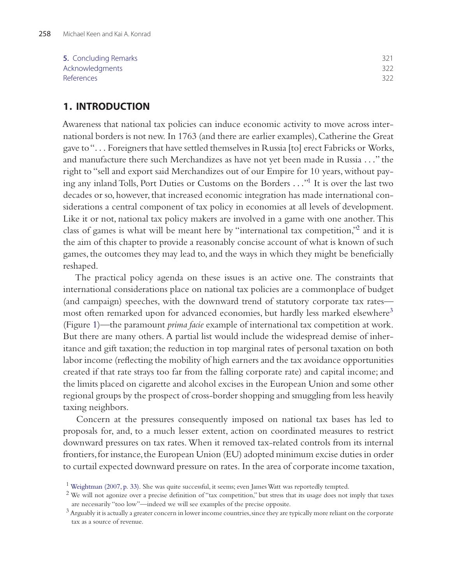| <b>5.</b> Concluding Remarks |     |
|------------------------------|-----|
| Acknowledgments              | 322 |
| References                   | 322 |

## <span id="page-1-1"></span>**1. INTRODUCTION**

Awareness that national tax policies can induce economic activity to move across international borders is not new. In 1763 (and there are earlier examples), Catherine the Great gave to"... Foreigners that have settled themselves in Russia [to] erect Fabricks or Works, and manufacture there such Merchandizes as have not yet been made in Russia ..." the right to "sell and export said Merchandizes out of our Empire for 10 years, without paying any inland Tolls, Port Duties or Customs on the Borders ...["1](#page-1-0) It is over the last two decades or so, however, that increased economic integration has made international considerations a central component of tax policy in economies at all levels of development. Like it or not, national tax policy makers are involved in a game with one another. This class of games is what will be meant here by "international tax competition,["2](#page-1-2) and it is the aim of this chapter to provide a reasonably concise account of what is known of such games, the outcomes they may lead to, and the ways in which they might be beneficially reshaped.

The practical policy agenda on these issues is an active one. The constraints that international considerations place on national tax policies are a commonplace of budget (and campaign) speeches, with the downward trend of statutory corporate tax rates— most often remarked upon for advanced economies, but hardly less marked elsewhere<sup>[3](#page-1-3)</sup> (Figure [1\)](#page-2-0)—the paramount *prima facie* example of international tax competition at work. But there are many others. A partial list would include the widespread demise of inheritance and gift taxation; the reduction in top marginal rates of personal taxation on both labor income (reflecting the mobility of high earners and the tax avoidance opportunities created if that rate strays too far from the falling corporate rate) and capital income; and the limits placed on cigarette and alcohol excises in the European Union and some other regional groups by the prospect of cross-border shopping and smuggling from less heavily taxing neighbors.

Concern at the pressures consequently imposed on national tax bases has led to proposals for, and, to a much lesser extent, action on coordinated measures to restrict downward pressures on tax rates.When it removed tax-related controls from its internal frontiers, for instance, the European Union (EU) adopted minimum excise duties in order to curtail expected downward pressure on rates. In the area of corporate income taxation,

<sup>&</sup>lt;sup>1</sup> [Weightman \(2007, p. 33\).](#page-70-0) She was quite successful, it seems; even James Watt was reportedly tempted.

<span id="page-1-2"></span><span id="page-1-0"></span> $2$  We will not agonize over a precise definition of "tax competition," but stress that its usage does not imply that taxes are necessarily "too low"—indeed we will see examples of the precise opposite.

<span id="page-1-3"></span><sup>&</sup>lt;sup>3</sup> Arguably it is actually a greater concern in lower income countries, since they are typically more reliant on the corporate tax as a source of revenue.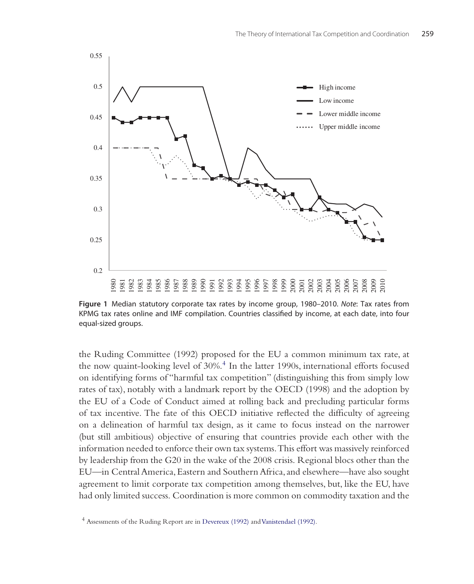

<span id="page-2-0"></span>**Figure 1** Median statutory corporate tax rates by income group, 1980–2010. Note: Tax rates from KPMG tax rates online and IMF compilation. Countries classified by income, at each date, into four equal-sized groups.

the Ruding Committee (1992) proposed for the EU a common minimum tax rate, at the now quaint-looking level of  $30\%$ .<sup>4</sup> In the latter 1990s, international efforts focused on identifying forms of "harmful tax competition" (distinguishing this from simply low rates of tax), notably with a landmark report by the OECD (1998) and the adoption by the EU of a Code of Conduct aimed at rolling back and precluding particular forms of tax incentive. The fate of this OECD initiative reflected the difficulty of agreeing on a delineation of harmful tax design, as it came to focus instead on the narrower (but still ambitious) objective of ensuring that countries provide each other with the information needed to enforce their own tax systems.This effort was massively reinforced by leadership from the G20 in the wake of the 2008 crisis. Regional blocs other than the EU—in Central America, Eastern and Southern Africa, and elsewhere—have also sought agreement to limit corporate tax competition among themselves, but, like the EU, have had only limited success. Coordination is more common on commodity taxation and the

<span id="page-2-1"></span><sup>&</sup>lt;sup>4</sup> Assessments of the Ruding Report are in [Devereux \(1992\)](#page-66-0) and [Vanistendael \(1992\).](#page-70-1)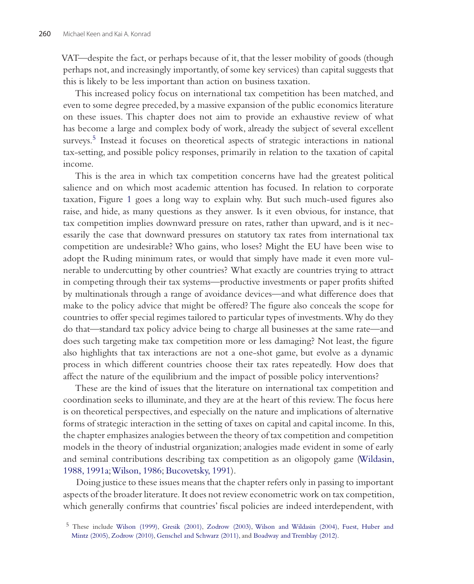VAT—despite the fact, or perhaps because of it, that the lesser mobility of goods (though perhaps not, and increasingly importantly, of some key services) than capital suggests that this is likely to be less important than action on business taxation.

This increased policy focus on international tax competition has been matched, and even to some degree preceded, by a massive expansion of the public economics literature on these issues. This chapter does not aim to provide an exhaustive review of what has become a large and complex body of work, already the subject of several excellent surveys.<sup>[5](#page-3-0)</sup> Instead it focuses on theoretical aspects of strategic interactions in national tax-setting, and possible policy responses, primarily in relation to the taxation of capital income.

This is the area in which tax competition concerns have had the greatest political salience and on which most academic attention has focused. In relation to corporate taxation, Figure [1](#page-2-0) goes a long way to explain why. But such much-used figures also raise, and hide, as many questions as they answer. Is it even obvious, for instance, that tax competition implies downward pressure on rates, rather than upward, and is it necessarily the case that downward pressures on statutory tax rates from international tax competition are undesirable? Who gains, who loses? Might the EU have been wise to adopt the Ruding minimum rates, or would that simply have made it even more vulnerable to undercutting by other countries? What exactly are countries trying to attract in competing through their tax systems—productive investments or paper profits shifted by multinationals through a range of avoidance devices—and what difference does that make to the policy advice that might be offered? The figure also conceals the scope for countries to offer special regimes tailored to particular types of investments.Why do they do that—standard tax policy advice being to charge all businesses at the same rate—and does such targeting make tax competition more or less damaging? Not least, the figure also highlights that tax interactions are not a one-shot game, but evolve as a dynamic process in which different countries choose their tax rates repeatedly. How does that affect the nature of the equilibrium and the impact of possible policy interventions?

These are the kind of issues that the literature on international tax competition and coordination seeks to illuminate, and they are at the heart of this review. The focus here is on theoretical perspectives, and especially on the nature and implications of alternative forms of strategic interaction in the setting of taxes on capital and capital income. In this, the chapter emphasizes analogies between the theory of tax competition and competition models in the theory of industrial organization; analogies made evident in some of early and seminal contributions describing tax competition as an oligopoly game (Wildasin, 1988, 1991a;[Wilson, 1986;](#page-70-2) [Bucovetsky, 1991\)](#page-65-0).

Doing justice to these issues means that the chapter refers only in passing to important aspects of the broader literature. It does not review econometric work on tax competition, which generally confirms that countries' fiscal policies are indeed interdependent, with

<span id="page-3-0"></span><sup>5</sup> These include [Wilson \(1999\),](#page-70-3) [Gresik \(2001\),](#page-67-0) [Zodrow \(2003\),](#page-71-0) [Wilson and Wildasin \(2004\),](#page-70-4) Fuest, Huber and Mintz (2005), [Zodrow \(2010\),](#page-71-1) [Genschel and Schwarz \(2011\),](#page-66-2) [and](#page-66-1) [Boadway and Tremblay \(2012\).](#page-65-1)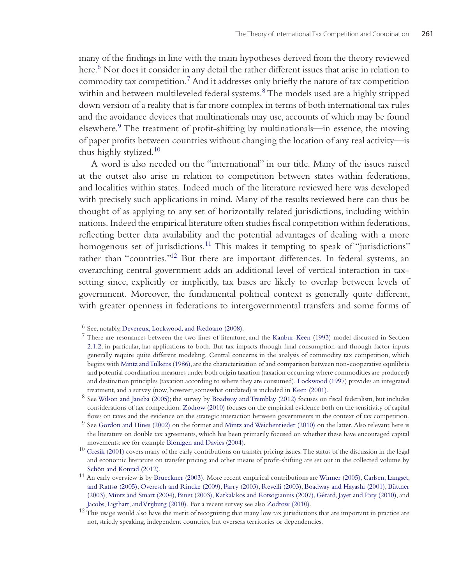many of the findings in line with the main hypotheses derived from the theory reviewed here.<sup>[6](#page-4-0)</sup> Nor does it consider in any detail the rather different issues that arise in relation to commodity tax competition.<sup>7</sup> And it addresses only briefly the nature of tax competition within and between multileveled federal systems.<sup>8</sup> The models used are a highly stripped down version of a reality that is far more complex in terms of both international tax rules and the avoidance devices that multinationals may use, accounts of which may be found elsewhere.<sup>9</sup> The treatment of profit-shifting by multinationals—in essence, the moving of paper profits between countries without changing the location of any real activity—is thus highly stylized. $10$ 

A word is also needed on the "international" in our title. Many of the issues raised at the outset also arise in relation to competition between states within federations, and localities within states. Indeed much of the literature reviewed here was developed with precisely such applications in mind. Many of the results reviewed here can thus be thought of as applying to any set of horizontally related jurisdictions, including within nations. Indeed the empirical literature often studies fiscal competition within federations, reflecting better data availability and the potential advantages of dealing with a more homogenous set of jurisdictions.<sup>11</sup> This makes it tempting to speak of "jurisdictions" rather than "countries."<sup>12</sup> But there are important differences. In federal systems, an overarching central government adds an additional level of vertical interaction in taxsetting since, explicitly or implicitly, tax bases are likely to overlap between levels of government. Moreover, the fundamental political context is generally quite different, with greater openness in federations to intergovernmental transfers and some forms of

<sup>6</sup> See, notably, [Devereux, Lockwood, and Redoano \(2008\).](#page-66-3)

<span id="page-4-1"></span><span id="page-4-0"></span><sup>7</sup> There are resonances between the two lines of literature, and the [Kanbur-Keen \(1993\)](#page-68-0) model discussed in Section [2.1.2,](#page-17-0) in particular, has applications to both. But tax impacts through final consumption and through factor inputs generally require quite different modeling. Central concerns in the analysis of commodity tax competition, which begins with [Mintz andTulkens \(1986\),](#page-69-0) are the characterization of and comparison between non-cooperative equilibria and potential coordination measures under both origin taxation (taxation occurring where commodities are produced) and destination principles (taxation according to where they are consumed). [Lockwood \(1997\)](#page-69-1) provides an integrated treatment, and a survey (now, however, somewhat outdated) is included in [Keen \(2001\).](#page-68-1)

<span id="page-4-2"></span> $8$  See [Wilson and Janeba \(2005\);](#page-70-5) the survey by [Boadway and Tremblay \(2012\)](#page-65-1) focuses on fiscal federalism, but includes considerations of tax competition. [Zodrow \(2010\)](#page-71-1) focuses on the empirical evidence both on the sensitivity of capital flows on taxes and the evidence on the strategic interaction between governments in the context of tax competition.

<span id="page-4-3"></span> $9$  See [Gordon and Hines \(2002\)](#page-67-1) on the former and Mintz and Weichenrieder (2010) on the latter. Also relevant here is the literature on double tax agreements, which has been primarily focused on whether these have encouraged capital movements: see for example [Blonigen and Davies \(2004\).](#page-65-2)

<span id="page-4-4"></span> $10$  [Gresik \(2001\)](#page-67-0) covers many of the early contributions on transfer pricing issues. The status of the discussion in the legal and economic literature on transfer pricing and other means of profit-shifting are set out in the collected volume by [Schön and Konrad \(2012\).](#page-70-6)

<span id="page-4-5"></span><sup>&</sup>lt;sup>11</sup> An early overview is by [Brueckner \(2003\).](#page-65-3) More recent empirical contributions are [Winner \(2005\),](#page-70-7) Carlsen, Langset, and Rattsø (2005), [Overesch and Rincke \(2009\),](#page-69-3) [Parry \(2003\),](#page-69-4) [Revelli \(2003\),](#page-70-8) [Boadway and Hayashi \(2001\),](#page-65-4) Büttner (2003), [Mintz and Smart \(2004\),](#page-69-5) [Binet \(2003\),](#page-65-5)[Karkalakos and Kotsogiannis \(2007\),](#page-68-2) [Gérard, Jayet and Paty \(2010\),](#page-67-2) and [Jacobs, Ligthart, andVrijburg \(2010\).](#page-67-3) For a recent survey see also [Zodrow \(2010\).](#page-71-1)

<span id="page-4-6"></span><sup>&</sup>lt;sup>12</sup> This usage would also have the merit of recognizing that many low tax jurisdictions that are important in practice are not, strictly speaking, independent countries, but overseas territories or dependencies.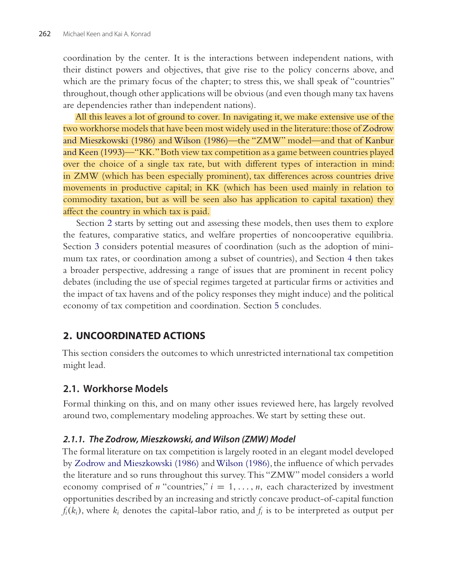coordination by the center. It is the interactions between independent nations, with their distinct powers and objectives, that give rise to the policy concerns above, and which are the primary focus of the chapter; to stress this, we shall speak of "countries" throughout, though other applications will be obvious (and even though many tax havens are dependencies rather than independent nations).

All this leaves a lot of ground to cover. In navigating it, we make extensive use of the two workhorse models that have been most widely used in the literature:those of Zodrow and Mieszkowski (1986) and [Wilson \(1986\)—](#page-70-2)[the](#page-71-2) ["ZMW"](#page-71-2) [model—and](#page-71-2) [that](#page-71-2) [of](#page-71-2) Kanbur and Keen (1993)[—"KK."Both](#page-68-0) [view](#page-68-0) [tax](#page-68-0) [competition](#page-68-0) [as](#page-68-0) [a](#page-68-0) [game](#page-68-0) [between](#page-68-0) [countrie](#page-68-0)s played over the choice of a single tax rate, but with different types of interaction in mind: in ZMW (which has been especially prominent), tax differences across countries drive movements in productive capital; in KK (which has been used mainly in relation to commodity taxation, but as will be seen also has application to capital taxation) they affect the country in which tax is paid.

Section [2](#page-5-0) starts by setting out and assessing these models, then uses them to explore the features, comparative statics, and welfare properties of noncooperative equilibria. Section [3](#page-30-0) considers potential measures of coordination (such as the adoption of minimum tax rates, or coordination among a subset of countries), and Section [4](#page-45-0) then takes a broader perspective, addressing a range of issues that are prominent in recent policy debates (including the use of special regimes targeted at particular firms or activities and the impact of tax havens and of the policy responses they might induce) and the political economy of tax competition and coordination. Section [5](#page-63-0) concludes.

# <span id="page-5-0"></span>**2. UNCOORDINATED ACTIONS**

This section considers the outcomes to which unrestricted international tax competition might lead.

# <span id="page-5-1"></span>**2.1. Workhorse Models**

Formal thinking on this, and on many other issues reviewed here, has largely revolved around two, complementary modeling approaches.We start by setting these out.

# <span id="page-5-2"></span>**2.1.1. The Zodrow, Mieszkowski, and Wilson (ZMW) Model**

The formal literature on tax competition is largely rooted in an elegant model developed by [Zodrow and Mieszkowski \(1986\)](#page-71-2) and [Wilson \(1986\),](#page-70-2) the influence of which pervades the literature and so runs throughout this survey. This "ZMW" model considers a world economy comprised of *n* "countries,"  $i = 1, \ldots, n$ , each characterized by investment opportunities described by an increasing and strictly concave product-of-capital function  $f_i(k_i)$ , where  $k_i$  denotes the capital-labor ratio, and  $f_i$  is to be interpreted as output per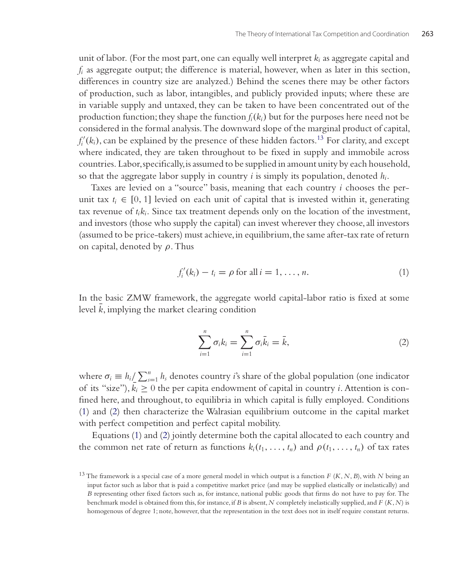unit of labor. (For the most part, one can equally well interpret  $k_i$  as aggregate capital and *fi* as aggregate output; the difference is material, however, when as later in this section, differences in country size are analyzed.) Behind the scenes there may be other factors of production, such as labor, intangibles, and publicly provided inputs; where these are in variable supply and untaxed, they can be taken to have been concentrated out of the production function; they shape the function  $f_i(k_i)$  but for the purposes here need not be considered in the formal analysis.The downward slope of the marginal product of capital,  $f^\prime_i(k_i)$ , can be explained by the presence of these hidden factors.<sup>13</sup> For clarity, and except where indicated, they are taken throughout to be fixed in supply and immobile across countries. Labor,specifically,is assumed to be supplied in amount unity by each household, so that the aggregate labor supply in country  $i$  is simply its population, denoted  $h_i$ .

Taxes are levied on a "source" basis, meaning that each country *i* chooses the perunit tax  $t_i \in [0, 1]$  levied on each unit of capital that is invested within it, generating tax revenue of  $t_i k_i$ . Since tax treatment depends only on the location of the investment, and investors (those who supply the capital) can invest wherever they choose, all investors (assumed to be price-takers) must achieve, in equilibrium, the same after-tax rate of return on capital, denoted by  $\rho$ . Thus

<span id="page-6-1"></span>
$$
f'_{i}(k_{i}) - t_{i} = \rho \text{ for all } i = 1, \ldots, n.
$$
 (1)

In the basic ZMW framework, the aggregate world capital-labor ratio is fixed at some level  $\overline{k}$ , implying the market clearing condition

<span id="page-6-2"></span>
$$
\sum_{i=1}^{n} \sigma_i k_i = \sum_{i=1}^{n} \sigma_i \overline{k}_i = \overline{k}, \qquad (2)
$$

where  $\sigma_i \equiv h_i / \sum_{s=1}^n h_s$  denotes country *i*'s share of the global population (one indicator of its "size"),  $k_i \geq 0$  the per capita endowment of capital in country *i*. Attention is confined here, and throughout, to equilibria in which capital is fully employed. Conditions [\(1\)](#page-6-1) and [\(2\)](#page-6-2) then characterize the Walrasian equilibrium outcome in the capital market with perfect competition and perfect capital mobility.

Equations [\(1\)](#page-6-1) and [\(2\)](#page-6-2) jointly determine both the capital allocated to each country and the common net rate of return as functions  $k_i(t_1, \ldots, t_n)$  and  $\rho(t_1, \ldots, t_n)$  of tax rates

<span id="page-6-0"></span><sup>13</sup> The framework is a special case of a more general model in which output is a function *F* (*K*, *N*, *B*), with *N* being an input factor such as labor that is paid a competitive market price (and may be supplied elastically or inelastically) and *B* representing other fixed factors such as, for instance, national public goods that firms do not have to pay for. The benchmark model is obtained from this,for instance, if *B* is absent,*N* completely inelastically supplied, and *F* (*K*,*N*) is homogenous of degree 1; note, however, that the representation in the text does not in itself require constant returns.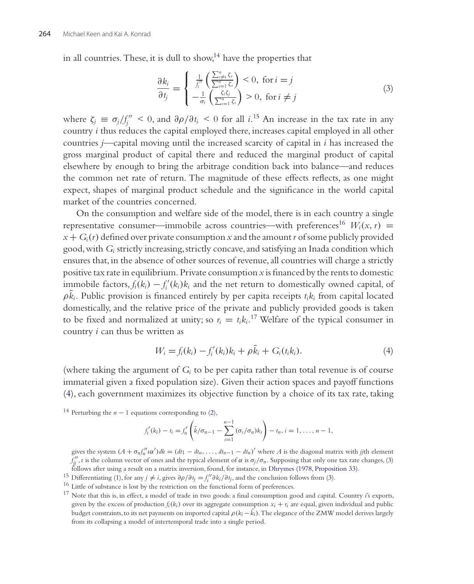in all countries. These, it is dull to show, $14$  have the properties that

<span id="page-7-5"></span>
$$
\frac{\partial k_i}{\partial t_j} = \begin{cases} \frac{1}{f_i''} \left( \frac{\sum_{s=1}^n \zeta_s}{\sum_{s=1}^n \zeta_s} \right) < 0, \text{ for } i = j\\ -\frac{1}{\sigma_i} \left( \frac{\zeta_i \zeta_j}{\sum_{s=1}^n \zeta_s} \right) > 0, \text{ for } i \neq j \end{cases} \tag{3}
$$

where  $\zeta_j \equiv \sigma_j / f_j'' < 0$ , and  $\partial \rho / \partial t_i < 0$  for all *i*.<sup>[15](#page-7-1)</sup> An increase in the tax rate in any country *i* thus reduces the capital employed there, increases capital employed in all other countries *j*—capital moving until the increased scarcity of capital in *i* has increased the gross marginal product of capital there and reduced the marginal product of capital elsewhere by enough to bring the arbitrage condition back into balance—and reduces the common net rate of return. The magnitude of these effects reflects, as one might expect, shapes of marginal product schedule and the significance in the world capital market of the countries concerned.

On the consumption and welfare side of the model, there is in each country a single representative consumer—immobile across countries—with preferences<sup>[16](#page-7-2)</sup>  $W_i(x, r)$  =  $x + G_i(r)$  defined over private consumption *x* and the amount *r* of some publicly provided good,with *Gi* strictly increasing, strictly concave, and satisfying an Inada condition which ensures that, in the absence of other sources of revenue, all countries will charge a strictly positive tax rate in equilibrium. Private consumption *x* is financed by the rents to domestic immobile factors,  $f_i(k_i) - f'_i(k_i)k_i$  and the net return to domestically owned capital, of  $\rho k_i$ . Public provision is financed entirely by per capita receipts  $t_i k_i$  from capital located domestically, and the relative price of the private and publicly provided goods is taken to be fixed and normalized at unity; so  $r_i = t_i k_i$ .<sup>[17](#page-7-3)</sup> Welfare of the typical consumer in country *i* can thus be written as

<span id="page-7-4"></span>
$$
W_i = f_i(k_i) - f'_i(k_i)k_i + \rho k_i + G_i(t_i k_i).
$$
\n(4)

(where taking the argument of  $G_i$  to be per capita rather than total revenue is of course immaterial given a fixed population size). Given their action spaces and payoff functions [\(4\)](#page-7-4), each government maximizes its objective function by a choice of its tax rate, taking

<span id="page-7-0"></span><sup>14</sup> Perturbing the  $n - 1$  equations corresponding to [\(2\)](#page-6-2),

$$
f'_{i}(k_{i})-t_{i}=f'_{n}\left(\bar{k}/\sigma_{n-1}-\sum_{s=1}^{n-1}(\sigma_{s}/\sigma_{n})k_{s}\right)-t_{n}, i=1,\ldots,n-1,
$$

gives the system  $(A + \sigma_n f''_n \omega')dk = (dt_1 - dt_n, \ldots, dt_{n-1} - dt_n)'$  where *A* is the diagonal matrix with *jj*th element  $f''_{jj}$ , ι is the column vector of ones and the typical element of α is  $\sigma_j/\sigma_n$ . Supposing that only one tax rate changes, [\(3\)](#page-7-5) follows after using a result on a matrix inversion, found, for instance, in [Dhrymes \(1978, Proposition 33\).](#page-66-4)

<sup>15</sup> Differentiating [\(1\)](#page-6-1), for any  $j \neq i$ , gives  $\partial \rho / \partial t_j = f_i'' \partial k_i / \partial t_j$ , and the conclusion follows from [\(3\)](#page-7-5).<br><sup>16</sup> Little of substance is lost by the restriction on the functional form of preferences.

<span id="page-7-3"></span><span id="page-7-2"></span><span id="page-7-1"></span>

<sup>17</sup> Note that this is, in effect, a model of trade in two goods: a final consumption good and capital. Country *i*'s exports, given by the excess of production  $f_i(k_i)$  over its aggregate consumption  $x_i + r_i$  are equal, given individual and public budget constraints, to its net payments on imported capital  $\rho(k_i - \bar{k}_i)$ . The elegance of the ZMW model derives largely from its collapsing a model of intertemporal trade into a single period.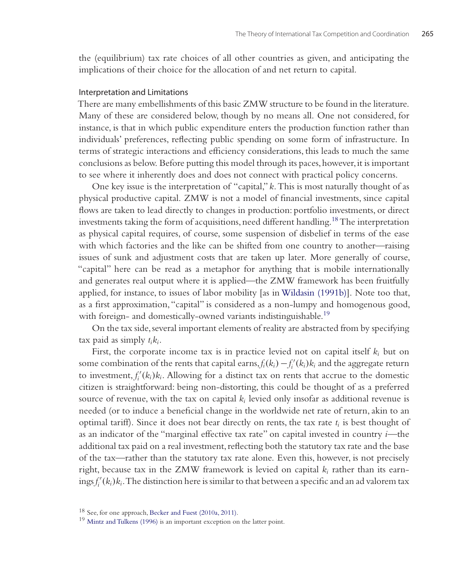the (equilibrium) tax rate choices of all other countries as given, and anticipating the implications of their choice for the allocation of and net return to capital.

#### Interpretation and Limitations

There are many embellishments of this basic ZMW structure to be found in the literature. Many of these are considered below, though by no means all. One not considered, for instance, is that in which public expenditure enters the production function rather than individuals' preferences, reflecting public spending on some form of infrastructure. In terms of strategic interactions and efficiency considerations, this leads to much the same conclusions as below. Before putting this model through its paces, however, it is important to see where it inherently does and does not connect with practical policy concerns.

One key issue is the interpretation of "capital," *k*.This is most naturally thought of as physical productive capital. ZMW is not a model of financial investments, since capital flows are taken to lead directly to changes in production: portfolio investments, or direct investments taking the form of acquisitions, need different handling.<sup>18</sup> The interpretation as physical capital requires, of course, some suspension of disbelief in terms of the ease with which factories and the like can be shifted from one country to another—raising issues of sunk and adjustment costs that are taken up later. More generally of course, "capital" here can be read as a metaphor for anything that is mobile internationally and generates real output where it is applied—the ZMW framework has been fruitfully applied, for instance, to issues of labor mobility [as in [Wildasin \(1991b\)\]](#page-70-9). Note too that, as a first approximation,"capital" is considered as a non-lumpy and homogenous good, with foreign- and domestically-owned variants indistinguishable.<sup>19</sup>

On the tax side, several important elements of reality are abstracted from by specifying tax paid as simply *tiki*.

First, the corporate income tax is in practice levied not on capital itself  $k_i$  but on some combination of the rents that capital earns, $f_i(k_i) - f'_i(k_i)k_i$  and the aggregate return to investment,  $f'_{i}(k_i)k_i$ . Allowing for a distinct tax on rents that accrue to the domestic citizen is straightforward: being non-distorting, this could be thought of as a preferred source of revenue, with the tax on capital *ki* levied only insofar as additional revenue is needed (or to induce a beneficial change in the worldwide net rate of return, akin to an optimal tariff). Since it does not bear directly on rents, the tax rate *ti* is best thought of as an indicator of the "marginal effective tax rate" on capital invested in country *i*—the additional tax paid on a real investment, reflecting both the statutory tax rate and the base of the tax—rather than the statutory tax rate alone. Even this, however, is not precisely right, because tax in the ZMW framework is levied on capital  $k_i$  rather than its earn- $\mathrm{ings} f_i'(k_i) k_i.$  The distinction here is similar to that between a specific and an ad valorem tax

<sup>&</sup>lt;sup>18</sup> See, for one approach, Becker and Fuest (2010a, 2011).

<span id="page-8-1"></span><span id="page-8-0"></span><sup>&</sup>lt;sup>19</sup> [Mintz and Tulkens \(1996\)](#page-69-6) is an important exception on the latter point.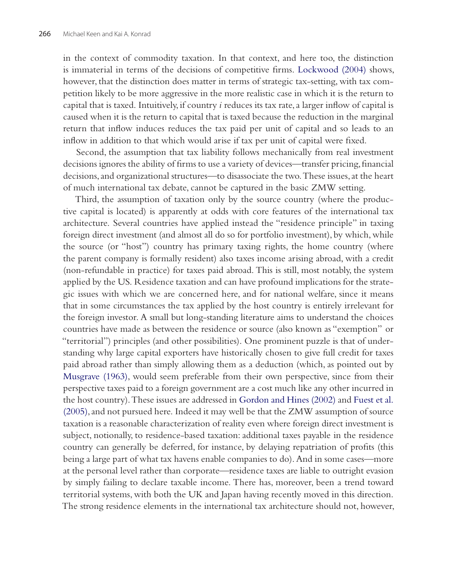in the context of commodity taxation. In that context, and here too, the distinction is immaterial in terms of the decisions of competitive firms. [Lockwood \(2004\)](#page-69-7) shows, however, that the distinction does matter in terms of strategic tax-setting, with tax competition likely to be more aggressive in the more realistic case in which it is the return to capital that is taxed. Intuitively, if country *i* reduces its tax rate, a larger inflow of capital is caused when it is the return to capital that is taxed because the reduction in the marginal return that inflow induces reduces the tax paid per unit of capital and so leads to an inflow in addition to that which would arise if tax per unit of capital were fixed.

Second, the assumption that tax liability follows mechanically from real investment decisions ignores the ability of firms to use a variety of devices—transfer pricing, financial decisions, and organizational structures—to disassociate the two.These issues, at the heart of much international tax debate, cannot be captured in the basic ZMW setting.

Third, the assumption of taxation only by the source country (where the productive capital is located) is apparently at odds with core features of the international tax architecture. Several countries have applied instead the "residence principle" in taxing foreign direct investment (and almost all do so for portfolio investment), by which, while the source (or "host") country has primary taxing rights, the home country (where the parent company is formally resident) also taxes income arising abroad, with a credit (non-refundable in practice) for taxes paid abroad. This is still, most notably, the system applied by the US. Residence taxation and can have profound implications for the strategic issues with which we are concerned here, and for national welfare, since it means that in some circumstances the tax applied by the host country is entirely irrelevant for the foreign investor. A small but long-standing literature aims to understand the choices countries have made as between the residence or source (also known as "exemption" or "territorial") principles (and other possibilities). One prominent puzzle is that of understanding why large capital exporters have historically chosen to give full credit for taxes paid abroad rather than simply allowing them as a deduction (which, as pointed out by [Musgrave \(1963\),](#page-69-8) would seem preferable from their own perspective, since from their perspective taxes paid to a foreign government are a cost much like any other incurred in the host country).These issues are addressed in [Gordon and Hines \(2002\)](#page-67-1) and Fuest et al. (2005)[,](#page-66-1) [and](#page-66-1) [not](#page-66-1) [pursued](#page-66-1) [here.](#page-66-1) [Indeed](#page-66-1) [it](#page-66-1) [may](#page-66-1) [well](#page-66-1) [be](#page-66-1) [that](#page-66-1) [the](#page-66-1) [ZMW](#page-66-1) [assumption](#page-66-1) of source taxation is a reasonable characterization of reality even where foreign direct investment is subject, notionally, to residence-based taxation: additional taxes payable in the residence country can generally be deferred, for instance, by delaying repatriation of profits (this being a large part of what tax havens enable companies to do). And in some cases—more at the personal level rather than corporate—residence taxes are liable to outright evasion by simply failing to declare taxable income. There has, moreover, been a trend toward territorial systems, with both the UK and Japan having recently moved in this direction. The strong residence elements in the international tax architecture should not, however,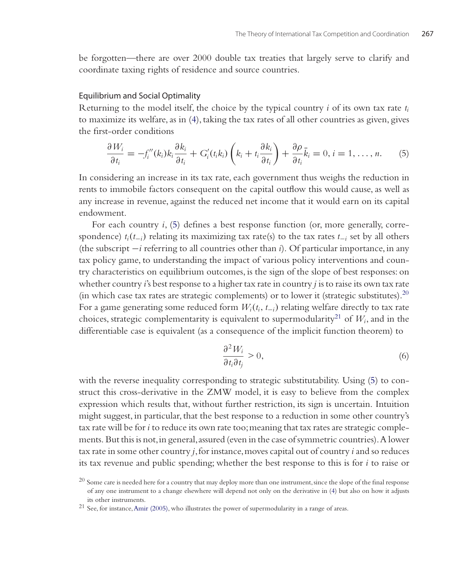be forgotten—there are over 2000 double tax treaties that largely serve to clarify and coordinate taxing rights of residence and source countries.

#### Equilibrium and Social Optimality

Returning to the model itself, the choice by the typical country *i* of its own tax rate *ti* to maximize its welfare, as in [\(4\)](#page-7-4), taking the tax rates of all other countries as given, gives the first-order conditions

<span id="page-10-0"></span>
$$
\frac{\partial W_i}{\partial t_i} = -f_i''(k_i)k_i \frac{\partial k_i}{\partial t_i} + G_i'(t_i k_i) \left(k_i + t_i \frac{\partial k_i}{\partial t_i}\right) + \frac{\partial \rho}{\partial t_i} \bar{k}_i = 0, i = 1, ..., n.
$$
 (5)

In considering an increase in its tax rate, each government thus weighs the reduction in rents to immobile factors consequent on the capital outflow this would cause, as well as any increase in revenue, against the reduced net income that it would earn on its capital endowment.

For each country *i*, [\(5\)](#page-10-0) defines a best response function (or, more generally, correspondence)  $t_i(t_{-i})$  relating its maximizing tax rate(s) to the tax rates  $t_{-i}$  set by all others (the subscript −*i* referring to all countries other than *i*). Of particular importance, in any tax policy game, to understanding the impact of various policy interventions and country characteristics on equilibrium outcomes, is the sign of the slope of best responses: on whether country *i*'s best response to a higher tax rate in country *j* is to raise its own tax rate (in which case tax rates are strategic complements) or to lower it (strategic substitutes).<sup>20</sup> For a game generating some reduced form  $W_i(t_i, t_{-i})$  relating welfare directly to tax rate choices, strategic complementarity is equivalent to supermodularity<sup>[21](#page-10-2)</sup> of  $W_i$ , and in the differentiable case is equivalent (as a consequence of the implicit function theorem) to

$$
\frac{\partial^2 W_i}{\partial t_i \partial t_j} > 0,\tag{6}
$$

with the reverse inequality corresponding to strategic substitutability. Using [\(5\)](#page-10-0) to construct this cross-derivative in the ZMW model, it is easy to believe from the complex expression which results that, without further restriction, its sign is uncertain. Intuition might suggest, in particular, that the best response to a reduction in some other country's tax rate will be for *i* to reduce its own rate too;meaning that tax rates are strategic complements. But this is not,in general,assured (even in the case of symmetric countries).A lower tax rate in some other country *j*,for instance,moves capital out of country *i* and so reduces its tax revenue and public spending; whether the best response to this is for *i* to raise or

<span id="page-10-1"></span><sup>&</sup>lt;sup>20</sup> Some care is needed here for a country that may deploy more than one instrument, since the slope of the final response of any one instrument to a change elsewhere will depend not only on the derivative in [\(4\)](#page-7-4) but also on how it adjusts its other instruments.

<span id="page-10-2"></span> $^{21}$  See, for instance, [Amir \(2005\),](#page-64-2) who illustrates the power of supermodularity in a range of areas.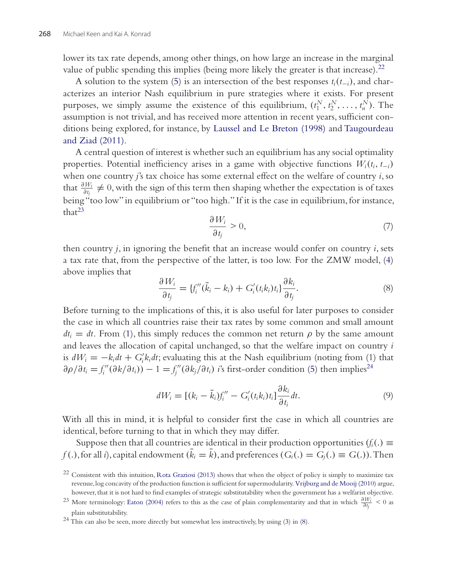lower its tax rate depends, among other things, on how large an increase in the marginal value of public spending this implies (being more likely the greater is that increase).<sup>22</sup>

A solution to the system [\(5\)](#page-10-0) is an intersection of the best responses  $t_i(t_{-i})$ , and characterizes an interior Nash equilibrium in pure strategies where it exists. For present purposes, we simply assume the existence of this equilibrium,  $(t_1^N, t_2^N, \ldots, t_n^N)$ . The assumption is not trivial, and has received more attention in recent years, sufficient conditions being explored, for instance, by [Laussel and Le Breton \(1998\)](#page-69-9) and Taugourdeau and Ziad (2011)[.](#page-70-10)

A central question of interest is whether such an equilibrium has any social optimality properties. Potential inefficiency arises in a game with objective functions  $W_i(t_i, t_{-i})$ when one country *j*'s tax choice has some external effect on the welfare of country *i*, so that  $\frac{\partial W_i}{\partial t_j} \neq 0$ , with the sign of this term then shaping whether the expectation is of taxes being "too low" in equilibrium or "too high." If it is the case in equilibrium, for instance,  $that<sup>23</sup>$  $that<sup>23</sup>$  $that<sup>23</sup>$ 

$$
\frac{\partial W_i}{\partial t_j} > 0,\t\t(7)
$$

then country *j*, in ignoring the benefit that an increase would confer on country *i*, sets a tax rate that, from the perspective of the latter, is too low. For the ZMW model, [\(4\)](#page-7-4) above implies that

<span id="page-11-3"></span>
$$
\frac{\partial W_i}{\partial t_j} = \{f_i''(\bar{k}_i - k_i) + G_i'(t_i k_i)t_i\} \frac{\partial k_i}{\partial t_j}.
$$
\n(8)

Before turning to the implications of this, it is also useful for later purposes to consider the case in which all countries raise their tax rates by some common and small amount  $dt_i = dt$ . From [\(1\)](#page-6-1), this simply reduces the common net return  $\rho$  by the same amount and leaves the allocation of capital unchanged, so that the welfare impact on country *i* is  $dW_i = -k_i dt + G'_i k_i dt$ ; evaluating this at the Nash equilibrium (noting from (1) that  $\partial \rho / \partial t_i = f''_i(\partial k / \partial t_i) - 1 = f''_j(\partial k_j / \partial t_i)$  *i*'s first-order condition [\(5\)](#page-10-0) then implies<sup>24</sup>

<span id="page-11-4"></span>
$$
dW_i = [(k_i - \bar{k}_i)f_i'' - G_i'(t_ik_i)t_i] \frac{\partial k_i}{\partial t_i} dt.
$$
\n(9)

With all this in mind, it is helpful to consider first the case in which all countries are identical, before turning to that in which they may differ.

Suppose then that all countries are identical in their production opportunities  $(f_i(.) \equiv$ *f* (.), for all *i*), capital endowment ( $\bar{k}_i = \bar{k}$ ), and preferences ( $G_i(.) = G_j(.) \equiv G(.)$ ). Then

<span id="page-11-0"></span><sup>&</sup>lt;sup>22</sup> Consistent with this intuition, [Rota Graziosi \(2013\)](#page-70-11) shows that when the object of policy is simply to maximize tax revenue, log concavity of the production function is sufficient for supermodularity. [Vrijburg and de Mooij \(2010\)](#page-70-12) argue, however, that it is not hard to find examples of strategic substitutability when the government has a welfarist objective.

<sup>&</sup>lt;sup>23</sup> More terminology: [Eaton \(2004\)](#page-66-5) refers to this as the case of plain complementarity and that in which  $\frac{\partial W_i}{\partial t_i}$  < 0 as plain substitutability.

<span id="page-11-2"></span><span id="page-11-1"></span> $24$  This can also be seen, more directly but somewhat less instructively, by using [\(3\)](#page-7-5) in [\(8\)](#page-11-3).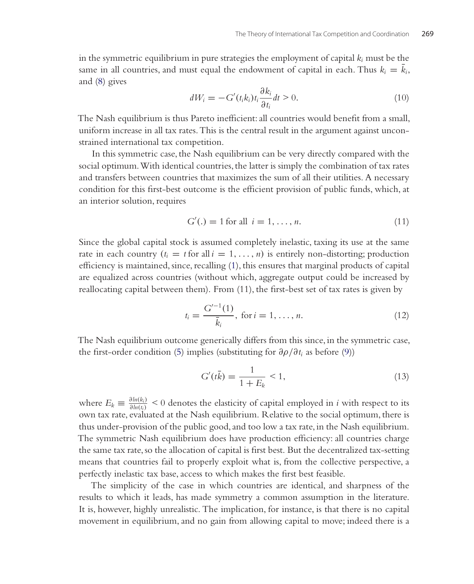in the symmetric equilibrium in pure strategies the employment of capital  $k_i$  must be the same in all countries, and must equal the endowment of capital in each. Thus  $k_i = k_i$ , and [\(8\)](#page-11-3) gives

$$
dW_i = -G'(t_i k_i) t_i \frac{\partial k_i}{\partial t_i} dt > 0.
$$
\n(10)

The Nash equilibrium is thus Pareto inefficient: all countries would benefit from a small, uniform increase in all tax rates.This is the central result in the argument against unconstrained international tax competition.

In this symmetric case, the Nash equilibrium can be very directly compared with the social optimum. With identical countries, the latter is simply the combination of tax rates and transfers between countries that maximizes the sum of all their utilities. A necessary condition for this first-best outcome is the efficient provision of public funds, which, at an interior solution, requires

$$
G'(.) = 1 \text{ for all } i = 1, ..., n. \tag{11}
$$

Since the global capital stock is assumed completely inelastic, taxing its use at the same rate in each country  $(t_i = t \text{ for all } i = 1, ..., n)$  is entirely non-distorting; production efficiency is maintained, since, recalling [\(1\)](#page-6-1), this ensures that marginal products of capital are equalized across countries (without which, aggregate output could be increased by reallocating capital between them). From (11), the first-best set of tax rates is given by

$$
t_i = \frac{G'^{-1}(1)}{\bar{k}_i}, \text{ for } i = 1, ..., n. \tag{12}
$$

The Nash equilibrium outcome generically differs from this since, in the symmetric case, the first-order condition [\(5\)](#page-10-0) implies (substituting for  $\partial \rho / \partial t_i$  as before [\(9\)](#page-11-4))

<span id="page-12-0"></span>
$$
G'(t\bar{k}) = \frac{1}{1 + E_k} < 1,\tag{13}
$$

where  $E_k \equiv \frac{\partial ln(k_i)}{\partial ln(t_i)} < 0$  denotes the elasticity of capital employed in *i* with respect to its own tax rate, evaluated at the Nash equilibrium. Relative to the social optimum, there is thus under-provision of the public good, and too low a tax rate, in the Nash equilibrium. The symmetric Nash equilibrium does have production efficiency: all countries charge the same tax rate, so the allocation of capital is first best. But the decentralized tax-setting means that countries fail to properly exploit what is, from the collective perspective, a perfectly inelastic tax base, access to which makes the first best feasible.

The simplicity of the case in which countries are identical, and sharpness of the results to which it leads, has made symmetry a common assumption in the literature. It is, however, highly unrealistic. The implication, for instance, is that there is no capital movement in equilibrium, and no gain from allowing capital to move; indeed there is a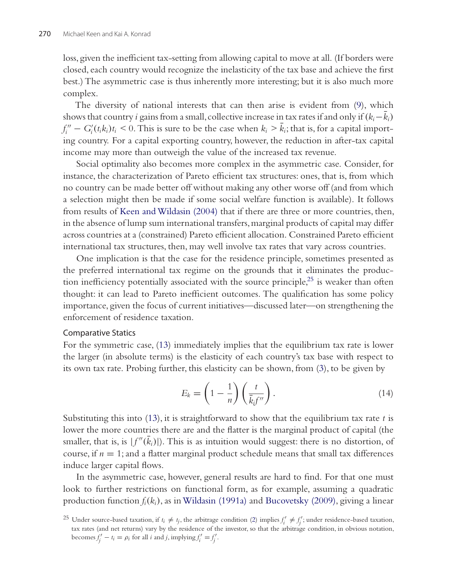loss, given the inefficient tax-setting from allowing capital to move at all. (If borders were closed, each country would recognize the inelasticity of the tax base and achieve the first best.) The asymmetric case is thus inherently more interesting; but it is also much more complex.

The diversity of national interests that can then arise is evident from [\(9\)](#page-11-4), which shows that country *i* gains from a small, collective increase in tax rates if and only if  $(k_i−k_i)$  $f''_i - G'_i(t_ik_i)t_i \leq 0$ . This is sure to be the case when  $k_i > k_i$ ; that is, for a capital importing country. For a capital exporting country, however, the reduction in after-tax capital income may more than outweigh the value of the increased tax revenue.

Social optimality also becomes more complex in the asymmetric case. Consider, for instance, the characterization of Pareto efficient tax structures: ones, that is, from which no country can be made better off without making any other worse off (and from which a selection might then be made if some social welfare function is available). It follows from results of [Keen andWildasin \(2004\)](#page-68-3) that if there are three or more countries, then, in the absence of lump sum international transfers, marginal products of capital may differ across countries at a (constrained) Pareto efficient allocation. Constrained Pareto efficient international tax structures, then, may well involve tax rates that vary across countries.

One implication is that the case for the residence principle, sometimes presented as the preferred international tax regime on the grounds that it eliminates the production inefficiency potentially associated with the source principle, $^{25}$  is weaker than often thought: it can lead to Pareto inefficient outcomes. The qualification has some policy importance, given the focus of current initiatives—discussed later—on strengthening the enforcement of residence taxation.

#### Comparative Statics

For the symmetric case, [\(13\)](#page-12-0) immediately implies that the equilibrium tax rate is lower the larger (in absolute terms) is the elasticity of each country's tax base with respect to its own tax rate. Probing further, this elasticity can be shown, from [\(3\)](#page-7-5), to be given by

$$
E_k = \left(1 - \frac{1}{n}\right) \left(\frac{t}{\bar{k}_i f''}\right). \tag{14}
$$

Substituting this into [\(13\)](#page-12-0), it is straightforward to show that the equilibrium tax rate *t* is lower the more countries there are and the flatter is the marginal product of capital (the smaller, that is, is  $|f''(k_i)|$ ). This is as intuition would suggest: there is no distortion, of course, if  $n = 1$ ; and a flatter marginal product schedule means that small tax differences induce larger capital flows.

In the asymmetric case, however, general results are hard to find. For that one must look to further restrictions on functional form, as for example, assuming a quadratic production function *fi*(*ki*), as in[Wildasin \(1991a\)](#page-70-13) and [Bucovetsky \(2009\),](#page-65-6) giving a linear

<span id="page-13-0"></span><sup>&</sup>lt;sup>25</sup> Under source-based taxation, if  $t_i \neq t_j$ , the arbitrage condition [\(2\)](#page-6-2) implies  $f'_i \neq f'_j$ ; under residence-based taxation, tax rates (and net returns) vary by the residence of the investor, so that the arbitrage condition, in obvious notation, becomes  $f'_j - t_i = \rho_i$  for all *i* and *j*, implying  $f'_i = f'_j$ .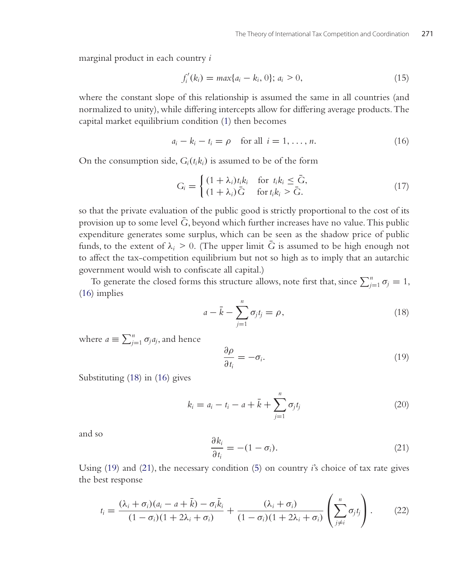marginal product in each country *i*

$$
f'_{i}(k_{i}) = max\{a_{i} - k_{i}, 0\}; a_{i} > 0,
$$
\n(15)

where the constant slope of this relationship is assumed the same in all countries (and normalized to unity), while differing intercepts allow for differing average products.The capital market equilibrium condition [\(1\)](#page-6-1) then becomes

<span id="page-14-0"></span>
$$
a_i - k_i - t_i = \rho \quad \text{for all } i = 1, \dots, n. \tag{16}
$$

On the consumption side,  $G_i(t_ik_i)$  is assumed to be of the form

$$
G_i = \begin{cases} (1 + \lambda_i) t_i k_i & \text{for } t_i k_i \leq \bar{G}, \\ (1 + \lambda_i) \bar{G} & \text{for } t_i k_i > \bar{G}. \end{cases}
$$
(17)

so that the private evaluation of the public good is strictly proportional to the cost of its provision up to some level *G*, beyond which further increases have no value. This public expenditure generates some surplus, which can be seen as the shadow price of public funds, to the extent of  $\lambda_i > 0$ . (The upper limit  $\overline{G}$  is assumed to be high enough not to affect the tax-competition equilibrium but not so high as to imply that an autarchic government would wish to confiscate all capital.)

To generate the closed forms this structure allows, note first that, since  $\sum_{j=1}^{n} \sigma_j = 1$ , [\(16\)](#page-14-0) implies

<span id="page-14-1"></span>
$$
a - \bar{k} - \sum_{j=1}^{n} \sigma_j t_j = \rho, \qquad (18)
$$

where  $a \equiv \sum_{j=1}^{n} \sigma_j a_j$ , and hence

<span id="page-14-2"></span>
$$
\frac{\partial \rho}{\partial t_i} = -\sigma_i. \tag{19}
$$

Substituting [\(18\)](#page-14-1) in [\(16\)](#page-14-0) gives

<span id="page-14-5"></span>
$$
k_i = a_i - t_i - a + \bar{k} + \sum_{j=1}^{n} \sigma_j t_j
$$
 (20)

and so

<span id="page-14-3"></span>
$$
\frac{\partial k_i}{\partial t_i} = -(1 - \sigma_i). \tag{21}
$$

Using [\(19\)](#page-14-2) and [\(21\)](#page-14-3), the necessary condition [\(5\)](#page-10-0) on country *i*'s choice of tax rate gives the best response

<span id="page-14-4"></span>
$$
t_i = \frac{(\lambda_i + \sigma_i)(a_i - a + \bar{k}) - \sigma_i \bar{k}_i}{(1 - \sigma_i)(1 + 2\lambda_i + \sigma_i)} + \frac{(\lambda_i + \sigma_i)}{(1 - \sigma_i)(1 + 2\lambda_i + \sigma_i)} \left(\sum_{j \neq i}^n \sigma_j t_j\right). \tag{22}
$$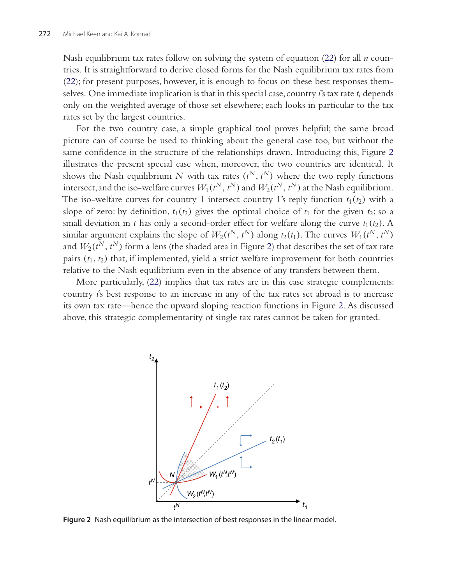Nash equilibrium tax rates follow on solving the system of equation [\(22\)](#page-14-4) for all *n* countries. It is straightforward to derive closed forms for the Nash equilibrium tax rates from [\(22\)](#page-14-4); for present purposes, however, it is enough to focus on these best responses themselves. One immediate implication is that in this special case, country  $\vec{i}$ 's tax rate  $t_i$  depends only on the weighted average of those set elsewhere; each looks in particular to the tax rates set by the largest countries.

For the two country case, a simple graphical tool proves helpful; the same broad picture can of course be used to thinking about the general case too, but without the same confidence in the structure of the relationships drawn. Introducing this, Figure [2](#page-15-0) illustrates the present special case when, moreover, the two countries are identical. It shows the Nash equilibrium *N* with tax rates  $(t^N, t^N)$  where the two reply functions intersect, and the iso-welfare curves  $W_1(t^N,t^N)$  and  $W_2(t^N,t^N)$  at the Nash equilibrium. The iso-welfare curves for country 1 intersect country 1's reply function  $t_1(t_2)$  with a slope of zero: by definition,  $t_1(t_2)$  gives the optimal choice of  $t_1$  for the given  $t_2$ ; so a small deviation in *t* has only a second-order effect for welfare along the curve  $t_1(t_2)$ . A similar argument explains the slope of  $W_2(t^N, t^N)$  along  $t_2(t_1)$ . The curves  $W_1(t^N, t^N)$ and  $W_2(t^N,t^N)$  form a lens (the shaded area in Figure [2\)](#page-15-0) that describes the set of tax rate pairs  $(t_1, t_2)$  that, if implemented, yield a strict welfare improvement for both countries relative to the Nash equilibrium even in the absence of any transfers between them.

More particularly, [\(22\)](#page-14-4) implies that tax rates are in this case strategic complements: country *i*'s best response to an increase in any of the tax rates set abroad is to increase its own tax rate—hence the upward sloping reaction functions in Figure [2.](#page-15-0) As discussed above, this strategic complementarity of single tax rates cannot be taken for granted.



<span id="page-15-0"></span>**Figure 2** Nash equilibrium as the intersection of best responses in the linear model.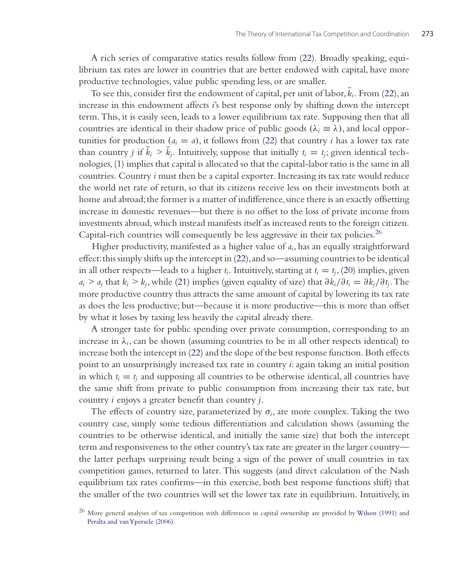A rich series of comparative statics results follow from [\(22\)](#page-14-4). Broadly speaking, equilibrium tax rates are lower in countries that are better endowed with capital, have more productive technologies, value public spending less, or are smaller.

To see this, consider first the endowment of capital, per unit of labor,  $k_i$ . From [\(22\)](#page-14-4), an increase in this endowment affects *i*'s best response only by shifting down the intercept term. This, it is easily seen, leads to a lower equilibrium tax rate. Supposing then that all countries are identical in their shadow price of public goods ( $\lambda_i \equiv \lambda$ ), and local opportunities for production  $(a_i = a)$ , it follows from [\(22\)](#page-14-4) that country *i* has a lower tax rate than country *j* if  $\bar{k}_i > \bar{k}_j$ . Intuitively, suppose that initially  $t_i = t_j$ ; given identical technologies, [\(1\)](#page-6-1) implies that capital is allocated so that the capital-labor ratio is the same in all countries. Country *i* must then be a capital exporter. Increasing its tax rate would reduce the world net rate of return, so that its citizens receive less on their investments both at home and abroad; the former is a matter of indifference, since there is an exactly offsetting increase in domestic revenues—but there is no offset to the loss of private income from investments abroad, which instead manifests itself as increased rents to the foreign citizen. Capital-rich countries will consequently be less aggressive in their tax policies.<sup>26</sup>

Higher productivity, manifested as a higher value of *ai*, has an equally straightforward effect:this simply shifts up the intercept in [\(22\)](#page-14-4),and so—assuming countries to be identical in all other respects—leads to a higher  $t_i$ . Intuitively, starting at  $t_i = t_i$ , [\(20\)](#page-14-5) implies, given *a<sub>i</sub>* > *a<sub>j</sub>* that  $k_i$  >  $k_j$ , while [\(21\)](#page-14-3) implies (given equality of size) that  $\partial k_i / \partial t_i = \partial k_j / \partial t_j$ . The more productive country thus attracts the same amount of capital by lowering its tax rate as does the less productive; but—because it is more productive—this is more than offset by what it loses by taxing less heavily the capital already there.

A stronger taste for public spending over private consumption, corresponding to an increase in  $\lambda_i$ , can be shown (assuming countries to be in all other respects identical) to increase both the intercept in [\(22\)](#page-14-4) and the slope of the best response function. Both effects point to an unsurprisingly increased tax rate in country *i*: again taking an initial position in which  $t_i = t_i$  and supposing all countries to be otherwise identical, all countries have the same shift from private to public consumption from increasing their tax rate, but country *i* enjoys a greater benefit than country *j*.

The effects of country size, parameterized by  $\sigma_i$ , are more complex. Taking the two country case, simply some tedious differentiation and calculation shows (assuming the countries to be otherwise identical, and initially the same size) that both the intercept term and responsiveness to the other country's tax rate are greater in the larger country the latter perhaps surprising result being a sign of the power of small countries in tax competition games, returned to later. This suggests (and direct calculation of the Nash equilibrium tax rates confirms—in this exercise, both best response functions shift) that the smaller of the two countries will set the lower tax rate in equilibrium. Intuitively, in

<span id="page-16-0"></span><sup>26</sup> More general analyses of tax competition with differences in capital ownership are provided by [Wilson \(1991\)](#page-70-14) and [Peralta and vanYpersele \(2006\).](#page-69-10)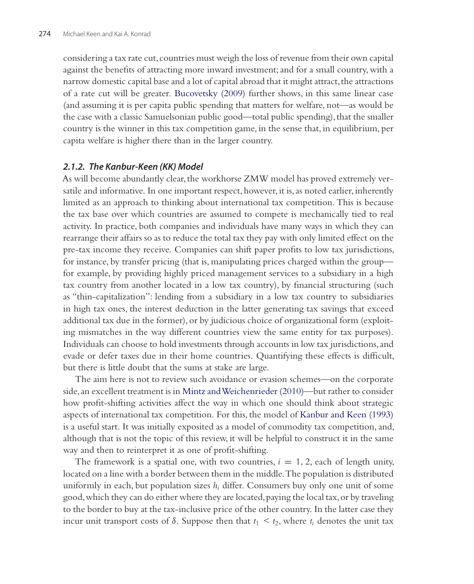considering a tax rate cut, countries must weigh the loss of revenue from their own capital against the benefits of attracting more inward investment; and for a small country, with a narrow domestic capital base and a lot of capital abroad that it might attract, the attractions of a rate cut will be greater. [Bucovetsky \(2009\)](#page-65-6) further shows, in this same linear case (and assuming it is per capita public spending that matters for welfare, not—as would be the case with a classic Samuelsonian public good—total public spending), that the smaller country is the winner in this tax competition game, in the sense that, in equilibrium, per capita welfare is higher there than in the larger country.

#### <span id="page-17-0"></span>**2.1.2. The Kanbur-Keen (KK) Model**

As will become abundantly clear, the workhorse ZMW model has proved extremely versatile and informative. In one important respect, however, it is, as noted earlier, inherently limited as an approach to thinking about international tax competition. This is because the tax base over which countries are assumed to compete is mechanically tied to real activity. In practice, both companies and individuals have many ways in which they can rearrange their affairs so as to reduce the total tax they pay with only limited effect on the pre-tax income they receive. Companies can shift paper profits to low tax jurisdictions, for instance, by transfer pricing (that is, manipulating prices charged within the group for example, by providing highly priced management services to a subsidiary in a high tax country from another located in a low tax country), by financial structuring (such as "thin-capitalization": lending from a subsidiary in a low tax country to subsidiaries in high tax ones, the interest deduction in the latter generating tax savings that exceed additional tax due in the former), or by judicious choice of organizational form (exploiting mismatches in the way different countries view the same entity for tax purposes). Individuals can choose to hold investments through accounts in low tax jurisdictions, and evade or defer taxes due in their home countries. Quantifying these effects is difficult, but there is little doubt that the sums at stake are large.

The aim here is not to review such avoidance or evasion schemes—on the corporate side, an excellent treatment is in [Mintz andWeichenrieder \(2010\)—](#page-69-2)but rather to consider how profit-shifting activities affect the way in which one should think about strategic aspects of international tax competition. For this, the model of [Kanbur and Keen \(1993\)](#page-68-0) is a useful start. It was initially exposited as a model of commodity tax competition, and, although that is not the topic of this review, it will be helpful to construct it in the same way and then to reinterpret it as one of profit-shifting.

The framework is a spatial one, with two countries,  $i = 1, 2$ , each of length unity, located on a line with a border between them in the middle.The population is distributed uniformly in each, but population sizes *hi* differ. Consumers buy only one unit of some good,which they can do either where they are located,paying the local tax,or by traveling to the border to buy at the tax-inclusive price of the other country. In the latter case they incur unit transport costs of  $\delta$ . Suppose then that  $t_1 \leq t_2$ , where  $t_i$  denotes the unit tax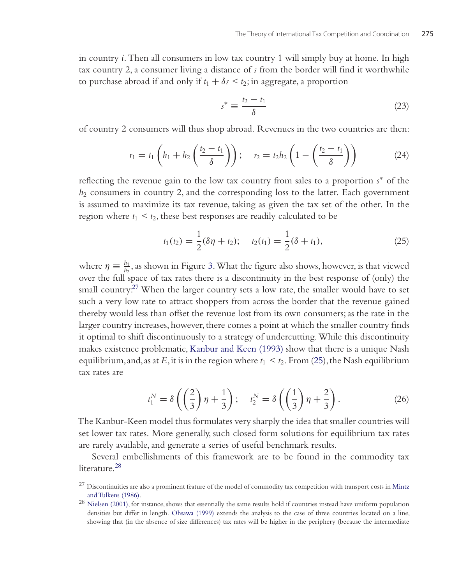in country *i*. Then all consumers in low tax country 1 will simply buy at home. In high tax country 2, a consumer living a distance of *s* from the border will find it worthwhile to purchase abroad if and only if  $t_1 + \delta s < t_2$ ; in aggregate, a proportion

<span id="page-18-3"></span>
$$
s^* \equiv \frac{t_2 - t_1}{\delta} \tag{23}
$$

of country 2 consumers will thus shop abroad. Revenues in the two countries are then:

<span id="page-18-4"></span>
$$
r_1 = t_1 \left( h_1 + h_2 \left( \frac{t_2 - t_1}{\delta} \right) \right); \quad r_2 = t_2 h_2 \left( 1 - \left( \frac{t_2 - t_1}{\delta} \right) \right) \tag{24}
$$

reflecting the revenue gain to the low tax country from sales to a proportion *s* <sup>∗</sup> of the *h*<sup>2</sup> consumers in country 2, and the corresponding loss to the latter. Each government is assumed to maximize its tax revenue, taking as given the tax set of the other. In the region where  $t_1 \leq t_2$ , these best responses are readily calculated to be

<span id="page-18-1"></span>
$$
t_1(t_2) = \frac{1}{2}(\delta \eta + t_2); \quad t_2(t_1) = \frac{1}{2}(\delta + t_1), \tag{25}
$$

where  $\eta \equiv \frac{h_1}{h_2}$ , as shown in Figure [3.](#page-19-0) What the figure also shows, however, is that viewed over the full space of tax rates there is a discontinuity in the best response of (only) the small country.<sup>27</sup> When the larger country sets a low rate, the smaller would have to set such a very low rate to attract shoppers from across the border that the revenue gained thereby would less than offset the revenue lost from its own consumers; as the rate in the larger country increases, however, there comes a point at which the smaller country finds it optimal to shift discontinuously to a strategy of undercutting.While this discontinuity makes existence problematic,[Kanbur and Keen \(1993\)](#page-68-0) show that there is a unique Nash equilibrium, and, as at *E*, it is in the region where  $t_1 \le t_2$ . From [\(25\)](#page-18-1), the Nash equilibrium tax rates are

$$
t_1^N = \delta\left(\left(\frac{2}{3}\right)\eta + \frac{1}{3}\right); \quad t_2^N = \delta\left(\left(\frac{1}{3}\right)\eta + \frac{2}{3}\right). \tag{26}
$$

The Kanbur-Keen model thus formulates very sharply the idea that smaller countries will set lower tax rates. More generally, such closed form solutions for equilibrium tax rates are rarely available, and generate a series of useful benchmark results.

Several embellishments of this framework are to be found in the commodity tax literature.<sup>28</sup>

<sup>27</sup> Discontinuities are also a prominent feature of the model of commodity tax competition with transport costs in Mintz and Tulkens (1986).

<span id="page-18-2"></span><span id="page-18-0"></span><sup>&</sup>lt;sup>28</sup> [Nielsen \(2001\),](#page-69-11) for instance, shows that essentially the same results hold if countries instead have uniform population densities but differ in length. [Ohsawa \(1999\)](#page-69-12) extends the analysis to the case of three countries located on a line, showing that (in the absence of size differences) tax rates will be higher in the periphery (because the intermediate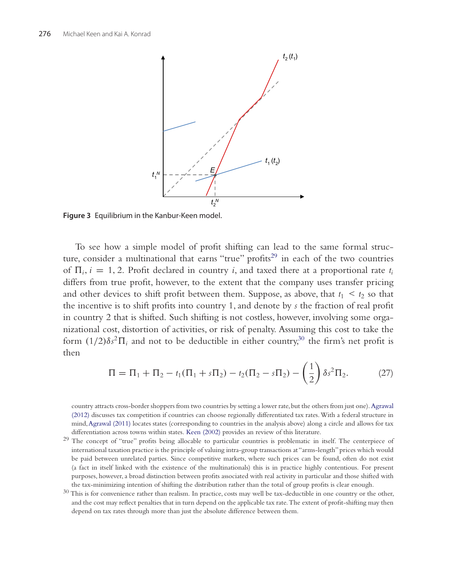

<span id="page-19-0"></span>**Figure 3** Equilibrium in the Kanbur-Keen model.

To see how a simple model of profit shifting can lead to the same formal structure, consider a multinational that earns "true" profits<sup>29</sup> in each of the two countries of  $\Pi_i$ ,  $i = 1, 2$ . Profit declared in country *i*, and taxed there at a proportional rate  $t_i$ differs from true profit, however, to the extent that the company uses transfer pricing and other devices to shift profit between them. Suppose, as above, that  $t_1 \leq t_2$  so that the incentive is to shift profits into country 1, and denote by *s* the fraction of real profit in country 2 that is shifted. Such shifting is not costless, however, involving some organizational cost, distortion of activities, or risk of penalty. Assuming this cost to take the form  $(1/2)\delta s^2\Pi_i$  and not to be deductible in either country,<sup>30</sup> the firm's net profit is then

$$
\Pi = \Pi_1 + \Pi_2 - t_1(\Pi_1 + s\Pi_2) - t_2(\Pi_2 - s\Pi_2) - \left(\frac{1}{2}\right)\delta s^2 \Pi_2.
$$
 (27)

country attracts cross-border shoppers from two countries by setting a lower rate, but the others from just one). Agrawal (2012) discusses tax competition if countries can choose regionally differentiated tax rates.With a federal structure in mind[,Agrawal \(2011\)](#page-64-3) locates states (corresponding to countries in the analysis above) along a circle and allows for tax differentiation across towns within states. [Keen \(2002\)](#page-68-4) provides an review of this literature.

- <span id="page-19-1"></span><sup>29</sup> The concept of "true" profits being allocable to particular countries is problematic in itself. The centerpiece of international taxation practice is the principle of valuing intra-group transactions at "arms-length" prices which would be paid between unrelated parties. Since competitive markets, where such prices can be found, often do not exist (a fact in itself linked with the existence of the multinationals) this is in practice highly contentious. For present purposes, however, a broad distinction between profits associated with real activity in particular and those shifted with the tax-minimizing intention of shifting the distribution rather than the total of group profits is clear enough.
- <span id="page-19-2"></span><sup>30</sup> This is for convenience rather than realism. In practice, costs may well be tax-deductible in one country or the other, and the cost may reflect penalties that in turn depend on the applicable tax rate.The extent of profit-shifting may then depend on tax rates through more than just the absolute difference between them.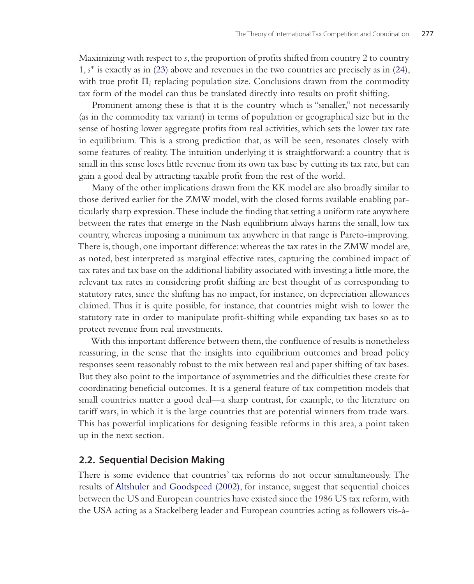Maximizing with respect to *s*,the proportion of profits shifted from country 2 to country 1, *s* <sup>∗</sup> is exactly as in [\(23\)](#page-18-3) above and revenues in the two countries are precisely as in [\(24\)](#page-18-4), with true profit  $\Pi_i$  replacing population size. Conclusions drawn from the commodity tax form of the model can thus be translated directly into results on profit shifting.

Prominent among these is that it is the country which is "smaller," not necessarily (as in the commodity tax variant) in terms of population or geographical size but in the sense of hosting lower aggregate profits from real activities, which sets the lower tax rate in equilibrium. This is a strong prediction that, as will be seen, resonates closely with some features of reality. The intuition underlying it is straightforward: a country that is small in this sense loses little revenue from its own tax base by cutting its tax rate, but can gain a good deal by attracting taxable profit from the rest of the world.

Many of the other implications drawn from the KK model are also broadly similar to those derived earlier for the ZMW model, with the closed forms available enabling particularly sharp expression.These include the finding that setting a uniform rate anywhere between the rates that emerge in the Nash equilibrium always harms the small, low tax country, whereas imposing a minimum tax anywhere in that range is Pareto-improving. There is, though, one important difference: whereas the tax rates in the ZMW model are, as noted, best interpreted as marginal effective rates, capturing the combined impact of tax rates and tax base on the additional liability associated with investing a little more, the relevant tax rates in considering profit shifting are best thought of as corresponding to statutory rates, since the shifting has no impact, for instance, on depreciation allowances claimed. Thus it is quite possible, for instance, that countries might wish to lower the statutory rate in order to manipulate profit-shifting while expanding tax bases so as to protect revenue from real investments.

With this important difference between them, the confluence of results is nonetheless reassuring, in the sense that the insights into equilibrium outcomes and broad policy responses seem reasonably robust to the mix between real and paper shifting of tax bases. But they also point to the importance of asymmetries and the difficulties these create for coordinating beneficial outcomes. It is a general feature of tax competition models that small countries matter a good deal—a sharp contrast, for example, to the literature on tariff wars, in which it is the large countries that are potential winners from trade wars. This has powerful implications for designing feasible reforms in this area, a point taken up in the next section.

### <span id="page-20-0"></span>**2.2. Sequential Decision Making**

There is some evidence that countries' tax reforms do not occur simultaneously. The results of [Altshuler and Goodspeed \(2002\),](#page-64-4) for instance, suggest that sequential choices between the US and European countries have existed since the 1986 US tax reform, with the USA acting as a Stackelberg leader and European countries acting as followers vis-à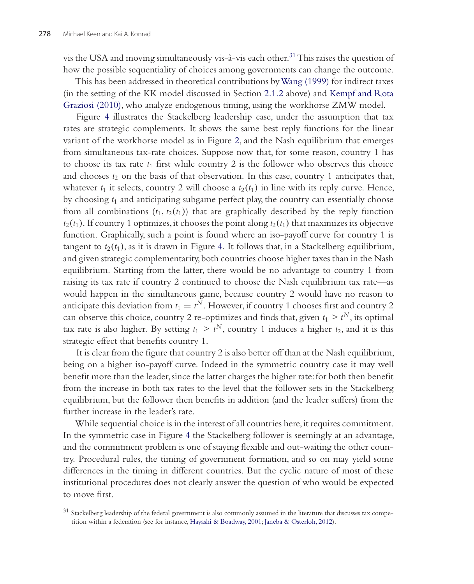vis the USA and moving simultaneously vis-à-vis each other.<sup>31</sup> This raises the question of how the possible sequentiality of choices among governments can change the outcome.

This has been addressed in theoretical contributions by[Wang \(1999\)](#page-70-15) for indirect taxes (in the setting of the KK model discussed in Section [2.1.2](#page-17-0) above) and Kempf and Rota Graziosi (2010)[,](#page-68-5) [who](#page-68-5) [analyze](#page-68-5) [endogenous](#page-68-5) [timing,](#page-68-5) [using](#page-68-5) [the](#page-68-5) [workhorse](#page-68-5) ZMW model.

Figure [4](#page-22-0) illustrates the Stackelberg leadership case, under the assumption that tax rates are strategic complements. It shows the same best reply functions for the linear variant of the workhorse model as in Figure [2,](#page-15-0) and the Nash equilibrium that emerges from simultaneous tax-rate choices. Suppose now that, for some reason, country 1 has to choose its tax rate  $t_1$  first while country 2 is the follower who observes this choice and chooses  $t_2$  on the basis of that observation. In this case, country 1 anticipates that, whatever  $t_1$  it selects, country 2 will choose a  $t_2(t_1)$  in line with its reply curve. Hence, by choosing *t*<sup>1</sup> and anticipating subgame perfect play, the country can essentially choose from all combinations  $(t_1, t_2(t_1))$  that are graphically described by the reply function  $t_2(t_1)$ . If country 1 optimizes, it chooses the point along  $t_2(t_1)$  that maximizes its objective function. Graphically, such a point is found where an iso-payoff curve for country 1 is tangent to  $t_2(t_1)$ , as it is drawn in Figure [4.](#page-22-0) It follows that, in a Stackelberg equilibrium, and given strategic complementarity, both countries choose higher taxes than in the Nash equilibrium. Starting from the latter, there would be no advantage to country 1 from raising its tax rate if country 2 continued to choose the Nash equilibrium tax rate—as would happen in the simultaneous game, because country 2 would have no reason to anticipate this deviation from  $t_1 = t^N$ . However, if country 1 chooses first and country 2 can observe this choice, country 2 re-optimizes and finds that, given  $t_1 > t^N$ , its optimal tax rate is also higher. By setting  $t_1 > t^N$ , country 1 induces a higher  $t_2$ , and it is this strategic effect that benefits country 1.

It is clear from the figure that country 2 is also better off than at the Nash equilibrium, being on a higher iso-payoff curve. Indeed in the symmetric country case it may well benefit more than the leader, since the latter charges the higher rate:for both then benefit from the increase in both tax rates to the level that the follower sets in the Stackelberg equilibrium, but the follower then benefits in addition (and the leader suffers) from the further increase in the leader's rate.

While sequential choice is in the interest of all countries here, it requires commitment. In the symmetric case in Figure [4](#page-22-0) the Stackelberg follower is seemingly at an advantage, and the commitment problem is one of staying flexible and out-waiting the other country. Procedural rules, the timing of government formation, and so on may yield some differences in the timing in different countries. But the cyclic nature of most of these institutional procedures does not clearly answer the question of who would be expected to move first.

<span id="page-21-0"></span><sup>&</sup>lt;sup>31</sup> Stackelberg leadership of the federal government is also commonly assumed in the literature that discusses tax competition within a federation (see for instance, [Hayashi & Boadway, 2001;](#page-67-4) [Janeba & Osterloh, 2012\)](#page-67-5).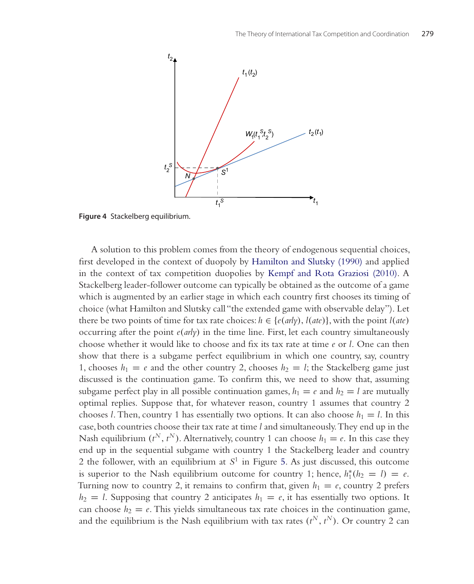

<span id="page-22-0"></span>**Figure 4** Stackelberg equilibrium.

A solution to this problem comes from the theory of endogenous sequential choices, first developed in the context of duopoly by [Hamilton and Slutsky \(1990\)](#page-67-6) and applied in the context of tax competition duopolies by [Kempf and Rota Graziosi \(2010\).](#page-68-5) A Stackelberg leader-follower outcome can typically be obtained as the outcome of a game which is augmented by an earlier stage in which each country first chooses its timing of choice (what Hamilton and Slutsky call "the extended game with observable delay"). Let there be two points of time for tax rate choices:  $h \in \{e(atly), l(ate)\}$ , with the point *l(ate)* occurring after the point *e*(*arly*) in the time line. First, let each country simultaneously choose whether it would like to choose and fix its tax rate at time *e* or *l*. One can then show that there is a subgame perfect equilibrium in which one country, say, country 1, chooses  $h_1 = e$  and the other country 2, chooses  $h_2 = l$ ; the Stackelberg game just discussed is the continuation game. To confirm this, we need to show that, assuming subgame perfect play in all possible continuation games,  $h_1 = e$  and  $h_2 = l$  are mutually optimal replies. Suppose that, for whatever reason, country 1 assumes that country 2 chooses *l*. Then, country 1 has essentially two options. It can also choose  $h_1 = l$ . In this case, both countries choose their tax rate at time *l* and simultaneously.They end up in the Nash equilibrium  $(t^N, t^N)$ . Alternatively, country 1 can choose  $h_1 = e$ . In this case they end up in the sequential subgame with country 1 the Stackelberg leader and country 2 the follower, with an equilibrium at  $S<sup>1</sup>$  in Figure [5.](#page-23-0) As just discussed, this outcome is superior to the Nash equilibrium outcome for country 1; hence,  $h_1^*(h_2 = l) = e$ . Turning now to country 2, it remains to confirm that, given  $h_1 = e$ , country 2 prefers  $h_2 = l$ . Supposing that country 2 anticipates  $h_1 = e$ , it has essentially two options. It can choose  $h_2 = e$ . This yields simultaneous tax rate choices in the continuation game, and the equilibrium is the Nash equilibrium with tax rates  $(t^N, t^N)$ . Or country 2 can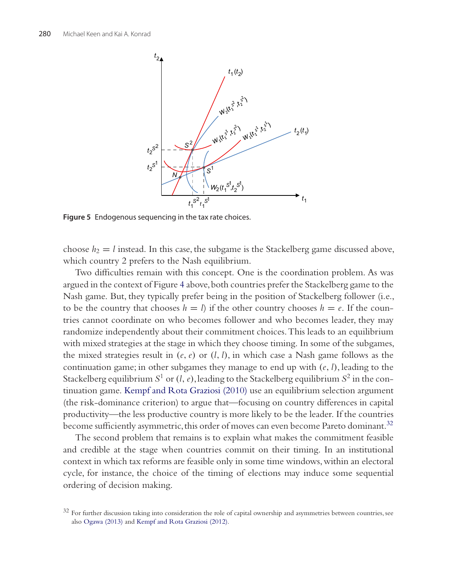

<span id="page-23-0"></span>**Figure 5** Endogenous sequencing in the tax rate choices.

choose  $h_2 = l$  instead. In this case, the subgame is the Stackelberg game discussed above, which country 2 prefers to the Nash equilibrium.

Two difficulties remain with this concept. One is the coordination problem. As was argued in the context of Figure [4](#page-22-0) above,both countries prefer the Stackelberg game to the Nash game. But, they typically prefer being in the position of Stackelberg follower (i.e., to be the country that chooses  $h = l$ ) if the other country chooses  $h = e$ . If the countries cannot coordinate on who becomes follower and who becomes leader, they may randomize independently about their commitment choices.This leads to an equilibrium with mixed strategies at the stage in which they choose timing. In some of the subgames, the mixed strategies result in (*e*,*e*) or (*l*, *l*), in which case a Nash game follows as the continuation game; in other subgames they manage to end up with (*e*, *l*), leading to the Stackelberg equilibrium  $S^1$  or  $(l, e)$ , leading to the Stackelberg equilibrium  $S^2$  in the continuation game. [Kempf and Rota Graziosi \(2010\)](#page-68-5) use an equilibrium selection argument (the risk-dominance criterion) to argue that—focusing on country differences in capital productivity—the less productive country is more likely to be the leader. If the countries become sufficiently asymmetric, this order of moves can even become Pareto dominant.<sup>32</sup>

The second problem that remains is to explain what makes the commitment feasible and credible at the stage when countries commit on their timing. In an institutional context in which tax reforms are feasible only in some time windows, within an electoral cycle, for instance, the choice of the timing of elections may induce some sequential ordering of decision making.

<span id="page-23-1"></span> $32$  For further discussion taking into consideration the role of capital ownership and asymmetries between countries, see also [Ogawa \(2013\)](#page-69-13) and [Kempf and Rota Graziosi \(2012\).](#page-68-6)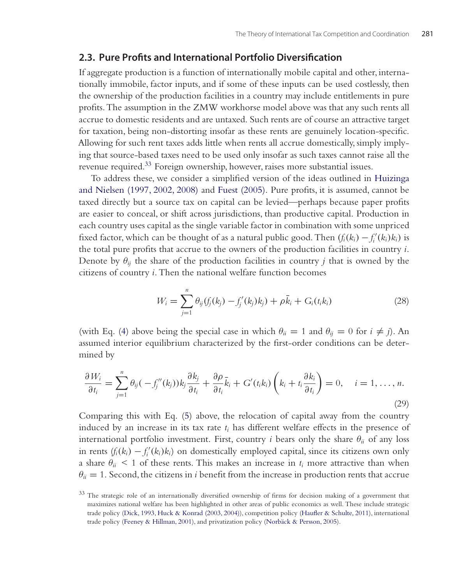## <span id="page-24-0"></span>**2.3. Pure Profits and International Portfolio Diversification**

If aggregate production is a function of internationally mobile capital and other, internationally immobile, factor inputs, and if some of these inputs can be used costlessly, then the ownership of the production facilities in a country may include entitlements in pure profits.The assumption in the ZMW workhorse model above was that any such rents all accrue to domestic residents and are untaxed. Such rents are of course an attractive target for taxation, being non-distorting insofar as these rents are genuinely location-specific. Allowing for such rent taxes adds little when rents all accrue domestically, simply implying that source-based taxes need to be used only insofar as such taxes cannot raise all the revenue required.<sup>33</sup> Foreign ownership, however, raises more substantial issues.

To address these, we consider a simplified version of the ideas outlined in Huizinga and Nielsen (1997, 2002, 2008) and [Fuest \(2005\).](#page-66-6) Pure profits, it is assumed, cannot be taxed directly but a source tax on capital can be levied—perhaps because paper profits are easier to conceal, or shift across jurisdictions, than productive capital. Production in each country uses capital as the single variable factor in combination with some unpriced fixed factor, which can be thought of as a natural public good. Then  $(f_i(k_i) - f'_i(k_i)k_i)$  is the total pure profits that accrue to the owners of the production facilities in country *i*. Denote by  $\theta_{ij}$  the share of the production facilities in country *j* that is owned by the citizens of country *i*. Then the national welfare function becomes

$$
W_i = \sum_{j=1}^n \theta_{ij} (f_j(k_j) - f'_j(k_j)k_j) + \rho \bar{k}_i + G_i(t_i k_i)
$$
 (28)

(with Eq. [\(4\)](#page-7-4) above being the special case in which  $\theta_{ii} = 1$  and  $\theta_{ii} = 0$  for  $i \neq j$ ). An assumed interior equilibrium characterized by the first-order conditions can be determined by

$$
\frac{\partial W_i}{\partial t_i} = \sum_{j=1}^n \theta_{ij} (-f_j''(k_j)) k_j \frac{\partial k_j}{\partial t_i} + \frac{\partial \rho}{\partial t_i} \bar{k}_i + G'(t_i k_i) \left( k_i + t_i \frac{\partial k_i}{\partial t_i} \right) = 0, \quad i = 1, ..., n.
$$
\n(29)

Comparing this with Eq. [\(5\)](#page-10-0) above, the relocation of capital away from the country induced by an increase in its tax rate *ti* has different welfare effects in the presence of international portfolio investment. First, country *i* bears only the share  $\theta_{ii}$  of any loss in rents  $(f_i(k_i) - f'_i(k_i)k_i)$  on domestically employed capital, since its citizens own only a share  $\theta_{ii}$  < 1 of these rents. This makes an increase in  $t_i$  more attractive than when  $\theta_{ii} = 1$ . Second, the citizens in *i* benefit from the increase in production rents that accrue

<span id="page-24-1"></span><sup>&</sup>lt;sup>33</sup> The strategic role of an internationally diversified ownership of firms for decision making of a government that maximizes national welfare has been highlighted in other areas of public economics as well. These include strategic trade policy [\(Dick, 1993,](#page-66-7) Huck & Konrad (2003, 2004)), competition policy [\(Haufler & Schulte, 2011\)](#page-67-7), international trade policy [\(Feeney & Hillman, 2001\)](#page-66-8), and privatization policy [\(Norbäck & Persson, 2005\)](#page-69-14).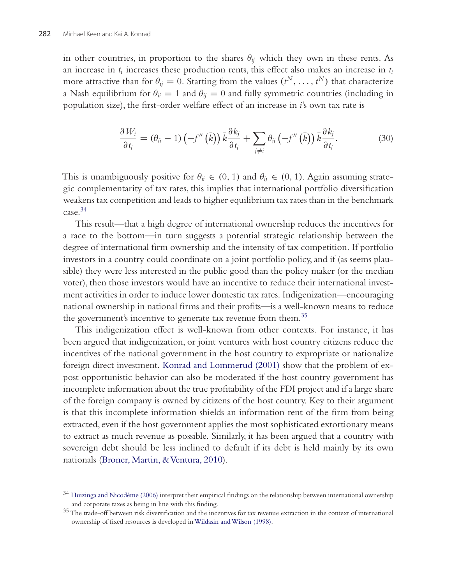in other countries, in proportion to the shares  $\theta_{ij}$  which they own in these rents. As an increase in *ti* increases these production rents, this effect also makes an increase in *ti* more attractive than for  $\theta_{ij} = 0$ . Starting from the values  $(t^N, \ldots, t^N)$  that characterize a Nash equilibrium for  $\theta_{ii} = 1$  and  $\theta_{ii} = 0$  and fully symmetric countries (including in population size), the first-order welfare effect of an increase in *i*'s own tax rate is

$$
\frac{\partial W_i}{\partial t_i} = (\theta_{ii} - 1) \left( -f''\left(\bar{k}\right)\right) \bar{k} \frac{\partial k_j}{\partial t_i} + \sum_{j \neq i} \theta_{ij} \left( -f''\left(\bar{k}\right)\right) \bar{k} \frac{\partial k_j}{\partial t_i}.
$$
 (30)

This is unambiguously positive for  $\theta_{ii} \in (0, 1)$  and  $\theta_{ij} \in (0, 1)$ . Again assuming strategic complementarity of tax rates, this implies that international portfolio diversification weakens tax competition and leads to higher equilibrium tax rates than in the benchmark case.[34](#page-25-0)

This result—that a high degree of international ownership reduces the incentives for a race to the bottom—in turn suggests a potential strategic relationship between the degree of international firm ownership and the intensity of tax competition. If portfolio investors in a country could coordinate on a joint portfolio policy, and if (as seems plausible) they were less interested in the public good than the policy maker (or the median voter), then those investors would have an incentive to reduce their international investment activities in order to induce lower domestic tax rates. Indigenization—encouraging national ownership in national firms and their profits—is a well-known means to reduce the government's incentive to generate tax revenue from them.<sup>[35](#page-25-1)</sup>

This indigenization effect is well-known from other contexts. For instance, it has been argued that indigenization, or joint ventures with host country citizens reduce the incentives of the national government in the host country to expropriate or nationalize foreign direct investment. [Konrad and Lommerud \(2001\)](#page-68-7) show that the problem of expost opportunistic behavior can also be moderated if the host country government has incomplete information about the true profitability of the FDI project and if a large share of the foreign company is owned by citizens of the host country. Key to their argument is that this incomplete information shields an information rent of the firm from being extracted, even if the host government applies the most sophisticated extortionary means to extract as much revenue as possible. Similarly, it has been argued that a country with sovereign debt should be less inclined to default if its debt is held mainly by its own nationals (Broner, Martin, & Ventura, 2010).

<span id="page-25-0"></span><sup>&</sup>lt;sup>34</sup> [Huizinga and Nicodème \(2006\)](#page-67-8) interpret their empirical findings on the relationship between international ownership and corporate taxes as being in line with this finding.

<span id="page-25-1"></span> $35$  The trade-off between risk diversification and the incentives for tax revenue extraction in the context of international ownership of fixed resources is developed in[Wildasin andWilson \(1998\).](#page-70-16)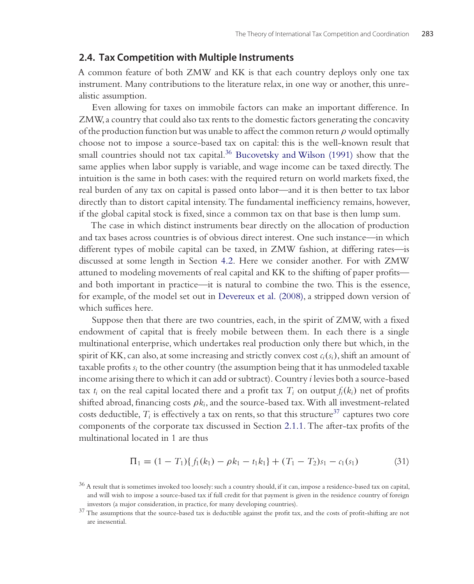#### <span id="page-26-0"></span>**2.4. Tax Competition with Multiple Instruments**

A common feature of both ZMW and KK is that each country deploys only one tax instrument. Many contributions to the literature relax, in one way or another, this unrealistic assumption.

Even allowing for taxes on immobile factors can make an important difference. In ZMW, a country that could also tax rents to the domestic factors generating the concavity of the production function but was unable to affect the common return  $\rho$  would optimally choose not to impose a source-based tax on capital: this is the well-known result that small countries should not tax capital. $36$  [Bucovetsky and Wilson \(1991\)](#page-65-8) show that the same applies when labor supply is variable, and wage income can be taxed directly. The intuition is the same in both cases: with the required return on world markets fixed, the real burden of any tax on capital is passed onto labor—and it is then better to tax labor directly than to distort capital intensity. The fundamental inefficiency remains, however, if the global capital stock is fixed, since a common tax on that base is then lump sum.

The case in which distinct instruments bear directly on the allocation of production and tax bases across countries is of obvious direct interest. One such instance—in which different types of mobile capital can be taxed, in ZMW fashion, at differing rates—is discussed at some length in Section [4.2.](#page-47-0) Here we consider another. For with ZMW attuned to modeling movements of real capital and KK to the shifting of paper profits and both important in practice—it is natural to combine the two. This is the essence, for example, of the model set out in [Devereux et al. \(2008\),](#page-66-3) a stripped down version of which suffices here.

Suppose then that there are two countries, each, in the spirit of ZMW, with a fixed endowment of capital that is freely mobile between them. In each there is a single multinational enterprise, which undertakes real production only there but which, in the spirit of KK, can also, at some increasing and strictly convex cost  $c_i(s_i)$ , shift an amount of taxable profits  $s_i$  to the other country (the assumption being that it has unmodeled taxable income arising there to which it can add or subtract). Country *i* levies both a source-based tax  $t_i$  on the real capital located there and a profit tax  $T_i$  on output  $f_i(k_i)$  net of profits shifted abroad, financing costs  $\rho k_i$ , and the source-based tax. With all investment-related costs deductible,  $T_i$  is effectively a tax on rents, so that this structure<sup>37</sup> captures two core components of the corporate tax discussed in Section [2.1.1.](#page-5-2) The after-tax profits of the multinational located in 1 are thus

<span id="page-26-3"></span>
$$
\Pi_1 = (1 - T_1)\{f_1(k_1) - \rho k_1 - t_1 k_1\} + (T_1 - T_2)s_1 - c_1(s_1)
$$
\n(31)

<span id="page-26-1"></span><sup>36</sup> A result that is sometimes invoked too loosely: such a country should, if it can, impose a residence-based tax on capital, and will wish to impose a source-based tax if full credit for that payment is given in the residence country of foreign investors (a major consideration, in practice, for many developing countries).

<span id="page-26-2"></span><sup>37</sup> The assumptions that the source-based tax is deductible against the profit tax, and the costs of profit-shifting are not are inessential.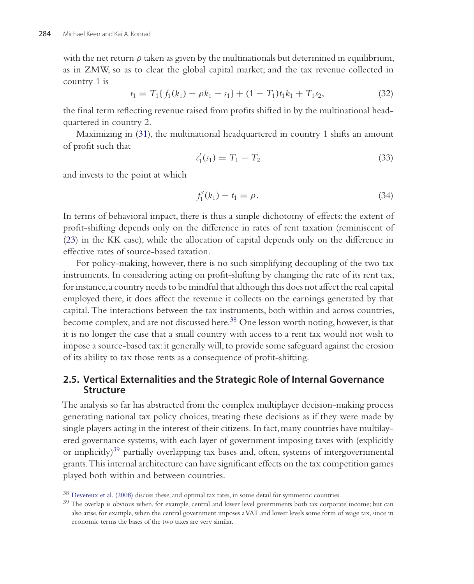with the net return  $\rho$  taken as given by the multinationals but determined in equilibrium, as in ZMW, so as to clear the global capital market; and the tax revenue collected in country 1 is

$$
r_1 = T_1\{f_1(k_1) - \rho k_1 - s_1\} + (1 - T_1)t_1k_1 + T_1s_2, \tag{32}
$$

the final term reflecting revenue raised from profits shifted in by the multinational headquartered in country 2.

Maximizing in [\(31\)](#page-26-3), the multinational headquartered in country 1 shifts an amount of profit such that

$$
c_1'(s_1) = T_1 - T_2 \tag{33}
$$

and invests to the point at which

$$
f_1'(k_1) - t_1 = \rho. \tag{34}
$$

In terms of behavioral impact, there is thus a simple dichotomy of effects: the extent of profit-shifting depends only on the difference in rates of rent taxation (reminiscent of [\(23\)](#page-18-3) in the KK case), while the allocation of capital depends only on the difference in effective rates of source-based taxation.

For policy-making, however, there is no such simplifying decoupling of the two tax instruments. In considering acting on profit-shifting by changing the rate of its rent tax, for instance, a country needs to be mindful that although this does not affect the real capital employed there, it does affect the revenue it collects on the earnings generated by that capital. The interactions between the tax instruments, both within and across countries, become complex, and are not discussed here.<sup>38</sup> One lesson worth noting, however, is that it is no longer the case that a small country with access to a rent tax would not wish to impose a source-based tax: it generally will, to provide some safeguard against the erosion of its ability to tax those rents as a consequence of profit-shifting.

# <span id="page-27-0"></span>**2.5. Vertical Externalities and the Strategic Role of Internal Governance Structure**

The analysis so far has abstracted from the complex multiplayer decision-making process generating national tax policy choices, treating these decisions as if they were made by single players acting in the interest of their citizens. In fact, many countries have multilayered governance systems, with each layer of government imposing taxes with (explicitly or implicitly[\)39](#page-27-2) partially overlapping tax bases and, often, systems of intergovernmental grants.This internal architecture can have significant effects on the tax competition games played both within and between countries.

<sup>&</sup>lt;sup>38</sup> [Devereux et al. \(2008\)](#page-66-3) discuss these, and optimal tax rates, in some detail for symmetric countries.

<span id="page-27-2"></span><span id="page-27-1"></span><sup>&</sup>lt;sup>39</sup> The overlap is obvious when, for example, central and lower level governments both tax corporate income; but can also arise, for example, when the central government imposes aVAT and lower levels some form of wage tax, since in economic terms the bases of the two taxes are very similar.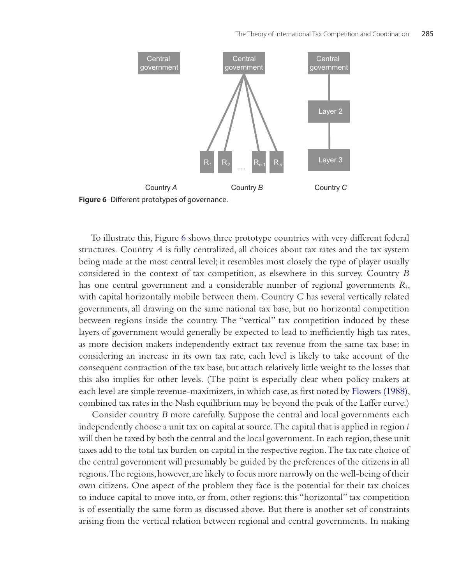

<span id="page-28-0"></span>**Figure 6** Different prototypes of governance.

To illustrate this, Figure [6](#page-28-0) shows three prototype countries with very different federal structures. Country *A* is fully centralized, all choices about tax rates and the tax system being made at the most central level; it resembles most closely the type of player usually considered in the context of tax competition, as elsewhere in this survey. Country *B* has one central government and a considerable number of regional governments *Ri*, with capital horizontally mobile between them. Country *C* has several vertically related governments, all drawing on the same national tax base, but no horizontal competition between regions inside the country. The "vertical" tax competition induced by these layers of government would generally be expected to lead to inefficiently high tax rates, as more decision makers independently extract tax revenue from the same tax base: in considering an increase in its own tax rate, each level is likely to take account of the consequent contraction of the tax base, but attach relatively little weight to the losses that this also implies for other levels. (The point is especially clear when policy makers at each level are simple revenue-maximizers, in which case, as first noted by [Flowers \(1988\),](#page-66-9) combined tax rates in the Nash equilibrium may be beyond the peak of the Laffer curve.)

Consider country *B* more carefully. Suppose the central and local governments each independently choose a unit tax on capital at source.The capital that is applied in region *i* will then be taxed by both the central and the local government. In each region, these unit taxes add to the total tax burden on capital in the respective region.The tax rate choice of the central government will presumably be guided by the preferences of the citizens in all regions. The regions, however, are likely to focus more narrowly on the well-being of their own citizens. One aspect of the problem they face is the potential for their tax choices to induce capital to move into, or from, other regions: this "horizontal" tax competition is of essentially the same form as discussed above. But there is another set of constraints arising from the vertical relation between regional and central governments. In making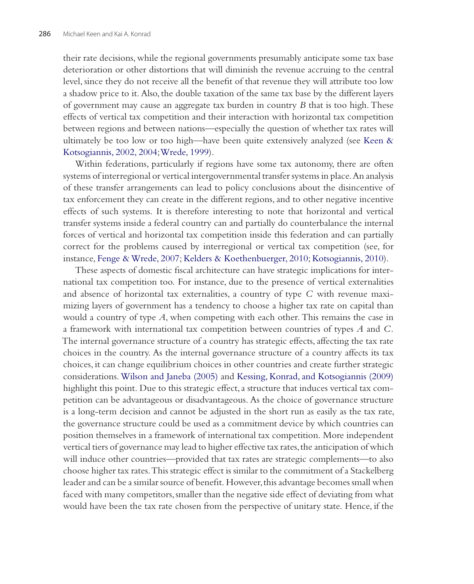their rate decisions, while the regional governments presumably anticipate some tax base deterioration or other distortions that will diminish the revenue accruing to the central level, since they do not receive all the benefit of that revenue they will attribute too low a shadow price to it. Also, the double taxation of the same tax base by the different layers of government may cause an aggregate tax burden in country *B* that is too high. These effects of vertical tax competition and their interaction with horizontal tax competition between regions and between nations—especially the question of whether tax rates will ultimately be too low or too high—have been quite extensively analyzed (see Keen & Kotsogiannis, 2002, 2004;[Wrede, 1999\)](#page-70-17).

Within federations, particularly if regions have some tax autonomy, there are often systems of interregional or vertical intergovernmental transfer systems in place.An analysis of these transfer arrangements can lead to policy conclusions about the disincentive of tax enforcement they can create in the different regions, and to other negative incentive effects of such systems. It is therefore interesting to note that horizontal and vertical transfer systems inside a federal country can and partially do counterbalance the internal forces of vertical and horizontal tax competition inside this federation and can partially correct for the problems caused by interregional or vertical tax competition (see, for instance, Fenge & Wrede, 2007; [Kelders & Koethenbuerger, 2010;](#page-68-8) [Kotsogiannis, 2010\)](#page-68-9).

These aspects of domestic fiscal architecture can have strategic implications for international tax competition too. For instance, due to the presence of vertical externalities and absence of horizontal tax externalities, a country of type *C* with revenue maximizing layers of government has a tendency to choose a higher tax rate on capital than would a country of type *A*, when competing with each other. This remains the case in a framework with international tax competition between countries of types *A* and *C*. The internal governance structure of a country has strategic effects, affecting the tax rate choices in the country. As the internal governance structure of a country affects its tax choices, it can change equilibrium choices in other countries and create further strategic considerations.[Wilson and Janeba \(2005\)](#page-70-5) and [Kessing, Konrad, and Kotsogiannis \(2009\)](#page-68-10) highlight this point. Due to this strategic effect, a structure that induces vertical tax competition can be advantageous or disadvantageous. As the choice of governance structure is a long-term decision and cannot be adjusted in the short run as easily as the tax rate, the governance structure could be used as a commitment device by which countries can position themselves in a framework of international tax competition. More independent vertical tiers of governance may lead to higher effective tax rates, the anticipation of which will induce other countries—provided that tax rates are strategic complements—to also choose higher tax rates.This strategic effect is similar to the commitment of a Stackelberg leader and can be a similar source of benefit. However,this advantage becomes small when faced with many competitors, smaller than the negative side effect of deviating from what would have been the tax rate chosen from the perspective of unitary state. Hence, if the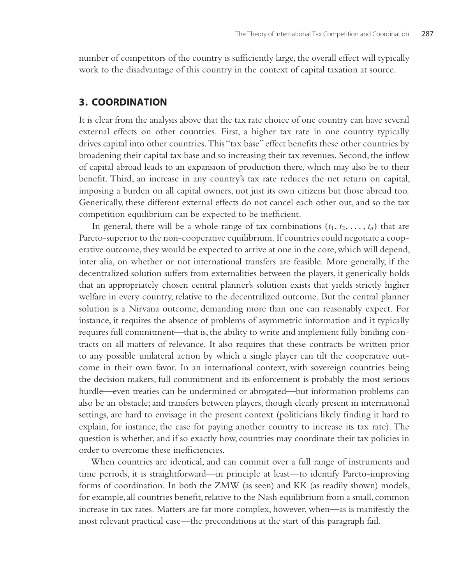number of competitors of the country is sufficiently large, the overall effect will typically work to the disadvantage of this country in the context of capital taxation at source.

#### <span id="page-30-0"></span>**3. COORDINATION**

It is clear from the analysis above that the tax rate choice of one country can have several external effects on other countries. First, a higher tax rate in one country typically drives capital into other countries.This "tax base" effect benefits these other countries by broadening their capital tax base and so increasing their tax revenues. Second, the inflow of capital abroad leads to an expansion of production there, which may also be to their benefit. Third, an increase in any country's tax rate reduces the net return on capital, imposing a burden on all capital owners, not just its own citizens but those abroad too. Generically, these different external effects do not cancel each other out, and so the tax competition equilibrium can be expected to be inefficient.

In general, there will be a whole range of tax combinations  $(t_1, t_2, \ldots, t_n)$  that are Pareto-superior to the non-cooperative equilibrium. If countries could negotiate a cooperative outcome, they would be expected to arrive at one in the core, which will depend, inter alia, on whether or not international transfers are feasible. More generally, if the decentralized solution suffers from externalities between the players, it generically holds that an appropriately chosen central planner's solution exists that yields strictly higher welfare in every country, relative to the decentralized outcome. But the central planner solution is a Nirvana outcome, demanding more than one can reasonably expect. For instance, it requires the absence of problems of asymmetric information and it typically requires full commitment—that is,the ability to write and implement fully binding contracts on all matters of relevance. It also requires that these contracts be written prior to any possible unilateral action by which a single player can tilt the cooperative outcome in their own favor. In an international context, with sovereign countries being the decision makers, full commitment and its enforcement is probably the most serious hurdle—even treaties can be undermined or abrogated—but information problems can also be an obstacle; and transfers between players, though clearly present in international settings, are hard to envisage in the present context (politicians likely finding it hard to explain, for instance, the case for paying another country to increase its tax rate). The question is whether, and if so exactly how, countries may coordinate their tax policies in order to overcome these inefficiencies.

When countries are identical, and can commit over a full range of instruments and time periods, it is straightforward—in principle at least—to identify Pareto-improving forms of coordination. In both the ZMW (as seen) and KK (as readily shown) models, for example, all countries benefit, relative to the Nash equilibrium from a small, common increase in tax rates. Matters are far more complex, however, when—as is manifestly the most relevant practical case—the preconditions at the start of this paragraph fail.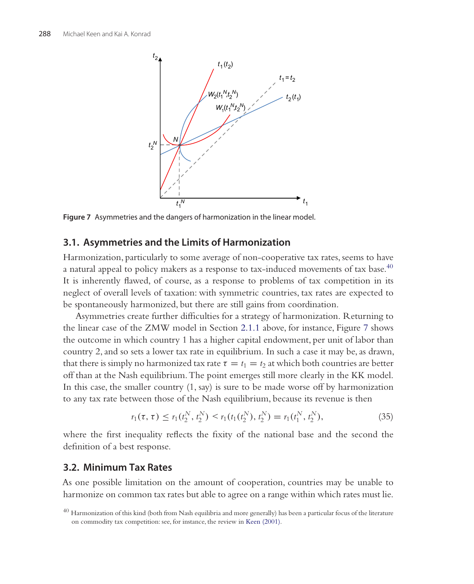

<span id="page-31-3"></span>**Figure 7** Asymmetries and the dangers of harmonization in the linear model.

#### <span id="page-31-0"></span>**3.1. Asymmetries and the Limits of Harmonization**

Harmonization, particularly to some average of non-cooperative tax rates, seems to have a natural appeal to policy makers as a response to tax-induced movements of tax base.<sup>40</sup> It is inherently flawed, of course, as a response to problems of tax competition in its neglect of overall levels of taxation: with symmetric countries, tax rates are expected to be spontaneously harmonized, but there are still gains from coordination.

Asymmetries create further difficulties for a strategy of harmonization. Returning to the linear case of the ZMW model in Section [2.1.1](#page-5-2) above, for instance, Figure [7](#page-31-3) shows the outcome in which country 1 has a higher capital endowment, per unit of labor than country 2, and so sets a lower tax rate in equilibrium. In such a case it may be, as drawn, that there is simply no harmonized tax rate  $\tau = t_1 = t_2$  at which both countries are better off than at the Nash equilibrium.The point emerges still more clearly in the KK model. In this case, the smaller country (1, say) is sure to be made worse off by harmonization to any tax rate between those of the Nash equilibrium, because its revenue is then

$$
r_1(\tau,\tau) \le r_1(t_2^N,t_2^N) < r_1(t_1(t_2^N),t_2^N) = r_1(t_1^N,t_2^N),\tag{35}
$$

where the first inequality reflects the fixity of the national base and the second the definition of a best response.

#### <span id="page-31-1"></span>**3.2. Minimum Tax Rates**

As one possible limitation on the amount of cooperation, countries may be unable to harmonize on common tax rates but able to agree on a range within which rates must lie.

<span id="page-31-2"></span> $^{40}$  Harmonization of this kind (both from Nash equilibria and more generally) has been a particular focus of the literature on commodity tax competition: see, for instance, the review in [Keen \(2001\).](#page-68-1)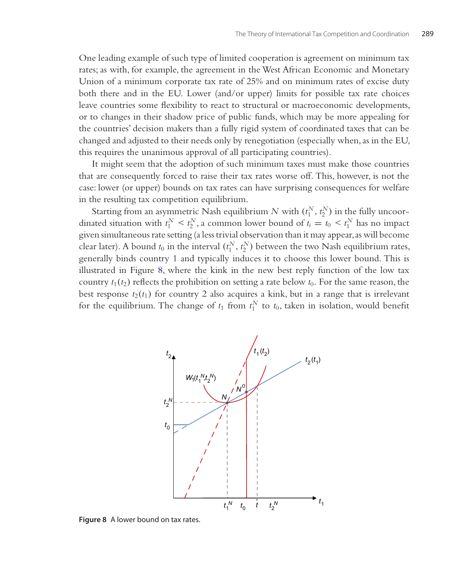One leading example of such type of limited cooperation is agreement on minimum tax rates; as with, for example, the agreement in the West African Economic and Monetary Union of a minimum corporate tax rate of 25% and on minimum rates of excise duty both there and in the EU. Lower (and/or upper) limits for possible tax rate choices leave countries some flexibility to react to structural or macroeconomic developments, or to changes in their shadow price of public funds, which may be more appealing for the countries' decision makers than a fully rigid system of coordinated taxes that can be changed and adjusted to their needs only by renegotiation (especially when, as in the EU, this requires the unanimous approval of all participating countries).

It might seem that the adoption of such minimum taxes must make those countries that are consequently forced to raise their tax rates worse off. This, however, is not the case: lower (or upper) bounds on tax rates can have surprising consequences for welfare in the resulting tax competition equilibrium.

Starting from an asymmetric Nash equilibrium *N* with  $(t_1^N, t_2^N)$  in the fully uncoordinated situation with  $t_1^N < t_2^N$ , a common lower bound of  $t_i = t_0 < t_1^N$  has no impact given simultaneous rate setting (a less trivial observation than it may appear,as will become clear later). A bound  $t_0$  in the interval  $(t_1^N, t_2^N)$  between the two Nash equilibrium rates, generally binds country 1 and typically induces it to choose this lower bound. This is illustrated in Figure [8,](#page-32-0) where the kink in the new best reply function of the low tax country  $t_1(t_2)$  reflects the prohibition on setting a rate below  $t_0$ . For the same reason, the best response  $t_2(t_1)$  for country 2 also acquires a kink, but in a range that is irrelevant for the equilibrium. The change of  $t_1$  from  $t_1^N$  to  $t_0$ , taken in isolation, would benefit



<span id="page-32-0"></span>**Figure 8** A lower bound on tax rates.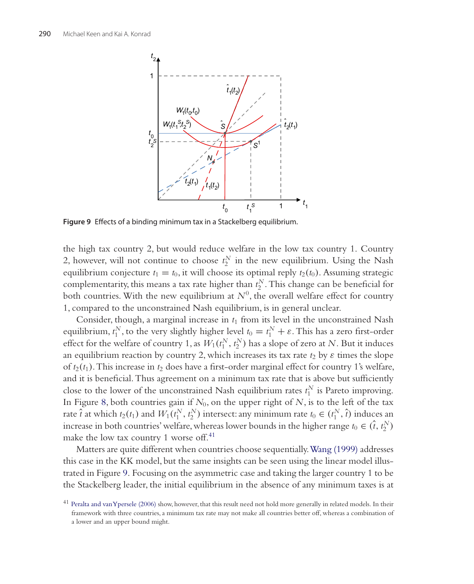

<span id="page-33-1"></span>**Figure 9** Effects of a binding minimum tax in a Stackelberg equilibrium.

the high tax country 2, but would reduce welfare in the low tax country 1. Country 2, however, will not continue to choose  $t_2^N$  in the new equilibrium. Using the Nash equilibrium conjecture  $t_1 = t_0$ , it will choose its optimal reply  $t_2(t_0)$ . Assuming strategic complementarity, this means a tax rate higher than  $t_2^N$ . This change can be beneficial for both countries. With the new equilibrium at  $N^0$ , the overall welfare effect for country 1, compared to the unconstrained Nash equilibrium, is in general unclear.

Consider, though, a marginal increase in *t*<sup>1</sup> from its level in the unconstrained Nash equilibrium,  $t_1^N$ , to the very slightly higher level  $t_0 = t_1^N + \varepsilon$ . This has a zero first-order effect for the welfare of country 1, as  $W_1(t_1^N, t_2^N)$  has a slope of zero at *N*. But it induces an equilibrium reaction by country 2, which increases its tax rate  $t_2$  by  $\varepsilon$  times the slope of  $t_2(t_1)$ . This increase in  $t_2$  does have a first-order marginal effect for country 1's welfare, and it is beneficial. Thus agreement on a minimum tax rate that is above but sufficiently close to the lower of the unconstrained Nash equilibrium rates  $t_1^N$  is Pareto improving. In Figure [8,](#page-32-0) both countries gain if  $N_0$ , on the upper right of  $N$ , is to the left of the tax rate  $\hat{t}$  at which  $t_2(t_1)$  and  $W_1(t_1^N, t_2^N)$  intersect: any minimum rate  $t_0 \in (t_1^N, \hat{t})$  induces an increase in both countries' welfare, whereas lower bounds in the higher range  $t_0 \in (\hat{t}, t_2^N)$ make the low tax country 1 worse off. $41$ 

Matters are quite different when countries choose sequentially.[Wang \(1999\)](#page-70-15) addresses this case in the KK model, but the same insights can be seen using the linear model illustrated in Figure [9.](#page-33-1) Focusing on the asymmetric case and taking the larger country 1 to be the Stackelberg leader, the initial equilibrium in the absence of any minimum taxes is at

<span id="page-33-0"></span> $^{41}$  Peralta and van Ypersele (2006) show, however, that this result need not hold more generally in related models. In their framework with three countries, a minimum tax rate may not make all countries better off, whereas a combination of a lower and an upper bound might.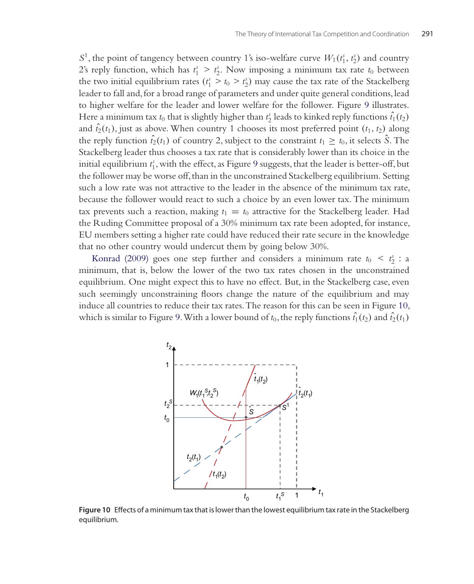*S*<sup>1</sup>, the point of tangency between country 1's iso-welfare curve  $W_1(t_1^s, t_2^s)$  and country 2's reply function, which has  $t_1^s > t_2^s$ . Now imposing a minimum tax rate  $t_0$  between the two initial equilibrium rates ( $t_1^s > t_0 > t_2^s$ ) may cause the tax rate of the Stackelberg leader to fall and,for a broad range of parameters and under quite general conditions,lead to higher welfare for the leader and lower welfare for the follower. Figure [9](#page-33-1) illustrates. Here a minimum tax  $t_0$  that is slightly higher than  $t_2$ <sup>s</sup> leads to kinked reply functions  $\hat{t_1}(t_2)$ and  $\hat{t}_2(t_1)$ , just as above. When country 1 chooses its most preferred point  $(t_1, t_2)$  along the reply function  $\hat{t}_2(t_1)$  of country 2, subject to the constraint  $t_1 \geq t_0$ , it selects  $\hat{S}$ . The Stackelberg leader thus chooses a tax rate that is considerably lower than its choice in the initial equilibrium *t s* 1, with the effect, as Figure [9](#page-33-1) suggests,that the leader is better-off, but the follower may be worse off, than in the unconstrained Stackelberg equilibrium. Setting such a low rate was not attractive to the leader in the absence of the minimum tax rate, because the follower would react to such a choice by an even lower tax. The minimum tax prevents such a reaction, making  $t_1 = t_0$  attractive for the Stackelberg leader. Had the Ruding Committee proposal of a 30% minimum tax rate been adopted, for instance, EU members setting a higher rate could have reduced their rate secure in the knowledge that no other country would undercut them by going below 30%.

[Konrad \(2009\)](#page-68-11) goes one step further and considers a minimum rate  $t_0 < t_2^s$ : a minimum, that is, below the lower of the two tax rates chosen in the unconstrained equilibrium. One might expect this to have no effect. But, in the Stackelberg case, even such seemingly unconstraining floors change the nature of the equilibrium and may induce all countries to reduce their tax rates.The reason for this can be seen in Figure [10,](#page-34-0) which is similar to Figure [9.](#page-33-1) With a lower bound of  $t_0$ , the reply functions  $\hat{t_1}(t_2)$  and  $\hat{t_2}(t_1)$ 



<span id="page-34-0"></span>**Figure 10** Effects of a minimum tax that is lower than the lowest equilibrium tax rate in the Stackelberg equilibrium.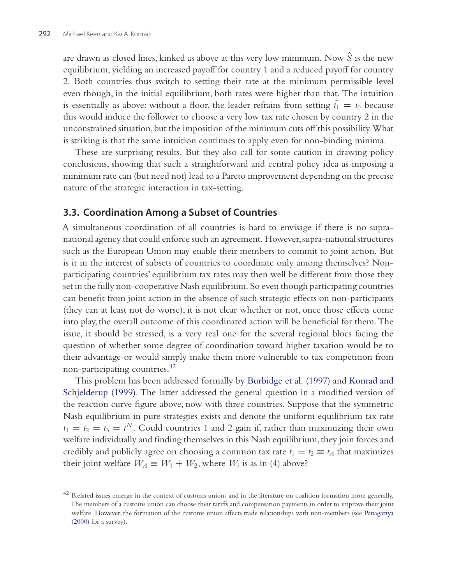are drawn as closed lines, kinked as above at this very low minimum. Now *S*ˆ is the new equilibrium, yielding an increased payoff for country 1 and a reduced payoff for country 2. Both countries thus switch to setting their rate at the minimum permissible level even though, in the initial equilibrium, both rates were higher than that. The intuition is essentially as above: without a floor, the leader refrains from setting  $\hat{t}_1 = t_0$  because this would induce the follower to choose a very low tax rate chosen by country 2 in the unconstrained situation, but the imposition of the minimum cuts off this possibility.What is striking is that the same intuition continues to apply even for non-binding minima.

These are surprising results. But they also call for some caution in drawing policy conclusions, showing that such a straightforward and central policy idea as imposing a minimum rate can (but need not) lead to a Pareto improvement depending on the precise nature of the strategic interaction in tax-setting.

## <span id="page-35-0"></span>**3.3. Coordination Among a Subset of Countries**

A simultaneous coordination of all countries is hard to envisage if there is no supranational agency that could enforce such an agreement. However, supra-national structures such as the European Union may enable their members to commit to joint action. But is it in the interest of subsets of countries to coordinate only among themselves? Nonparticipating countries' equilibrium tax rates may then well be different from those they set in the fully non-cooperative Nash equilibrium. So even though participating countries can benefit from joint action in the absence of such strategic effects on non-participants (they can at least not do worse), it is not clear whether or not, once those effects come into play, the overall outcome of this coordinated action will be beneficial for them.The issue, it should be stressed, is a very real one for the several regional blocs facing the question of whether some degree of coordination toward higher taxation would be to their advantage or would simply make them more vulnerable to tax competition from non-participating countries[.42](#page-35-1)

This problem has been addressed formally by [Burbidge et al. \(1997\)](#page-65-9) and Konrad and Schjelderup (1999)[.](#page-68-12) [The](#page-68-12) [latter](#page-68-12) [addressed](#page-68-12) [the](#page-68-12) [general](#page-68-12) [question](#page-68-12) [in](#page-68-12) [a](#page-68-12) [modified](#page-68-12) version of the reaction curve figure above, now with three countries. Suppose that the symmetric Nash equilibrium in pure strategies exists and denote the uniform equilibrium tax rate  $t_1 = t_2 = t_3 = t^N$ . Could countries 1 and 2 gain if, rather than maximizing their own welfare individually and finding themselves in this Nash equilibrium,they join forces and credibly and publicly agree on choosing a common tax rate  $t_1 = t_2 \equiv t_A$  that maximizes their joint welfare  $W_A \equiv W_1 + W_2$ , where  $W_i$  is as in [\(4\)](#page-7-4) above?

<span id="page-35-1"></span><sup>&</sup>lt;sup>42</sup> Related issues emerge in the context of customs unions and in the literature on coalition formation more generally. The members of a customs union can choose their tariffs and compensation payments in order to improve their joint welfare. However, the formation of the customs union affects trade relationships with non-members (see Panagariya (2000) for a survey).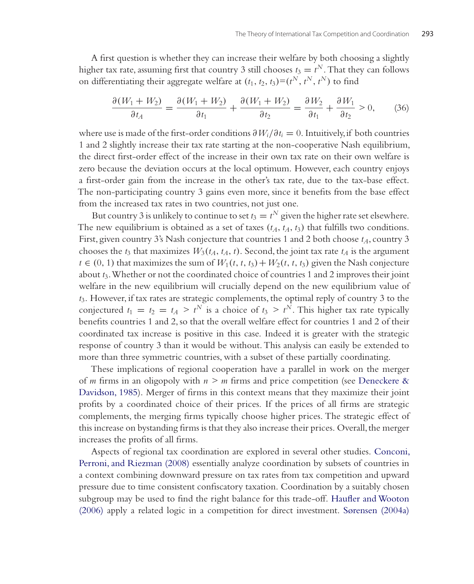A first question is whether they can increase their welfare by both choosing a slightly higher tax rate, assuming first that country 3 still chooses  $t_3 = t^N$ . That they can follows on differentiating their aggregate welfare at  $(t_1, t_2, t_3) = (t^N, t^N, t^N)$  to find

$$
\frac{\partial (W_1 + W_2)}{\partial t_4} = \frac{\partial (W_1 + W_2)}{\partial t_1} + \frac{\partial (W_1 + W_2)}{\partial t_2} = \frac{\partial W_2}{\partial t_1} + \frac{\partial W_1}{\partial t_2} > 0,\tag{36}
$$

where use is made of the first-order conditions  $\partial W_i/\partial t_i = 0$ . Intuitively, if both countries 1 and 2 slightly increase their tax rate starting at the non-cooperative Nash equilibrium, the direct first-order effect of the increase in their own tax rate on their own welfare is zero because the deviation occurs at the local optimum. However, each country enjoys a first-order gain from the increase in the other's tax rate, due to the tax-base effect. The non-participating country 3 gains even more, since it benefits from the base effect from the increased tax rates in two countries, not just one.

But country 3 is unlikely to continue to set  $t_3 = t^N$  given the higher rate set elsewhere. The new equilibrium is obtained as a set of taxes  $(t_A, t_A, t_3)$  that fulfills two conditions. First, given country 3's Nash conjecture that countries 1 and 2 both choose  $t_A$ , country 3 chooses the  $t_3$  that maximizes  $W_3(t_A, t_A, t)$ . Second, the joint tax rate  $t_A$  is the argument  $t \in (0, 1)$  that maximizes the sum of  $W_1(t, t, t_3) + W_2(t, t, t_3)$  given the Nash conjecture about *t*3.Whether or not the coordinated choice of countries 1 and 2 improves their joint welfare in the new equilibrium will crucially depend on the new equilibrium value of *t*3. However, if tax rates are strategic complements, the optimal reply of country 3 to the conjectured  $t_1 = t_2 = t_A > t^N$  is a choice of  $t_3 > t^N$ . This higher tax rate typically benefits countries 1 and 2, so that the overall welfare effect for countries 1 and 2 of their coordinated tax increase is positive in this case. Indeed it is greater with the strategic response of country 3 than it would be without. This analysis can easily be extended to more than three symmetric countries, with a subset of these partially coordinating.

These implications of regional cooperation have a parallel in work on the merger of *m* firms in an oligopoly with *n>m* firms and price competition (see Deneckere & Davidson, 1985[\).](#page-66-0) [Merger](#page-66-0) [of](#page-66-0) [firms](#page-66-0) [in](#page-66-0) [this](#page-66-0) [context](#page-66-0) [means](#page-66-0) [that](#page-66-0) [they](#page-66-0) [maximi](#page-66-0)ze their joint profits by a coordinated choice of their prices. If the prices of all firms are strategic complements, the merging firms typically choose higher prices. The strategic effect of this increase on bystanding firms is that they also increase their prices. Overall, the merger increases the profits of all firms.

Aspects of regional tax coordination are explored in several other studies. Conconi, Perroni, and Riezman (2008) [essentially](#page-66-1) [analyze](#page-66-1) [coordination](#page-66-1) [by](#page-66-1) [subsets](#page-66-1) [of](#page-66-1) [cou](#page-66-1)ntries in a context combining downward pressure on tax rates from tax competition and upward pressure due to time consistent confiscatory taxation. Coordination by a suitably chosen subgroup may be used to find the right balance for this trade-off. Haufler and Wooton (2006) [apply](#page-67-0) [a](#page-67-0) [related](#page-67-0) [logic](#page-67-0) [in](#page-67-0) [a](#page-67-0) [competition](#page-67-0) [for](#page-67-0) [direct](#page-67-0) [investmen](#page-67-0)t. [Sørensen \(2004a\)](#page-70-0)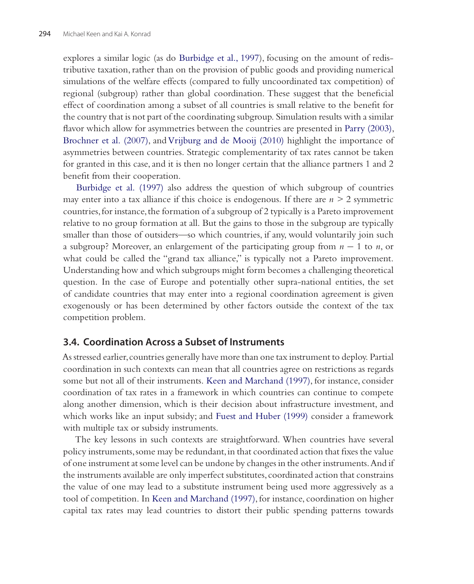explores a similar logic (as do [Burbidge et al., 1997\)](#page-65-0), focusing on the amount of redistributive taxation, rather than on the provision of public goods and providing numerical simulations of the welfare effects (compared to fully uncoordinated tax competition) of regional (subgroup) rather than global coordination. These suggest that the beneficial effect of coordination among a subset of all countries is small relative to the benefit for the country that is not part of the coordinating subgroup. Simulation results with a similar flavor which allow for asymmetries between the countries are presented in [Parry \(2003\),](#page-69-0) [Brochner et al. \(2007\),](#page-65-1) and[Vrijburg and de Mooij \(2010\)](#page-70-1) highlight the importance of asymmetries between countries. Strategic complementarity of tax rates cannot be taken for granted in this case, and it is then no longer certain that the alliance partners 1 and 2 benefit from their cooperation.

[Burbidge et al. \(1997\)](#page-65-0) also address the question of which subgroup of countries may enter into a tax alliance if this choice is endogenous. If there are *n >* 2 symmetric countries,for instance,the formation of a subgroup of 2 typically is a Pareto improvement relative to no group formation at all. But the gains to those in the subgroup are typically smaller than those of outsiders—so which countries, if any, would voluntarily join such a subgroup? Moreover, an enlargement of the participating group from *n* − 1 to *n*, or what could be called the "grand tax alliance," is typically not a Pareto improvement. Understanding how and which subgroups might form becomes a challenging theoretical question. In the case of Europe and potentially other supra-national entities, the set of candidate countries that may enter into a regional coordination agreement is given exogenously or has been determined by other factors outside the context of the tax competition problem.

## **3.4. Coordination Across a Subset of Instruments**

As stressed earlier,countries generally have more than one tax instrument to deploy. Partial coordination in such contexts can mean that all countries agree on restrictions as regards some but not all of their instruments. [Keen and Marchand \(1997\),](#page-68-0) for instance, consider coordination of tax rates in a framework in which countries can continue to compete along another dimension, which is their decision about infrastructure investment, and which works like an input subsidy; and [Fuest and Huber \(1999\)](#page-66-2) consider a framework with multiple tax or subsidy instruments.

The key lessons in such contexts are straightforward. When countries have several policy instruments, some may be redundant,in that coordinated action that fixes the value of one instrument at some level can be undone by changes in the other instruments.And if the instruments available are only imperfect substitutes, coordinated action that constrains the value of one may lead to a substitute instrument being used more aggressively as a tool of competition. In [Keen and Marchand \(1997\),](#page-68-0) for instance, coordination on higher capital tax rates may lead countries to distort their public spending patterns towards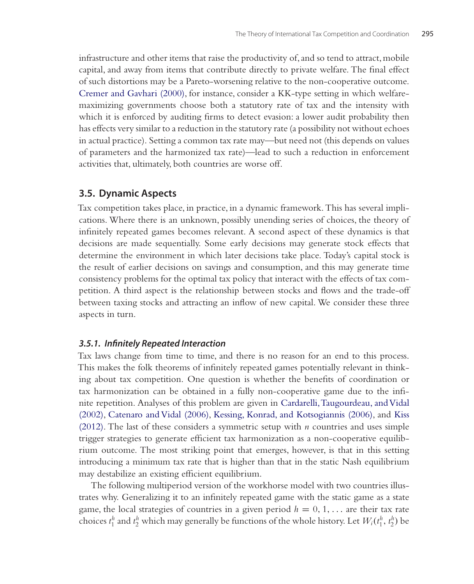infrastructure and other items that raise the productivity of, and so tend to attract, mobile capital, and away from items that contribute directly to private welfare. The final effect of such distortions may be a Pareto-worsening relative to the non-cooperative outcome. [Cremer and Gavhari \(2000\),](#page-66-3) for instance, consider a KK-type setting in which welfaremaximizing governments choose both a statutory rate of tax and the intensity with which it is enforced by auditing firms to detect evasion: a lower audit probability then has effects very similar to a reduction in the statutory rate (a possibility not without echoes in actual practice). Setting a common tax rate may—but need not (this depends on values of parameters and the harmonized tax rate)—lead to such a reduction in enforcement activities that, ultimately, both countries are worse off.

## **3.5. Dynamic Aspects**

Tax competition takes place, in practice, in a dynamic framework. This has several implications. Where there is an unknown, possibly unending series of choices, the theory of infinitely repeated games becomes relevant. A second aspect of these dynamics is that decisions are made sequentially. Some early decisions may generate stock effects that determine the environment in which later decisions take place. Today's capital stock is the result of earlier decisions on savings and consumption, and this may generate time consistency problems for the optimal tax policy that interact with the effects of tax competition. A third aspect is the relationship between stocks and flows and the trade-off between taxing stocks and attracting an inflow of new capital. We consider these three aspects in turn.

#### **3.5.1. Infinitely Repeated Interaction**

Tax laws change from time to time, and there is no reason for an end to this process. This makes the folk theorems of infinitely repeated games potentially relevant in thinking about tax competition. One question is whether the benefits of coordination or tax harmonization can be obtained in a fully non-cooperative game due to the infinite repetition. Analyses of this problem are given in Cardarelli,Taugourdeau, andVidal (2002), [Catenaro and Vidal \(2006\),](#page-66-4) [Kessing, Konrad, and Kotsogiannis \(2006\),](#page-68-1) and Kiss (2012)[.](#page-68-2) [The](#page-68-2) [last](#page-68-2) [of](#page-68-2) [these](#page-68-2) [considers](#page-68-2) [a](#page-68-2) [symmetric](#page-68-2) [setup](#page-68-2) [with](#page-68-2) *n* countries and uses simple trigger strategies to generate efficient tax harmonization as a non-cooperative equilibrium outcome. The most striking point that emerges, however, is that in this setting introducing a minimum tax rate that is higher than that in the static Nash equilibrium may destabilize an existing efficient equilibrium.

The following multiperiod version of the workhorse model with two countries illustrates why. Generalizing it to an infinitely repeated game with the static game as a state game, the local strategies of countries in a given period  $h = 0, 1, \ldots$  are their tax rate choices  $t_1^h$  and  $t_2^h$  which may generally be functions of the whole history. Let  $W_i(t_1^h, t_2^h)$  be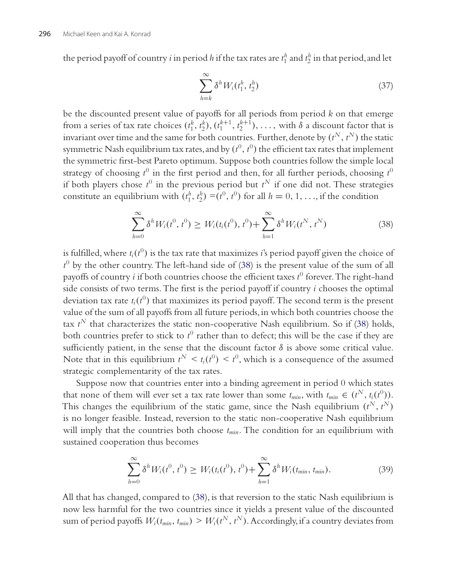the period payoff of country  $i$  in period  $h$  if the tax rates are  $t_1^h$  and  $t_2^h$  in that period, and let

$$
\sum_{h=k}^{\infty} \delta^h W_i(t_1^h, t_2^h)
$$
\n(37)

be the discounted present value of payoffs for all periods from period *k* on that emerge from a series of tax rate choices  $(t_1^k, t_2^k)$ ,  $(t_1^{k+1}, t_2^{k+1})$ , ..., with  $\delta$  a discount factor that is invariant over time and the same for both countries. Further, denote by  $(t^N,t^N)$  the static symmetric Nash equilibrium tax rates, and by  $(t^0, t^0)$  the efficient tax rates that implement the symmetric first-best Pareto optimum. Suppose both countries follow the simple local strategy of choosing  $t^0$  in the first period and then, for all further periods, choosing  $t^0$ if both players chose  $t^0$  in the previous period but  $t^N$  if one did not. These strategies constitute an equilibrium with  $(t_1^h, t_2^h) = (t^0, t^0)$  for all  $h = 0, 1, \ldots$ , if the condition

<span id="page-39-0"></span>
$$
\sum_{h=0}^{\infty} \delta^h W_i(t^0, t^0) \ge W_i(t_i(t^0), t^0) + \sum_{h=1}^{\infty} \delta^h W_i(t^N, t^N)
$$
\n(38)

is fulfilled, where  $t_i(t^0)$  is the tax rate that maximizes  $i$ 's period payoff given the choice of  $t^0$  by the other country. The left-hand side of [\(38\)](#page-39-0) is the present value of the sum of all payoffs of country *i* if both countries choose the efficient taxes *t* <sup>0</sup> forever.The right-hand side consists of two terms. The first is the period payoff if country *i* chooses the optimal deviation tax rate  $t_i(t^0)$  that maximizes its period payoff. The second term is the present value of the sum of all payoffs from all future periods,in which both countries choose the tax  $t^N$  that characterizes the static non-cooperative Nash equilibrium. So if [\(38\)](#page-39-0) holds, both countries prefer to stick to  $t^0$  rather than to defect; this will be the case if they are sufficiently patient, in the sense that the discount factor  $\delta$  is above some critical value. Note that in this equilibrium  $t^N \le t_i(t^0) \le t^0$ , which is a consequence of the assumed strategic complementarity of the tax rates.

Suppose now that countries enter into a binding agreement in period 0 which states that none of them will ever set a tax rate lower than some  $t_{min}$ , with  $t_{min} \in (t^N, t_i(t^0))$ . This changes the equilibrium of the static game, since the Nash equilibrium  $(t^N, t^N)$ is no longer feasible. Instead, reversion to the static non-cooperative Nash equilibrium will imply that the countries both choose  $t_{min}$ . The condition for an equilibrium with sustained cooperation thus becomes

$$
\sum_{h=0}^{\infty} \delta^h W_i(t^0, t^0) \ge W_i(t_i(t^0), t^0) + \sum_{h=1}^{\infty} \delta^h W_i(t_{min}, t_{min}). \tag{39}
$$

All that has changed, compared to [\(38\)](#page-39-0), is that reversion to the static Nash equilibrium is now less harmful for the two countries since it yields a present value of the discounted sum of period payoffs  $W_i(t_{min},\,t_{min})>W_i(t^N,\,t^N).$  Accordingly, if a country deviates from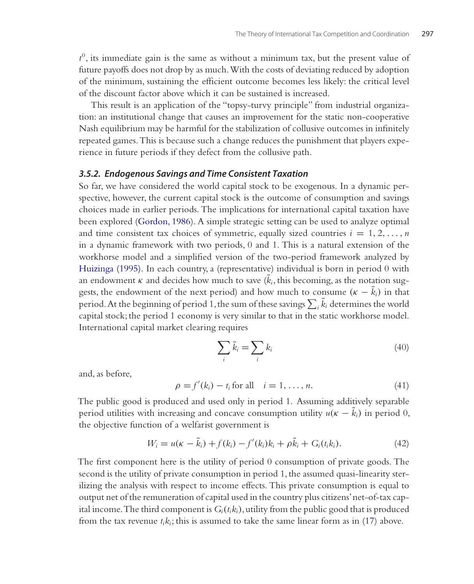$t^0$ , its immediate gain is the same as without a minimum tax, but the present value of future payoffs does not drop by as much.With the costs of deviating reduced by adoption of the minimum, sustaining the efficient outcome becomes less likely: the critical level of the discount factor above which it can be sustained is increased.

This result is an application of the "topsy-turvy principle" from industrial organization: an institutional change that causes an improvement for the static non-cooperative Nash equilibrium may be harmful for the stabilization of collusive outcomes in infinitely repeated games.This is because such a change reduces the punishment that players experience in future periods if they defect from the collusive path.

#### <span id="page-40-0"></span>**3.5.2. Endogenous Savings and Time Consistent Taxation**

So far, we have considered the world capital stock to be exogenous. In a dynamic perspective, however, the current capital stock is the outcome of consumption and savings choices made in earlier periods. The implications for international capital taxation have been explored [\(Gordon, 1986\)](#page-67-1). A simple strategic setting can be used to analyze optimal and time consistent tax choices of symmetric, equally sized countries  $i = 1, 2, \ldots, n$ in a dynamic framework with two periods, 0 and 1. This is a natural extension of the workhorse model and a simplified version of the two-period framework analyzed by [Huizinga \(1995\).](#page-67-2) In each country, a (representative) individual is born in period 0 with an endowment  $\kappa$  and decides how much to save ( $k_i$ , this becoming, as the notation suggests, the endowment of the next period) and how much to consume  $(\kappa - k_i)$  in that period. At the beginning of period 1, the sum of these savings  $\sum_i \bar{k}_i$  determines the world capital stock; the period 1 economy is very similar to that in the static workhorse model. International capital market clearing requires

$$
\sum_{i} \bar{k}_i = \sum_{i} k_i \tag{40}
$$

and, as before,

$$
\rho = f'(k_i) - t_i \text{ for all } i = 1, ..., n. \tag{41}
$$

The public good is produced and used only in period 1. Assuming additively separable period utilities with increasing and concave consumption utility  $u(k - k_i)$  in period 0, the objective function of a welfarist government is

$$
W_i = u(\kappa - k_i) + f(k_i) - f'(k_i)k_i + \rho k_i + G_i(t_i k_i).
$$
 (42)

The first component here is the utility of period 0 consumption of private goods. The second is the utility of private consumption in period 1, the assumed quasi-linearity sterilizing the analysis with respect to income effects. This private consumption is equal to output net of the remuneration of capital used in the country plus citizens'net-of-tax capital income. The third component is  $G_i(t_ik_i)$ , utility from the public good that is produced from the tax revenue  $t_i k_i$ ; this is assumed to take the same linear form as in [\(17\)](#page-14-0) above.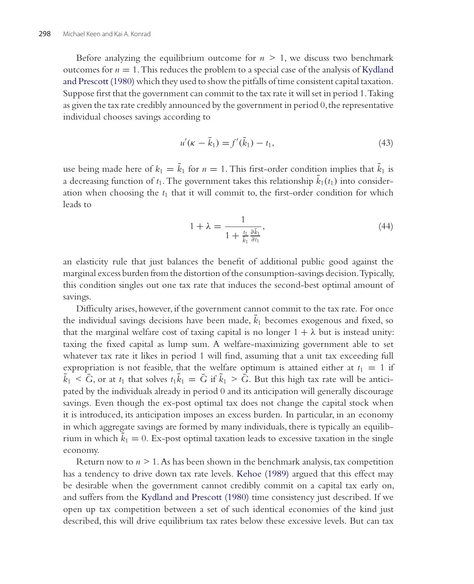Before analyzing the equilibrium outcome for  $n \geq 1$ , we discuss two benchmark outcomes for  $n = 1$ . This reduces the problem to a special case of the analysis of Kydland and Prescott (1980) [which](#page-69-1) [they](#page-69-1) [used](#page-69-1) [to](#page-69-1) [show](#page-69-1) [the](#page-69-1) [pitfalls](#page-69-1) [of](#page-69-1) [time](#page-69-1) [consistent](#page-69-1) [capital](#page-69-1) [t](#page-69-1)axation. Suppose first that the government can commit to the tax rate it will set in period 1.Taking as given the tax rate credibly announced by the government in period 0,the representative individual chooses savings according to

$$
u'(\kappa - \bar{k}_1) = f'(\bar{k}_1) - t_1, \tag{43}
$$

use being made here of  $k_1 = k_1$  for  $n = 1$ . This first-order condition implies that  $k_1$  is a decreasing function of  $t_1$ . The government takes this relationship  $k_1(t_1)$  into consideration when choosing the  $t_1$  that it will commit to, the first-order condition for which leads to

$$
1 + \lambda = \frac{1}{1 + \frac{t_1}{\bar{k}_1} \frac{\partial \bar{k}_1}{\partial t_1}},\tag{44}
$$

an elasticity rule that just balances the benefit of additional public good against the marginal excess burden from the distortion of the consumption-savings decision.Typically, this condition singles out one tax rate that induces the second-best optimal amount of savings.

Difficulty arises, however, if the government cannot commit to the tax rate. For once the individual savings decisions have been made,  $k<sub>1</sub>$  becomes exogenous and fixed, so that the marginal welfare cost of taxing capital is no longer  $1 + \lambda$  but is instead unity: taxing the fixed capital as lump sum. A welfare-maximizing government able to set whatever tax rate it likes in period 1 will find, assuming that a unit tax exceeding full expropriation is not feasible, that the welfare optimum is attained either at  $t_1 = 1$  if  $\bar{k}_1 \leq \bar{G}$ , or at  $t_1$  that solves  $t_1\bar{k}_1 = \bar{G}$  if  $\bar{k}_1 > \bar{G}$ . But this high tax rate will be anticipated by the individuals already in period 0 and its anticipation will generally discourage savings. Even though the ex-post optimal tax does not change the capital stock when it is introduced, its anticipation imposes an excess burden. In particular, in an economy in which aggregate savings are formed by many individuals, there is typically an equilibrium in which  $k_1 = 0$ . Ex-post optimal taxation leads to excessive taxation in the single economy.

Return now to *n >* 1. As has been shown in the benchmark analysis,tax competition has a tendency to drive down tax rate levels. [Kehoe \(1989\)](#page-68-3) argued that this effect may be desirable when the government cannot credibly commit on a capital tax early on, and suffers from the [Kydland and Prescott \(1980\)](#page-69-1) time consistency just described. If we open up tax competition between a set of such identical economies of the kind just described, this will drive equilibrium tax rates below these excessive levels. But can tax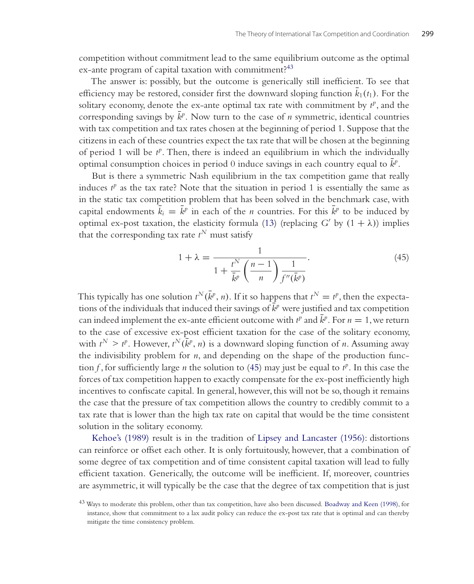competition without commitment lead to the same equilibrium outcome as the optimal ex-ante program of capital taxation with commitment?<sup>43</sup>

The answer is: possibly, but the outcome is generically still inefficient. To see that efficiency may be restored, consider first the downward sloping function  $k_1(t_1)$ . For the solitary economy, denote the ex-ante optimal tax rate with commitment by  $t^p$ , and the corresponding savings by  $\bar{k}^p$ . Now turn to the case of *n* symmetric, identical countries with tax competition and tax rates chosen at the beginning of period 1. Suppose that the citizens in each of these countries expect the tax rate that will be chosen at the beginning of period 1 will be  $t^p$ . Then, there is indeed an equilibrium in which the individually optimal consumption choices in period 0 induce savings in each country equal to  $\bar{k}^p$ .

But is there a symmetric Nash equilibrium in the tax competition game that really induces  $t^p$  as the tax rate? Note that the situation in period 1 is essentially the same as in the static tax competition problem that has been solved in the benchmark case, with capital endowments  $\bar{k}_i = \bar{k}^p$  in each of the *n* countries. For this  $\bar{k}^p$  to be induced by optimal ex-post taxation, the elasticity formula [\(13\)](#page-12-0) (replacing *G'* by  $(1 + \lambda)$ ) implies that the corresponding tax rate  $t^N$  must satisfy

<span id="page-42-1"></span>
$$
1 + \lambda = \frac{1}{1 + \frac{t^N}{\bar{k}^p} \left(\frac{n-1}{n}\right) \frac{1}{f''(\bar{k}^p)}}.
$$
\n(45)

This typically has one solution  $t^N(\bar{k}^p, n)$ . If it so happens that  $t^N = t^p$ , then the expectations of the individuals that induced their savings of  $\overline{k}^p$  were justified and tax competition can indeed implement the ex-ante efficient outcome with  $t^p$  and  $\bar{k}^p$ . For  $n = 1$ , we return to the case of excessive ex-post efficient taxation for the case of the solitary economy, with  $t^N > t^p$ . However,  $t^N(\bar{k}^p, n)$  is a downward sloping function of *n*. Assuming away the indivisibility problem for *n*, and depending on the shape of the production function  $f$ , for sufficiently large  $n$  the solution to [\(45\)](#page-42-1) may just be equal to  $t^p$ . In this case the forces of tax competition happen to exactly compensate for the ex-post inefficiently high incentives to confiscate capital. In general, however, this will not be so, though it remains the case that the pressure of tax competition allows the country to credibly commit to a tax rate that is lower than the high tax rate on capital that would be the time consistent solution in the solitary economy.

[Kehoe's \(1989\)](#page-68-3) result is in the tradition of [Lipsey and Lancaster \(1956\):](#page-69-2) distortions can reinforce or offset each other. It is only fortuitously, however, that a combination of some degree of tax competition and of time consistent capital taxation will lead to fully efficient taxation. Generically, the outcome will be inefficient. If, moreover, countries are asymmetric, it will typically be the case that the degree of tax competition that is just

<span id="page-42-0"></span><sup>&</sup>lt;sup>43</sup> Ways to moderate this problem, other than tax competition, have also been discussed. [Boadway and Keen \(1998\),](#page-65-3) for instance, show that commitment to a lax audit policy can reduce the ex-post tax rate that is optimal and can thereby mitigate the time consistency problem.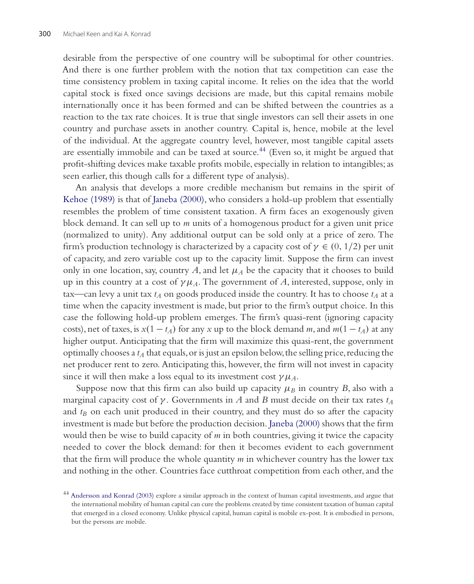desirable from the perspective of one country will be suboptimal for other countries. And there is one further problem with the notion that tax competition can ease the time consistency problem in taxing capital income. It relies on the idea that the world capital stock is fixed once savings decisions are made, but this capital remains mobile internationally once it has been formed and can be shifted between the countries as a reaction to the tax rate choices. It is true that single investors can sell their assets in one country and purchase assets in another country. Capital is, hence, mobile at the level of the individual. At the aggregate country level, however, most tangible capital assets are essentially immobile and can be taxed at source.<sup>44</sup> (Even so, it might be argued that profit-shifting devices make taxable profits mobile, especially in relation to intangibles; as seen earlier, this though calls for a different type of analysis).

An analysis that develops a more credible mechanism but remains in the spirit of [Kehoe \(1989\)](#page-68-3) is that of [Janeba \(2000\),](#page-67-3) who considers a hold-up problem that essentially resembles the problem of time consistent taxation. A firm faces an exogenously given block demand. It can sell up to *m* units of a homogenous product for a given unit price (normalized to unity). Any additional output can be sold only at a price of zero. The firm's production technology is characterized by a capacity cost of  $\gamma \in (0, 1/2)$  per unit of capacity, and zero variable cost up to the capacity limit. Suppose the firm can invest only in one location, say, country  $A$ , and let  $\mu_A$  be the capacity that it chooses to build up in this country at a cost of  $\gamma \mu_A$ . The government of *A*, interested, suppose, only in tax—can levy a unit tax  $t_A$  on goods produced inside the country. It has to choose  $t_A$  at a time when the capacity investment is made, but prior to the firm's output choice. In this case the following hold-up problem emerges. The firm's quasi-rent (ignoring capacity costs), net of taxes, is  $x(1 - t_A)$  for any x up to the block demand m, and  $m(1 - t_A)$  at any higher output. Anticipating that the firm will maximize this quasi-rent, the government optimally chooses a  $t_A$  that equals, or is just an epsilon below, the selling price, reducing the net producer rent to zero. Anticipating this, however, the firm will not invest in capacity since it will then make a loss equal to its investment cost  $\gamma \mu_A$ .

Suppose now that this firm can also build up capacity  $\mu_B$  in country *B*, also with a marginal capacity cost of  $\gamma$ . Governments in *A* and *B* must decide on their tax rates  $t_A$ and  $t_B$  on each unit produced in their country, and they must do so after the capacity investment is made but before the production decision. [Janeba \(2000\)](#page-67-3) shows that the firm would then be wise to build capacity of *m* in both countries, giving it twice the capacity needed to cover the block demand: for then it becomes evident to each government that the firm will produce the whole quantity *m* in whichever country has the lower tax and nothing in the other. Countries face cutthroat competition from each other, and the

<span id="page-43-0"></span><sup>44</sup> [Andersson and Konrad \(2003\)](#page-65-4) explore a similar approach in the context of human capital investments, and argue that the international mobility of human capital can cure the problems created by time consistent taxation of human capital that emerged in a closed economy. Unlike physical capital, human capital is mobile ex-post. It is embodied in persons, but the persons are mobile.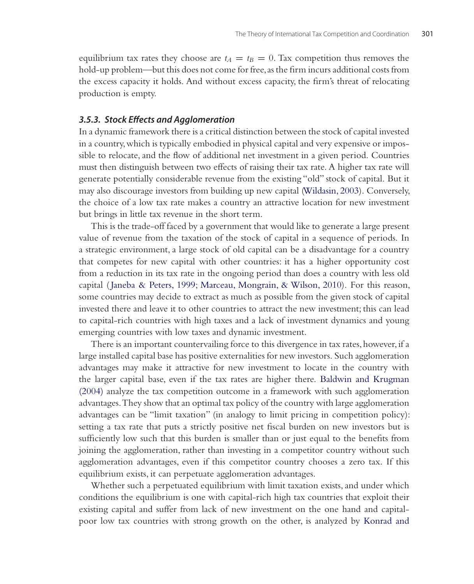equilibrium tax rates they choose are  $t_A = t_B = 0$ . Tax competition thus removes the hold-up problem—but this does not come for free, as the firm incurs additional costs from the excess capacity it holds. And without excess capacity, the firm's threat of relocating production is empty.

#### **3.5.3. Stock Effects and Agglomeration**

In a dynamic framework there is a critical distinction between the stock of capital invested in a country,which is typically embodied in physical capital and very expensive or impossible to relocate, and the flow of additional net investment in a given period. Countries must then distinguish between two effects of raising their tax rate. A higher tax rate will generate potentially considerable revenue from the existing "old" stock of capital. But it may also discourage investors from building up new capital [\(Wildasin, 2003\)](#page-70-2). Conversely, the choice of a low tax rate makes a country an attractive location for new investment but brings in little tax revenue in the short term.

This is the trade-off faced by a government that would like to generate a large present value of revenue from the taxation of the stock of capital in a sequence of periods. In a strategic environment, a large stock of old capital can be a disadvantage for a country that competes for new capital with other countries: it has a higher opportunity cost from a reduction in its tax rate in the ongoing period than does a country with less old capital ( [Janeba & Peters, 1999;](#page-68-4) [Marceau, Mongrain, & Wilson, 2010\)](#page-69-3). For this reason, some countries may decide to extract as much as possible from the given stock of capital invested there and leave it to other countries to attract the new investment; this can lead to capital-rich countries with high taxes and a lack of investment dynamics and young emerging countries with low taxes and dynamic investment.

There is an important countervailing force to this divergence in tax rates, however, if a large installed capital base has positive externalities for new investors. Such agglomeration advantages may make it attractive for new investment to locate in the country with the larger capital base, even if the tax rates are higher there. Baldwin and Krugman (2004) [analyze](#page-65-5) [the](#page-65-5) [tax](#page-65-5) [competition](#page-65-5) [outcome](#page-65-5) [in](#page-65-5) [a](#page-65-5) [framework](#page-65-5) [w](#page-65-5)ith such agglomeration advantages.They show that an optimal tax policy of the country with large agglomeration advantages can be "limit taxation" (in analogy to limit pricing in competition policy): setting a tax rate that puts a strictly positive net fiscal burden on new investors but is sufficiently low such that this burden is smaller than or just equal to the benefits from joining the agglomeration, rather than investing in a competitor country without such agglomeration advantages, even if this competitor country chooses a zero tax. If this equilibrium exists, it can perpetuate agglomeration advantages.

Whether such a perpetuated equilibrium with limit taxation exists, and under which conditions the equilibrium is one with capital-rich high tax countries that exploit their existing capital and suffer from lack of new investment on the one hand and capitalpoor low tax countries with strong growth on the other, is analyzed by Konrad and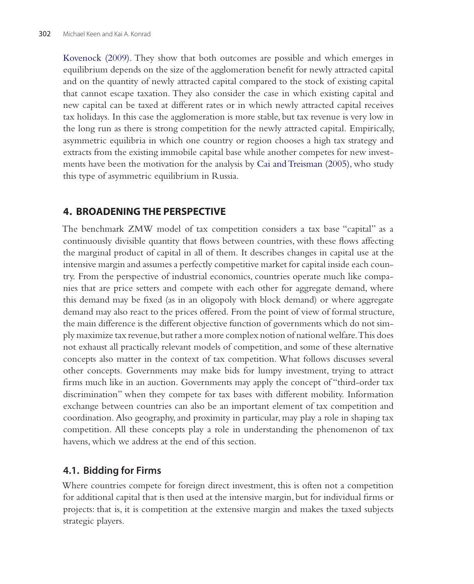Kovenock (2009). They show that both outcomes are possible and which emerges in equilibrium depends on the size of the agglomeration benefit for newly attracted capital and on the quantity of newly attracted capital compared to the stock of existing capital that cannot escape taxation. They also consider the case in which existing capital and new capital can be taxed at different rates or in which newly attracted capital receives tax holidays. In this case the agglomeration is more stable, but tax revenue is very low in the long run as there is strong competition for the newly attracted capital. Empirically, asymmetric equilibria in which one country or region chooses a high tax strategy and extracts from the existing immobile capital base while another competes for new investments have been the motivation for the analysis by [Cai and Treisman \(2005\),](#page-65-6) who study this type of asymmetric equilibrium in Russia.

# **4. BROADENING THE PERSPECTIVE**

The benchmark ZMW model of tax competition considers a tax base "capital" as a continuously divisible quantity that flows between countries, with these flows affecting the marginal product of capital in all of them. It describes changes in capital use at the intensive margin and assumes a perfectly competitive market for capital inside each country. From the perspective of industrial economics, countries operate much like companies that are price setters and compete with each other for aggregate demand, where this demand may be fixed (as in an oligopoly with block demand) or where aggregate demand may also react to the prices offered. From the point of view of formal structure, the main difference is the different objective function of governments which do not simply maximize tax revenue,but rather a more complex notion of national welfare.This does not exhaust all practically relevant models of competition, and some of these alternative concepts also matter in the context of tax competition. What follows discusses several other concepts. Governments may make bids for lumpy investment, trying to attract firms much like in an auction. Governments may apply the concept of "third-order tax discrimination" when they compete for tax bases with different mobility. Information exchange between countries can also be an important element of tax competition and coordination. Also geography, and proximity in particular, may play a role in shaping tax competition. All these concepts play a role in understanding the phenomenon of tax havens, which we address at the end of this section.

# **4.1. Bidding for Firms**

Where countries compete for foreign direct investment, this is often not a competition for additional capital that is then used at the intensive margin, but for individual firms or projects: that is, it is competition at the extensive margin and makes the taxed subjects strategic players.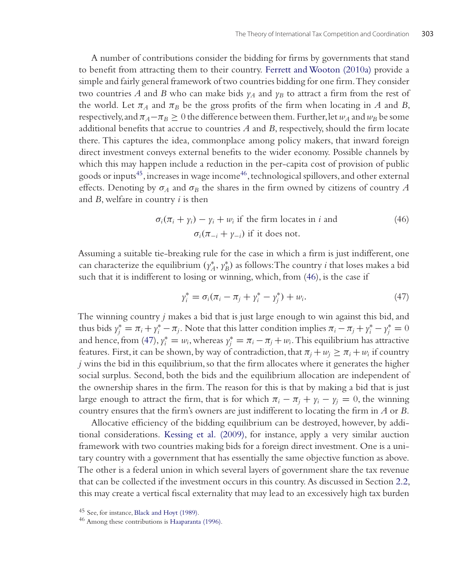A number of contributions consider the bidding for firms by governments that stand to benefit from attracting them to their country. [Ferrett and Wooton \(2010a\)](#page-66-5) provide a simple and fairly general framework of two countries bidding for one firm.They consider two countries *A* and *B* who can make bids  $\gamma_A$  and  $\gamma_B$  to attract a firm from the rest of the world. Let  $\pi_A$  and  $\pi_B$  be the gross profits of the firm when locating in *A* and *B*, respectively, and  $\pi_A - \pi_B \geq 0$  the difference between them. Further, let  $w_A$  and  $w_B$  be some additional benefits that accrue to countries *A* and *B*, respectively, should the firm locate there. This captures the idea, commonplace among policy makers, that inward foreign direct investment conveys external benefits to the wider economy. Possible channels by which this may happen include a reduction in the per-capita cost of provision of public goods or inputs<sup>45</sup>, increases in wage income<sup>46</sup>, technological spillovers, and other external effects. Denoting by  $\sigma_A$  and  $\sigma_B$  the shares in the firm owned by citizens of country A and *B*, welfare in country *i* is then

<span id="page-46-2"></span>
$$
\sigma_i(\pi_i + \gamma_i) - \gamma_i + w_i \text{ if the firm locates in } i \text{ and } \sigma_i(\pi_{-i} + \gamma_{-i}) \text{ if it does not.}
$$
\n(46)

Assuming a suitable tie-breaking rule for the case in which a firm is just indifferent, one can characterize the equilibrium  $(y_A^*, y_B^*)$  as follows: The country *i* that loses makes a bid such that it is indifferent to losing or winning, which, from [\(46\)](#page-46-2), is the case if

<span id="page-46-3"></span>
$$
y_i^* = \sigma_i(\pi_i - \pi_j + y_i^* - y_j^*) + w_i.
$$
\n(47)

The winning country *j* makes a bid that is just large enough to win against this bid, and thus bids  $y_j^* = \pi_i + y_i^* - \pi_j$ . Note that this latter condition implies  $\pi_i - \pi_j + y_i^* - y_j^* = 0$ and hence, from [\(47\)](#page-46-3),  $\gamma_i^* = w_i$ , whereas  $\gamma_j^* = \pi_i - \pi_j + w_i$ . This equilibrium has attractive features. First, it can be shown, by way of contradiction, that  $\pi_i + w_i \geq \pi_i + w_i$  if country *j* wins the bid in this equilibrium, so that the firm allocates where it generates the higher social surplus. Second, both the bids and the equilibrium allocation are independent of the ownership shares in the firm. The reason for this is that by making a bid that is just large enough to attract the firm, that is for which  $\pi_i - \pi_j + \gamma_i - \gamma_j = 0$ , the winning country ensures that the firm's owners are just indifferent to locating the firm in *A* or *B*.

Allocative efficiency of the bidding equilibrium can be destroyed, however, by additional considerations. [Kessing et al. \(2009\),](#page-68-6) for instance, apply a very similar auction framework with two countries making bids for a foreign direct investment. One is a unitary country with a government that has essentially the same objective function as above. The other is a federal union in which several layers of government share the tax revenue that can be collected if the investment occurs in this country. As discussed in Section [2.2,](#page-20-0) this may create a vertical fiscal externality that may lead to an excessively high tax burden

<sup>&</sup>lt;sup>45</sup> See, for instance, [Black and Hoyt \(1989\).](#page-65-7)

<span id="page-46-1"></span><span id="page-46-0"></span><sup>46</sup> Among these contributions is [Haaparanta \(1996\).](#page-67-4)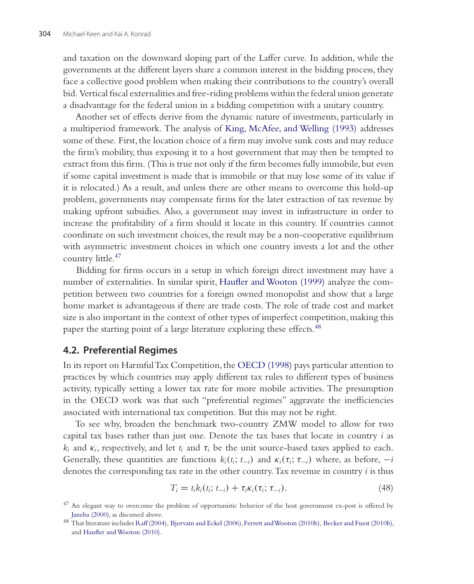and taxation on the downward sloping part of the Laffer curve. In addition, while the governments at the different layers share a common interest in the bidding process, they face a collective good problem when making their contributions to the country's overall bid. Vertical fiscal externalities and free-riding problems within the federal union generate a disadvantage for the federal union in a bidding competition with a unitary country.

Another set of effects derive from the dynamic nature of investments, particularly in a multiperiod framework. The analysis of [King, McAfee, and Welling \(1993\)](#page-68-7) addresses some of these. First, the location choice of a firm may involve sunk costs and may reduce the firm's mobility, thus exposing it to a host government that may then be tempted to extract from this firm. (This is true not only if the firm becomes fully immobile, but even if some capital investment is made that is immobile or that may lose some of its value if it is relocated.) As a result, and unless there are other means to overcome this hold-up problem, governments may compensate firms for the later extraction of tax revenue by making upfront subsidies. Also, a government may invest in infrastructure in order to increase the profitability of a firm should it locate in this country. If countries cannot coordinate on such investment choices, the result may be a non-cooperative equilibrium with asymmetric investment choices in which one country invests a lot and the other country little[.47](#page-47-0)

Bidding for firms occurs in a setup in which foreign direct investment may have a number of externalities. In similar spirit, [Haufler and Wooton \(1999\)](#page-67-5) analyze the competition between two countries for a foreign owned monopolist and show that a large home market is advantageous if there are trade costs. The role of trade cost and market size is also important in the context of other types of imperfect competition, making this paper the starting point of a large literature exploring these effects.<sup>48</sup>

#### <span id="page-47-3"></span>**4.2. Preferential Regimes**

In its report on HarmfulTax Competition,the [OECD \(1998\)](#page-69-4) pays particular attention to practices by which countries may apply different tax rules to different types of business activity, typically setting a lower tax rate for more mobile activities. The presumption in the OECD work was that such "preferential regimes" aggravate the inefficiencies associated with international tax competition. But this may not be right.

To see why, broaden the benchmark two-country ZMW model to allow for two capital tax bases rather than just one. Denote the tax bases that locate in country *i* as  $k_i$  and  $\kappa_i$ , respectively, and let  $t_i$  and  $\tau_i$  be the unit source-based taxes applied to each. Generally, these quantities are functions  $k_i(t_i; t_{-i})$  and  $\kappa_i(\tau_i; \tau_{-i})$  where, as before,  $-i$ denotes the corresponding tax rate in the other country.Tax revenue in country *i* is thus

<span id="page-47-2"></span>
$$
T_i = t_i k_i(t_i; t_{-i}) + \tau_i \kappa_i(\tau_i; \tau_{-i}). \tag{48}
$$

<span id="page-47-0"></span><sup>&</sup>lt;sup>47</sup> An elegant way to overcome the problem of opportunistic behavior of the host government ex-post is offered by [Janeba \(2000\),](#page-67-3) as discussed above.

<span id="page-47-1"></span> $^{48}$  That literature includes [Raff \(2004\),](#page-69-5) [Bjorvatn and Eckel \(2006\),](#page-65-8) Ferrett and Wooton (2010b), [Becker and Fuest \(2010b\),](#page-65-9) and [Haufler andWooton \(2010\).](#page-67-6)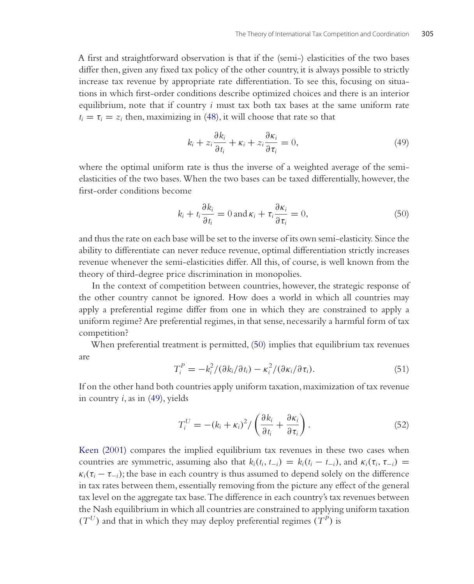A first and straightforward observation is that if the (semi-) elasticities of the two bases differ then, given any fixed tax policy of the other country, it is always possible to strictly increase tax revenue by appropriate rate differentiation. To see this, focusing on situations in which first-order conditions describe optimized choices and there is an interior equilibrium, note that if country *i* must tax both tax bases at the same uniform rate  $t_i = \tau_i = z_i$  then, maximizing in [\(48\)](#page-47-2), it will choose that rate so that

<span id="page-48-1"></span>
$$
k_i + z_i \frac{\partial k_i}{\partial t_i} + \kappa_i + z_i \frac{\partial \kappa_i}{\partial \tau_i} = 0,
$$
\n(49)

where the optimal uniform rate is thus the inverse of a weighted average of the semielasticities of the two bases.When the two bases can be taxed differentially, however, the first-order conditions become

<span id="page-48-0"></span>
$$
k_i + t_i \frac{\partial k_i}{\partial t_i} = 0 \text{ and } \kappa_i + \tau_i \frac{\partial \kappa_i}{\partial \tau_i} = 0,
$$
\n
$$
(50)
$$

and thus the rate on each base will be set to the inverse of its own semi-elasticity. Since the ability to differentiate can never reduce revenue, optimal differentiation strictly increases revenue whenever the semi-elasticities differ. All this, of course, is well known from the theory of third-degree price discrimination in monopolies.

In the context of competition between countries, however, the strategic response of the other country cannot be ignored. How does a world in which all countries may apply a preferential regime differ from one in which they are constrained to apply a uniform regime? Are preferential regimes, in that sense, necessarily a harmful form of tax competition?

When preferential treatment is permitted, [\(50\)](#page-48-0) implies that equilibrium tax revenues are

$$
T_i^P = -k_i^2/(\partial k_i/\partial t_i) - \kappa_i^2/(\partial \kappa_i/\partial \tau_i).
$$
 (51)

If on the other hand both countries apply uniform taxation,maximization of tax revenue in country *i*, as in [\(49\)](#page-48-1), yields

$$
T_i^U = -(k_i + \kappa_i)^2 / \left(\frac{\partial k_i}{\partial t_i} + \frac{\partial \kappa_i}{\partial \tau_i}\right).
$$
 (52)

[Keen \(2001\)](#page-68-8) compares the implied equilibrium tax revenues in these two cases when countries are symmetric, assuming also that  $k_i(t_i, t_{-i}) = k_i(t_i - t_{-i})$ , and  $\kappa_i(\tau_i, \tau_{-i}) =$  $\kappa_i(\tau_i - \tau_{-i})$ ; the base in each country is thus assumed to depend solely on the difference in tax rates between them, essentially removing from the picture any effect of the general tax level on the aggregate tax base.The difference in each country's tax revenues between the Nash equilibrium in which all countries are constrained to applying uniform taxation  $(T^{U})$  and that in which they may deploy preferential regimes  $(T^{P})$  is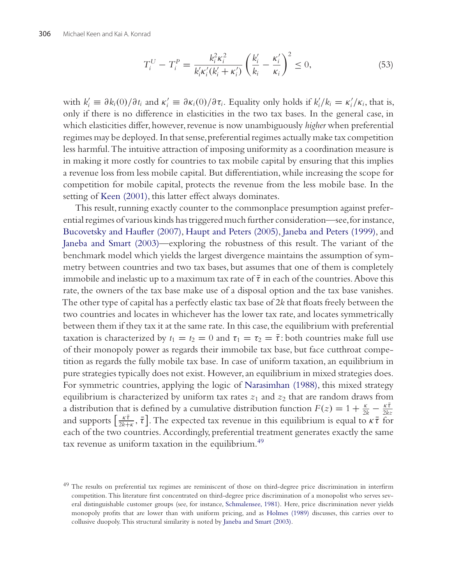$$
T_i^U - T_i^P = \frac{k_i^2 \kappa_i^2}{k_i' \kappa_i' (k_i' + \kappa_i')} \left(\frac{k_i'}{k_i} - \frac{\kappa_i'}{\kappa_i}\right)^2 \le 0,
$$
\n(53)

with  $k'_i \equiv \partial k_i(0)/\partial t_i$  and  $\kappa'_i \equiv \partial \kappa_i(0)/\partial \tau_i$ . Equality only holds if  $k'_i/k_i = \kappa'_i/\kappa_i$ , that is, only if there is no difference in elasticities in the two tax bases. In the general case, in which elasticities differ, however, revenue is now unambiguously *higher* when preferential regimes may be deployed. In that sense, preferential regimes actually make tax competition less harmful.The intuitive attraction of imposing uniformity as a coordination measure is in making it more costly for countries to tax mobile capital by ensuring that this implies a revenue loss from less mobile capital. But differentiation, while increasing the scope for competition for mobile capital, protects the revenue from the less mobile base. In the setting of [Keen \(2001\),](#page-68-8) this latter effect always dominates.

This result, running exactly counter to the commonplace presumption against preferential regimes of various kinds has triggered much further consideration—see,for instance, [Bucovetsky and Haufler \(2007\),](#page-65-10) [Haupt and Peters \(2005\),](#page-67-7) [Janeba and Peters \(1999\),](#page-68-4) and [Janeba and Smart \(2003\)—](#page-68-9)exploring the robustness of this result. The variant of the benchmark model which yields the largest divergence maintains the assumption of symmetry between countries and two tax bases, but assumes that one of them is completely immobile and inelastic up to a maximum tax rate of  $\bar{\tau}$  in each of the countries. Above this rate, the owners of the tax base make use of a disposal option and the tax base vanishes. The other type of capital has a perfectly elastic tax base of 2*k* that floats freely between the two countries and locates in whichever has the lower tax rate, and locates symmetrically between them if they tax it at the same rate. In this case, the equilibrium with preferential taxation is characterized by  $t_1 = t_2 = 0$  and  $\tau_1 = \tau_2 = \overline{\tau}$ : both countries make full use of their monopoly power as regards their immobile tax base, but face cutthroat competition as regards the fully mobile tax base. In case of uniform taxation, an equilibrium in pure strategies typically does not exist. However, an equilibrium in mixed strategies does. For symmetric countries, applying the logic of [Narasimhan \(1988\),](#page-69-6) this mixed strategy equilibrium is characterized by uniform tax rates  $z_1$  and  $z_2$  that are random draws from a distribution that is defined by a cumulative distribution function  $F(z) = 1 + \frac{\kappa}{2k} - \frac{\kappa \bar{\tau}}{2kz}$ and supports  $\left[\frac{\kappa \bar{\tau}}{2k+\kappa}, \bar{\tau}\right]$ . The expected tax revenue in this equilibrium is equal to  $\kappa \bar{\tau}$  for each of the two countries. Accordingly, preferential treatment generates exactly the same tax revenue as uniform taxation in the equilibrium. $49$ 

<span id="page-49-0"></span><sup>&</sup>lt;sup>49</sup> The results on preferential tax regimes are reminiscent of those on third-degree price discrimination in interfirm competition. This literature first concentrated on third-degree price discrimination of a monopolist who serves several distinguishable customer groups (see, for instance, [Schmalensee, 1981\)](#page-70-3). Here, price discrimination never yields monopoly profits that are lower than with uniform pricing, and as [Holmes \(1989\)](#page-67-8) discusses, this carries over to collusive duopoly. This structural similarity is noted by [Janeba and Smart \(2003\).](#page-68-9)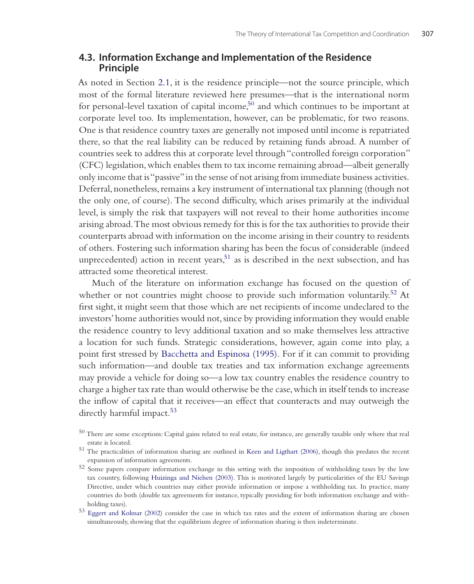# **4.3. Information Exchange and Implementation of the Residence Principle**

As noted in Section [2.1,](#page-5-0) it is the residence principle—not the source principle, which most of the formal literature reviewed here presumes—that is the international norm for personal-level taxation of capital income, $50$  and which continues to be important at corporate level too. Its implementation, however, can be problematic, for two reasons. One is that residence country taxes are generally not imposed until income is repatriated there, so that the real liability can be reduced by retaining funds abroad. A number of countries seek to address this at corporate level through "controlled foreign corporation" (CFC) legislation, which enables them to tax income remaining abroad—albeit generally only income that is"passive"in the sense of not arising from immediate business activities. Deferral, nonetheless, remains a key instrument of international tax planning (though not the only one, of course). The second difficulty, which arises primarily at the individual level, is simply the risk that taxpayers will not reveal to their home authorities income arising abroad.The most obvious remedy for this is for the tax authorities to provide their counterparts abroad with information on the income arising in their country to residents of others. Fostering such information sharing has been the focus of considerable (indeed unprecedented) action in recent years, $5<sup>1</sup>$  as is described in the next subsection, and has attracted some theoretical interest.

Much of the literature on information exchange has focused on the question of whether or not countries might choose to provide such information voluntarily.<sup>52</sup> At first sight, it might seem that those which are net recipients of income undeclared to the investors' home authorities would not, since by providing information they would enable the residence country to levy additional taxation and so make themselves less attractive a location for such funds. Strategic considerations, however, again come into play, a point first stressed by [Bacchetta and Espinosa \(1995\).](#page-65-11) For if it can commit to providing such information—and double tax treaties and tax information exchange agreements may provide a vehicle for doing so—a low tax country enables the residence country to charge a higher tax rate than would otherwise be the case,which in itself tends to increase the inflow of capital that it receives—an effect that counteracts and may outweigh the directly harmful impact.<sup>53</sup>

<span id="page-50-0"></span><sup>50</sup> There are some exceptions: Capital gains related to real estate, for instance, are generally taxable only where that real estate is located.

 $51$  The practicalities of information sharing are outlined in [Keen and Ligthart \(2006\),](#page-68-10) though this predates the recent expansion of information agreements.

<span id="page-50-2"></span><span id="page-50-1"></span><sup>52</sup> Some papers compare information exchange in this setting with the imposition of withholding taxes by the low tax country, following [Huizinga and Nielsen \(2003\).](#page-67-9) This is motivated largely by particularities of the EU Savings Directive, under which countries may either provide information or impose a withholding tax. In practice, many countries do both (double tax agreements for instance, typically providing for both information exchange and withholding taxes).

<span id="page-50-3"></span><sup>53</sup> [Eggert and Kolmar \(2002\)](#page-66-7) consider the case in which tax rates and the extent of information sharing are chosen simultaneously, showing that the equilibrium degree of information sharing is then indeterminate.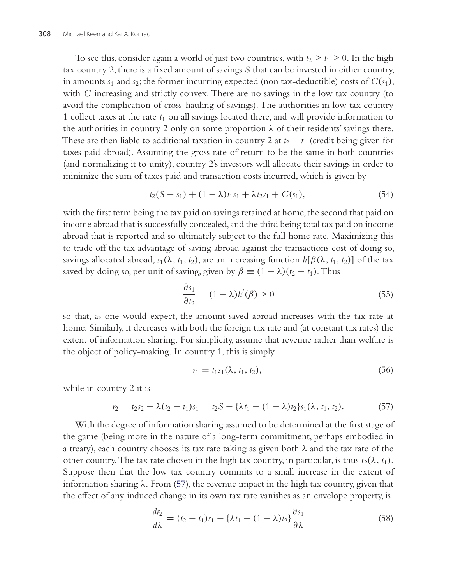To see this, consider again a world of just two countries, with  $t_2 \geq t_1 \geq 0$ . In the high tax country 2, there is a fixed amount of savings *S* that can be invested in either country, in amounts  $s_1$  and  $s_2$ ; the former incurring expected (non tax-deductible) costs of  $C(s_1)$ , with *C* increasing and strictly convex. There are no savings in the low tax country (to avoid the complication of cross-hauling of savings). The authorities in low tax country 1 collect taxes at the rate *t*<sup>1</sup> on all savings located there, and will provide information to the authorities in country 2 only on some proportion  $\lambda$  of their residents' savings there. These are then liable to additional taxation in country 2 at  $t_2 - t_1$  (credit being given for taxes paid abroad). Assuming the gross rate of return to be the same in both countries (and normalizing it to unity), country 2's investors will allocate their savings in order to minimize the sum of taxes paid and transaction costs incurred, which is given by

$$
t_2(S - s_1) + (1 - \lambda)t_1s_1 + \lambda t_2s_1 + C(s_1),
$$
\n(54)

with the first term being the tax paid on savings retained at home, the second that paid on income abroad that is successfully concealed, and the third being total tax paid on income abroad that is reported and so ultimately subject to the full home rate. Maximizing this to trade off the tax advantage of saving abroad against the transactions cost of doing so, savings allocated abroad,  $s_1(\lambda, t_1, t_2)$ , are an increasing function  $h[\beta(\lambda, t_1, t_2)]$  of the tax saved by doing so, per unit of saving, given by  $\beta \equiv (1 - \lambda)(t_2 - t_1)$ . Thus

<span id="page-51-1"></span>
$$
\frac{\partial s_1}{\partial t_2} = (1 - \lambda)h'(\beta) > 0
$$
\n(55)

so that, as one would expect, the amount saved abroad increases with the tax rate at home. Similarly, it decreases with both the foreign tax rate and (at constant tax rates) the extent of information sharing. For simplicity, assume that revenue rather than welfare is the object of policy-making. In country 1, this is simply

$$
r_1 = t_1 s_1(\lambda, t_1, t_2), \tag{56}
$$

while in country 2 it is

<span id="page-51-0"></span>
$$
r_2 = t_2 s_2 + \lambda (t_2 - t_1) s_1 = t_2 S - \{\lambda t_1 + (1 - \lambda) t_2\} s_1 (\lambda, t_1, t_2). \tag{57}
$$

With the degree of information sharing assumed to be determined at the first stage of the game (being more in the nature of a long-term commitment, perhaps embodied in a treaty), each country chooses its tax rate taking as given both  $\lambda$  and the tax rate of the other country. The tax rate chosen in the high tax country, in particular, is thus  $t_2(\lambda, t_1)$ . Suppose then that the low tax country commits to a small increase in the extent of information sharing  $\lambda$ . From [\(57\)](#page-51-0), the revenue impact in the high tax country, given that the effect of any induced change in its own tax rate vanishes as an envelope property, is

$$
\frac{dr_2}{d\lambda} = (t_2 - t_1)s_1 - {\lambda t_1 + (1 - \lambda)t_2} \frac{\partial s_1}{\partial \lambda}
$$
\n(58)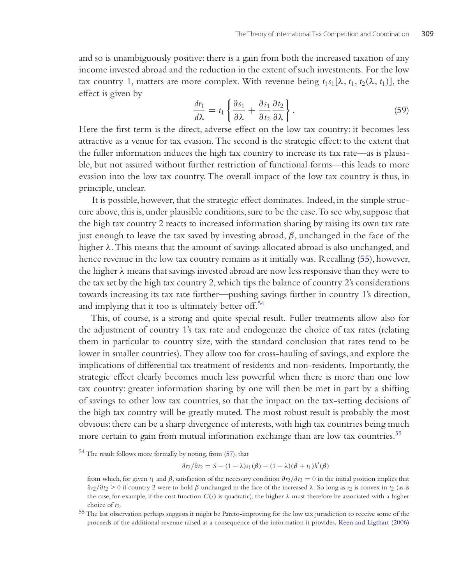and so is unambiguously positive: there is a gain from both the increased taxation of any income invested abroad and the reduction in the extent of such investments. For the low tax country 1, matters are more complex. With revenue being  $t_1s_1[\lambda, t_1, t_2(\lambda, t_1)]$ , the effect is given by

$$
\frac{dr_1}{d\lambda} = t_1 \left\{ \frac{\partial s_1}{\partial \lambda} + \frac{\partial s_1}{\partial t_2} \frac{\partial t_2}{\partial \lambda} \right\}.
$$
\n(59)

Here the first term is the direct, adverse effect on the low tax country: it becomes less attractive as a venue for tax evasion. The second is the strategic effect: to the extent that the fuller information induces the high tax country to increase its tax rate—as is plausible, but not assured without further restriction of functional forms—this leads to more evasion into the low tax country. The overall impact of the low tax country is thus, in principle, unclear.

It is possible, however, that the strategic effect dominates. Indeed, in the simple structure above,this is, under plausible conditions, sure to be the case.To see why, suppose that the high tax country 2 reacts to increased information sharing by raising its own tax rate just enough to leave the tax saved by investing abroad,  $\beta$ , unchanged in the face of the higher  $\lambda$ . This means that the amount of savings allocated abroad is also unchanged, and hence revenue in the low tax country remains as it initially was. Recalling [\(55\)](#page-51-1), however, the higher  $\lambda$  means that savings invested abroad are now less responsive than they were to the tax set by the high tax country 2, which tips the balance of country 2's considerations towards increasing its tax rate further—pushing savings further in country 1's direction, and implying that it too is ultimately better off.<sup>54</sup>

This, of course, is a strong and quite special result. Fuller treatments allow also for the adjustment of country 1's tax rate and endogenize the choice of tax rates (relating them in particular to country size, with the standard conclusion that rates tend to be lower in smaller countries). They allow too for cross-hauling of savings, and explore the implications of differential tax treatment of residents and non-residents. Importantly, the strategic effect clearly becomes much less powerful when there is more than one low tax country: greater information sharing by one will then be met in part by a shifting of savings to other low tax countries, so that the impact on the tax-setting decisions of the high tax country will be greatly muted. The most robust result is probably the most obvious:there can be a sharp divergence of interests, with high tax countries being much more certain to gain from mutual information exchange than are low tax countries.<sup>55</sup>

<span id="page-52-0"></span><sup>54</sup> The result follows more formally by noting, from [\(57\)](#page-51-0), that

$$
\frac{\partial r_2}{\partial t_2} = S - (1 - \lambda)s_1(\beta) - (1 - \lambda)(\beta + t_1)h'(\beta)
$$

from which, for given *t*<sub>1</sub> and  $\beta$ , satisfaction of the necessary condition  $\frac{\partial r}{\partial t} = 0$  in the initial position implies that ∂*r*2/∂*t*2 *>* 0 if country 2 were to hold β unchanged in the face of the increased λ. So long as *r*2 is convex in *t*2 (as is the case, for example, if the cost function  $C(s)$  is quadratic), the higher  $\lambda$  must therefore be associated with a higher

<span id="page-52-1"></span>choice of *<sup>t</sup>*2. <sup>55</sup> The last observation perhaps suggests it might be Pareto-improving for the low tax jurisdiction to receive some of the proceeds of the additional revenue raised as a consequence of the information it provides. [Keen and Ligthart \(2006\)](#page-68-10)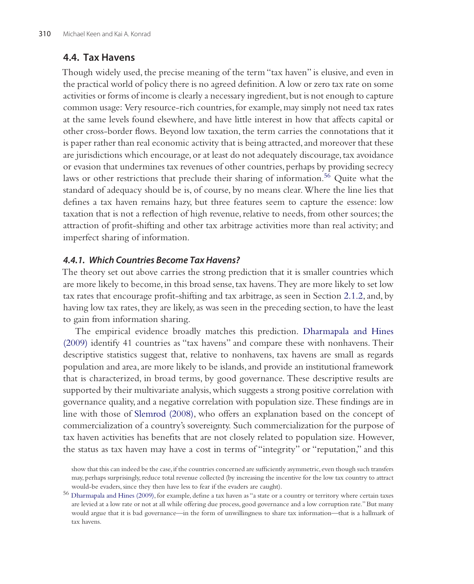## **4.4. Tax Havens**

Though widely used, the precise meaning of the term "tax haven" is elusive, and even in the practical world of policy there is no agreed definition. A low or zero tax rate on some activities or forms of income is clearly a necessary ingredient, but is not enough to capture common usage: Very resource-rich countries,for example,may simply not need tax rates at the same levels found elsewhere, and have little interest in how that affects capital or other cross-border flows. Beyond low taxation, the term carries the connotations that it is paper rather than real economic activity that is being attracted, and moreover that these are jurisdictions which encourage, or at least do not adequately discourage,tax avoidance or evasion that undermines tax revenues of other countries, perhaps by providing secrecy laws or other restrictions that preclude their sharing of information.<sup>56</sup> Quite what the standard of adequacy should be is, of course, by no means clear.Where the line lies that defines a tax haven remains hazy, but three features seem to capture the essence: low taxation that is not a reflection of high revenue, relative to needs, from other sources; the attraction of profit-shifting and other tax arbitrage activities more than real activity; and imperfect sharing of information.

#### **4.4.1. Which Countries Become Tax Havens?**

The theory set out above carries the strong prediction that it is smaller countries which are more likely to become, in this broad sense,tax havens.They are more likely to set low tax rates that encourage profit-shifting and tax arbitrage, as seen in Section [2.1.2,](#page-17-0) and, by having low tax rates, they are likely, as was seen in the preceding section, to have the least to gain from information sharing.

The empirical evidence broadly matches this prediction. Dharmapala and Hines (2009) [identify](#page-66-8) [41](#page-66-8) [countries](#page-66-8) [as](#page-66-8) ["tax](#page-66-8) [havens"](#page-66-8) [and](#page-66-8) [compare](#page-66-8) [these](#page-66-8) with nonhavens. Their descriptive statistics suggest that, relative to nonhavens, tax havens are small as regards population and area, are more likely to be islands, and provide an institutional framework that is characterized, in broad terms, by good governance. These descriptive results are supported by their multivariate analysis, which suggests a strong positive correlation with governance quality, and a negative correlation with population size.These findings are in line with those of [Slemrod \(2008\),](#page-70-4) who offers an explanation based on the concept of commercialization of a country's sovereignty. Such commercialization for the purpose of tax haven activities has benefits that are not closely related to population size. However, the status as tax haven may have a cost in terms of "integrity" or "reputation," and this

show that this can indeed be the case,if the countries concerned are sufficiently asymmetric, even though such transfers may, perhaps surprisingly, reduce total revenue collected (by increasing the incentive for the low tax country to attract would-be evaders, since they then have less to fear if the evaders are caught).

<span id="page-53-0"></span><sup>56</sup> [Dharmapala and Hines \(2009\),](#page-66-8) for example, define a tax haven as "a state or a country or territory where certain taxes are levied at a low rate or not at all while offering due process, good governance and a low corruption rate." But many would argue that it is bad governance—in the form of unwillingness to share tax information—that is a hallmark of tax havens.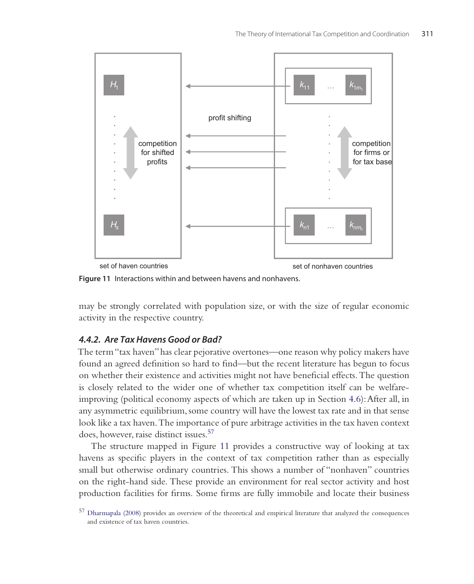

<span id="page-54-1"></span>**Figure 11** Interactions within and between havens and nonhavens.

may be strongly correlated with population size, or with the size of regular economic activity in the respective country.

## **4.4.2. Are Tax Havens Good or Bad?**

The term"tax haven" has clear pejorative overtones—one reason why policy makers have found an agreed definition so hard to find—but the recent literature has begun to focus on whether their existence and activities might not have beneficial effects. The question is closely related to the wider one of whether tax competition itself can be welfare-improving (political economy aspects of which are taken up in Section [4.6\)](#page-60-0): After all, in any asymmetric equilibrium, some country will have the lowest tax rate and in that sense look like a tax haven.The importance of pure arbitrage activities in the tax haven context does, however, raise distinct issues[.57](#page-54-0)

The structure mapped in Figure [11](#page-54-1) provides a constructive way of looking at tax havens as specific players in the context of tax competition rather than as especially small but otherwise ordinary countries. This shows a number of "nonhaven" countries on the right-hand side. These provide an environment for real sector activity and host production facilities for firms. Some firms are fully immobile and locate their business

<span id="page-54-0"></span><sup>57</sup> [Dharmapala \(2008\)](#page-66-9) provides an overview of the theoretical and empirical literature that analyzed the consequences and existence of tax haven countries.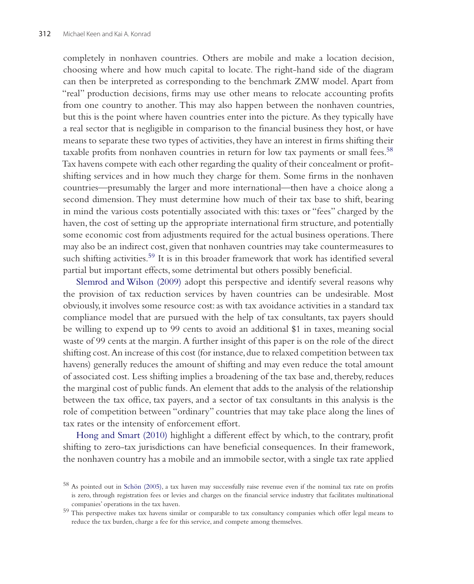completely in nonhaven countries. Others are mobile and make a location decision, choosing where and how much capital to locate. The right-hand side of the diagram can then be interpreted as corresponding to the benchmark ZMW model. Apart from "real" production decisions, firms may use other means to relocate accounting profits from one country to another. This may also happen between the nonhaven countries, but this is the point where haven countries enter into the picture. As they typically have a real sector that is negligible in comparison to the financial business they host, or have means to separate these two types of activities, they have an interest in firms shifting their taxable profits from nonhaven countries in return for low tax payments or small fees.<sup>[58](#page-55-0)</sup> Tax havens compete with each other regarding the quality of their concealment or profitshifting services and in how much they charge for them. Some firms in the nonhaven countries—presumably the larger and more international—then have a choice along a second dimension. They must determine how much of their tax base to shift, bearing in mind the various costs potentially associated with this: taxes or "fees" charged by the haven, the cost of setting up the appropriate international firm structure, and potentially some economic cost from adjustments required for the actual business operations.There may also be an indirect cost, given that nonhaven countries may take countermeasures to such shifting activities.<sup>59</sup> It is in this broader framework that work has identified several partial but important effects, some detrimental but others possibly beneficial.

[Slemrod and Wilson \(2009\)](#page-70-5) adopt this perspective and identify several reasons why the provision of tax reduction services by haven countries can be undesirable. Most obviously, it involves some resource cost: as with tax avoidance activities in a standard tax compliance model that are pursued with the help of tax consultants, tax payers should be willing to expend up to 99 cents to avoid an additional \$1 in taxes, meaning social waste of 99 cents at the margin. A further insight of this paper is on the role of the direct shifting cost.An increase of this cost (for instance, due to relaxed competition between tax havens) generally reduces the amount of shifting and may even reduce the total amount of associated cost. Less shifting implies a broadening of the tax base and, thereby, reduces the marginal cost of public funds. An element that adds to the analysis of the relationship between the tax office, tax payers, and a sector of tax consultants in this analysis is the role of competition between "ordinary" countries that may take place along the lines of tax rates or the intensity of enforcement effort.

[Hong and Smart \(2010\)](#page-67-10) highlight a different effect by which, to the contrary, profit shifting to zero-tax jurisdictions can have beneficial consequences. In their framework, the nonhaven country has a mobile and an immobile sector, with a single tax rate applied

<span id="page-55-0"></span><sup>58</sup> As pointed out in [Schön \(2005\),](#page-70-6) a tax haven may successfully raise revenue even if the nominal tax rate on profits is zero, through registration fees or levies and charges on the financial service industry that facilitates multinational companies' operations in the tax haven.

<span id="page-55-1"></span><sup>59</sup> This perspective makes tax havens similar or comparable to tax consultancy companies which offer legal means to reduce the tax burden, charge a fee for this service, and compete among themselves.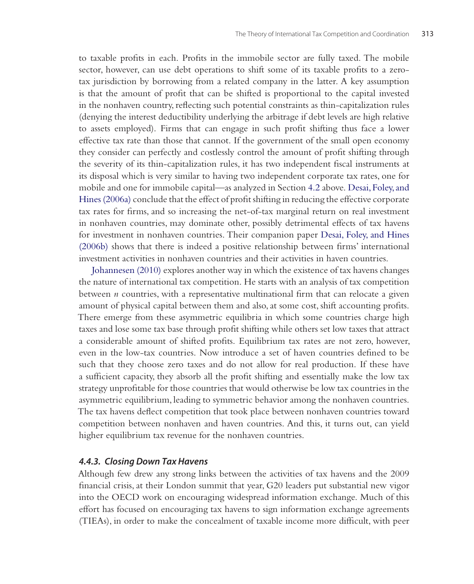to taxable profits in each. Profits in the immobile sector are fully taxed. The mobile sector, however, can use debt operations to shift some of its taxable profits to a zerotax jurisdiction by borrowing from a related company in the latter. A key assumption is that the amount of profit that can be shifted is proportional to the capital invested in the nonhaven country, reflecting such potential constraints as thin-capitalization rules (denying the interest deductibility underlying the arbitrage if debt levels are high relative to assets employed). Firms that can engage in such profit shifting thus face a lower effective tax rate than those that cannot. If the government of the small open economy they consider can perfectly and costlessly control the amount of profit shifting through the severity of its thin-capitalization rules, it has two independent fiscal instruments at its disposal which is very similar to having two independent corporate tax rates, one for mobile and one for immobile capital—as analyzed in Section [4.2](#page-47-3) above. Desai, Foley, and Hines (2006a) conclude that the effect of profit shifting in reducing the effective corporate tax rates for firms, and so increasing the net-of-tax marginal return on real investment in nonhaven countries, may dominate other, possibly detrimental effects of tax havens for investment in nonhaven countries. Their companion paper Desai, Foley, and Hines (2006b) [shows](#page-66-10) [that](#page-66-10) [there](#page-66-10) [is](#page-66-10) [indeed](#page-66-10) [a](#page-66-10) [positive](#page-66-10) [relationship](#page-66-10) [betwe](#page-66-10)en firms' international investment activities in nonhaven countries and their activities in haven countries.

[Johannesen \(2010\)](#page-68-11) explores another way in which the existence of tax havens changes the nature of international tax competition. He starts with an analysis of tax competition between *n* countries, with a representative multinational firm that can relocate a given amount of physical capital between them and also, at some cost, shift accounting profits. There emerge from these asymmetric equilibria in which some countries charge high taxes and lose some tax base through profit shifting while others set low taxes that attract a considerable amount of shifted profits. Equilibrium tax rates are not zero, however, even in the low-tax countries. Now introduce a set of haven countries defined to be such that they choose zero taxes and do not allow for real production. If these have a sufficient capacity, they absorb all the profit shifting and essentially make the low tax strategy unprofitable for those countries that would otherwise be low tax countries in the asymmetric equilibrium, leading to symmetric behavior among the nonhaven countries. The tax havens deflect competition that took place between nonhaven countries toward competition between nonhaven and haven countries. And this, it turns out, can yield higher equilibrium tax revenue for the nonhaven countries.

#### **4.4.3. Closing Down Tax Havens**

Although few drew any strong links between the activities of tax havens and the 2009 financial crisis, at their London summit that year, G20 leaders put substantial new vigor into the OECD work on encouraging widespread information exchange. Much of this effort has focused on encouraging tax havens to sign information exchange agreements (TIEAs), in order to make the concealment of taxable income more difficult, with peer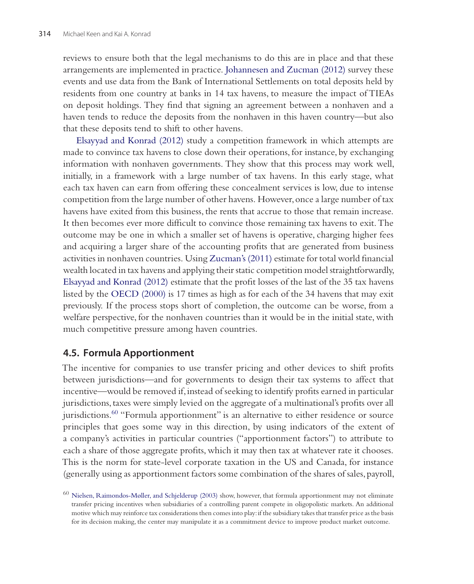reviews to ensure both that the legal mechanisms to do this are in place and that these arrangements are implemented in practice. [Johannesen and Zucman \(2012\)](#page-68-12) survey these events and use data from the Bank of International Settlements on total deposits held by residents from one country at banks in 14 tax havens, to measure the impact of TIEAs on deposit holdings. They find that signing an agreement between a nonhaven and a haven tends to reduce the deposits from the nonhaven in this haven country—but also that these deposits tend to shift to other havens.

[Elsayyad and Konrad \(2012\)](#page-66-11) study a competition framework in which attempts are made to convince tax havens to close down their operations, for instance, by exchanging information with nonhaven governments. They show that this process may work well, initially, in a framework with a large number of tax havens. In this early stage, what each tax haven can earn from offering these concealment services is low, due to intense competition from the large number of other havens. However, once a large number of tax havens have exited from this business, the rents that accrue to those that remain increase. It then becomes ever more difficult to convince those remaining tax havens to exit. The outcome may be one in which a smaller set of havens is operative, charging higher fees and acquiring a larger share of the accounting profits that are generated from business activities in nonhaven countries. Using [Zucman's \(2011\)](#page-71-0) estimate for total world financial wealth located in tax havens and applying their static competition model straightforwardly, [Elsayyad and Konrad \(2012\)](#page-66-11) estimate that the profit losses of the last of the 35 tax havens listed by the [OECD \(2000\)](#page-69-7) is 17 times as high as for each of the 34 havens that may exit previously. If the process stops short of completion, the outcome can be worse, from a welfare perspective, for the nonhaven countries than it would be in the initial state, with much competitive pressure among haven countries.

# **4.5. Formula Apportionment**

The incentive for companies to use transfer pricing and other devices to shift profits between jurisdictions—and for governments to design their tax systems to affect that incentive—would be removed if, instead of seeking to identify profits earned in particular jurisdictions,taxes were simply levied on the aggregate of a multinational's profits over all jurisdictions[.60](#page-57-0) "Formula apportionment" is an alternative to either residence or source principles that goes some way in this direction, by using indicators of the extent of a company's activities in particular countries ("apportionment factors") to attribute to each a share of those aggregate profits, which it may then tax at whatever rate it chooses. This is the norm for state-level corporate taxation in the US and Canada, for instance (generally using as apportionment factors some combination of the shares of sales, payroll,

<span id="page-57-0"></span> $60$  [Nielsen, Raimondos-Møller, and Schjelderup \(2003\)](#page-69-8) show, however, that formula apportionment may not eliminate transfer pricing incentives when subsidiaries of a controlling parent compete in oligopolistic markets. An additional motive which may reinforce tax considerations then comes into play:if the subsidiary takes that transfer price as the basis for its decision making, the center may manipulate it as a commitment device to improve product market outcome.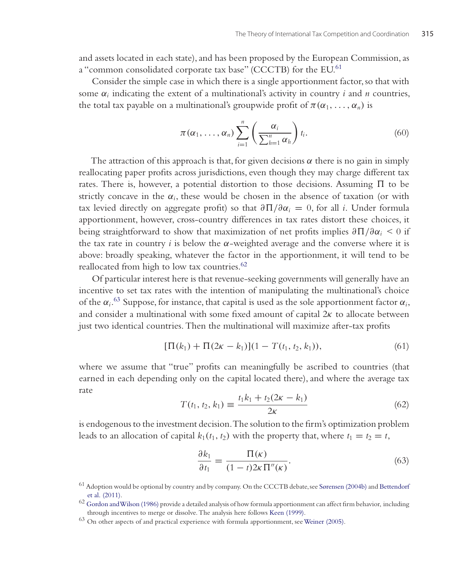and assets located in each state), and has been proposed by the European Commission, as a "common consolidated corporate tax base" (CCCTB) for the EU.<sup>61</sup>

Consider the simple case in which there is a single apportionment factor, so that with some  $\alpha_i$  indicating the extent of a multinational's activity in country *i* and *n* countries, the total tax payable on a multinational's groupwide profit of  $\pi(\alpha_1,\ldots,\alpha_n)$  is

$$
\pi(\alpha_1,\ldots,\alpha_n)\sum_{i=1}^n\left(\frac{\alpha_i}{\sum_{h=1}^n\alpha_h}\right)t_i.
$$
\n(60)

The attraction of this approach is that, for given decisions  $\alpha$  there is no gain in simply reallocating paper profits across jurisdictions, even though they may charge different tax rates. There is, however, a potential distortion to those decisions. Assuming  $\Pi$  to be strictly concave in the  $\alpha_i$ , these would be chosen in the absence of taxation (or with tax levied directly on aggregate profit) so that  $\frac{\partial \Pi}{\partial \alpha_i} = 0$ , for all *i*. Under formula apportionment, however, cross-country differences in tax rates distort these choices, it being straightforward to show that maximization of net profits implies  $\frac{\partial \Pi}{\partial \alpha_i}$  < 0 if the tax rate in country *i* is below the  $\alpha$ -weighted average and the converse where it is above: broadly speaking, whatever the factor in the apportionment, it will tend to be reallocated from high to low tax countries.<sup>62</sup>

Of particular interest here is that revenue-seeking governments will generally have an incentive to set tax rates with the intention of manipulating the multinational's choice of the  $\alpha_i$ .<sup>[63](#page-58-2)</sup> Suppose, for instance, that capital is used as the sole apportionment factor  $\alpha_i$ , and consider a multinational with some fixed amount of capital  $2\kappa$  to allocate between just two identical countries. Then the multinational will maximize after-tax profits

$$
[\Pi(k_1) + \Pi(2\kappa - k_1)](1 - T(t_1, t_2, k_1)), \tag{61}
$$

where we assume that "true" profits can meaningfully be ascribed to countries (that earned in each depending only on the capital located there), and where the average tax rate

$$
T(t_1, t_2, k_1) \equiv \frac{t_1 k_1 + t_2 (2\kappa - k_1)}{2\kappa} \tag{62}
$$

is endogenous to the investment decision.The solution to the firm's optimization problem leads to an allocation of capital  $k_1(t_1, t_2)$  with the property that, where  $t_1 = t_2 = t$ ,

<span id="page-58-3"></span>
$$
\frac{\partial k_1}{\partial t_1} = \frac{\Pi(\kappa)}{(1 - t)2\kappa \Pi''(\kappa)}.
$$
\n(63)

<span id="page-58-0"></span> $61$  Adoption would be optional by country and by company. On the CCCTB debate, see [Sørensen \(2004b\)](#page-70-7) and Bettendorf et al. (2011)[.](#page-65-12)

<span id="page-58-1"></span> $62$  Gordon and Wilson (1986) provide a detailed analysis of how formula apportionment can affect firm behavior, including through incentives to merge or dissolve. The analysis here follows [Keen \(1999\).](#page-68-13)

<span id="page-58-2"></span> $63$  On other aspects of and practical experience with formula apportionment, see [Weiner \(2005\).](#page-70-8)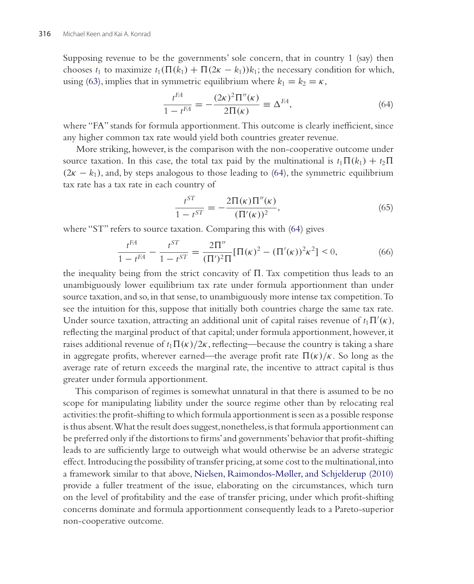Supposing revenue to be the governments' sole concern, that in country 1 (say) then chooses  $t_1$  to maximize  $t_1(\Pi(k_1) + \Pi(2\kappa - k_1))k_1$ ; the necessary condition for which, using [\(63\)](#page-58-3), implies that in symmetric equilibrium where  $k_1 = k_2 = \kappa$ ,

<span id="page-59-0"></span>
$$
\frac{t^{FA}}{1 - t^{FA}} = -\frac{(2\kappa)^2 \Pi''(\kappa)}{2\Pi(\kappa)} \equiv \Delta^{FA},\tag{64}
$$

where "FA" stands for formula apportionment. This outcome is clearly inefficient, since any higher common tax rate would yield both countries greater revenue.

More striking, however, is the comparison with the non-cooperative outcome under source taxation. In this case, the total tax paid by the multinational is  $t_1 \Pi(k_1) + t_2 \Pi$  $(2\kappa - k_1)$ , and, by steps analogous to those leading to [\(64\)](#page-59-0), the symmetric equilibrium tax rate has a tax rate in each country of

$$
\frac{t^{ST}}{1 - t^{ST}} = -\frac{2\Pi(\kappa)\Pi''(\kappa)}{(\Pi'(\kappa))^2},\tag{65}
$$

where "ST" refers to source taxation. Comparing this with  $(64)$  gives

$$
\frac{t^{FA}}{1 - t^{FA}} - \frac{t^{ST}}{1 - t^{ST}} = \frac{2\Pi''}{(\Pi')^2\Pi} [\Pi(\kappa)^2 - (\Pi'(\kappa))^2 \kappa^2] < 0,\tag{66}
$$

the inequality being from the strict concavity of  $\Pi$ . Tax competition thus leads to an unambiguously lower equilibrium tax rate under formula apportionment than under source taxation, and so, in that sense, to unambiguously more intense tax competition. To see the intuition for this, suppose that initially both countries charge the same tax rate. Under source taxation, attracting an additional unit of capital raises revenue of  $t_1\Pi'(\kappa)$ , reflecting the marginal product of that capital; under formula apportionment, however, it raises additional revenue of  $t_1 \Pi(\kappa)/2\kappa$ , reflecting—because the country is taking a share in aggregate profits, wherever earned—the average profit rate  $\Pi(\kappa)/\kappa$ . So long as the average rate of return exceeds the marginal rate, the incentive to attract capital is thus greater under formula apportionment.

This comparison of regimes is somewhat unnatural in that there is assumed to be no scope for manipulating liability under the source regime other than by relocating real activities:the profit-shifting to which formula apportionment is seen as a possible response is thus absent. What the result does suggest, nonetheless, is that formula apportionment can be preferred only if the distortions to firms'and governments'behavior that profit-shifting leads to are sufficiently large to outweigh what would otherwise be an adverse strategic effect. Introducing the possibility of transfer pricing, at some cost to the multinational, into a framework similar to that above, [Nielsen, Raimondos-Møller, and Schjelderup \(2010\)](#page-69-9) provide a fuller treatment of the issue, elaborating on the circumstances, which turn on the level of profitability and the ease of transfer pricing, under which profit-shifting concerns dominate and formula apportionment consequently leads to a Pareto-superior non-cooperative outcome.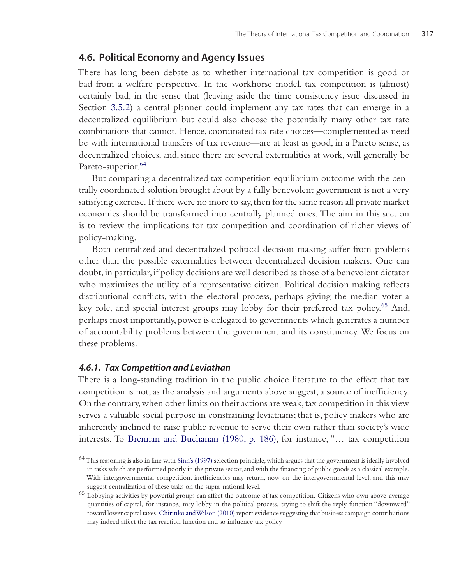## <span id="page-60-0"></span>**4.6. Political Economy and Agency Issues**

There has long been debate as to whether international tax competition is good or bad from a welfare perspective. In the workhorse model, tax competition is (almost) certainly bad, in the sense that (leaving aside the time consistency issue discussed in Section [3.5.2\)](#page-40-0) a central planner could implement any tax rates that can emerge in a decentralized equilibrium but could also choose the potentially many other tax rate combinations that cannot. Hence, coordinated tax rate choices—complemented as need be with international transfers of tax revenue—are at least as good, in a Pareto sense, as decentralized choices, and, since there are several externalities at work, will generally be Pareto-superior.<sup>64</sup>

But comparing a decentralized tax competition equilibrium outcome with the centrally coordinated solution brought about by a fully benevolent government is not a very satisfying exercise. If there were no more to say,then for the same reason all private market economies should be transformed into centrally planned ones. The aim in this section is to review the implications for tax competition and coordination of richer views of policy-making.

Both centralized and decentralized political decision making suffer from problems other than the possible externalities between decentralized decision makers. One can doubt, in particular, if policy decisions are well described as those of a benevolent dictator who maximizes the utility of a representative citizen. Political decision making reflects distributional conflicts, with the electoral process, perhaps giving the median voter a key role, and special interest groups may lobby for their preferred tax policy.<sup>65</sup> And, perhaps most importantly, power is delegated to governments which generates a number of accountability problems between the government and its constituency. We focus on these problems.

#### **4.6.1. Tax Competition and Leviathan**

There is a long-standing tradition in the public choice literature to the effect that tax competition is not, as the analysis and arguments above suggest, a source of inefficiency. On the contrary,when other limits on their actions are weak,tax competition in this view serves a valuable social purpose in constraining leviathans; that is, policy makers who are inherently inclined to raise public revenue to serve their own rather than society's wide interests. To [Brennan and Buchanan \(1980, p. 186\),](#page-65-13) for instance, "… tax competition

<span id="page-60-1"></span><sup>64</sup>This reasoning is also in line with [Sinn's \(1997\)](#page-70-9) selection principle,which argues that the government is ideally involved in tasks which are performed poorly in the private sector, and with the financing of public goods as a classical example. With intergovernmental competition, inefficiencies may return, now on the intergovernmental level, and this may suggest centralization of these tasks on the supra-national level.

<span id="page-60-2"></span><sup>65</sup> Lobbying activities by powerful groups can affect the outcome of tax competition. Citizens who own above-average quantities of capital, for instance, may lobby in the political process, trying to shift the reply function "downward" toward lower capital taxes. [Chirinko andWilson \(2010\)](#page-66-12) report evidence suggesting that business campaign contributions may indeed affect the tax reaction function and so influence tax policy.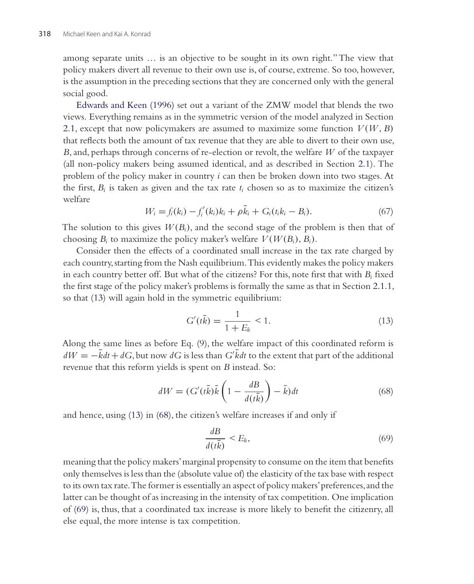among separate units … is an objective to be sought in its own right."The view that policy makers divert all revenue to their own use is, of course, extreme. So too, however, is the assumption in the preceding sections that they are concerned only with the general social good.

[Edwards and Keen \(1996\)](#page-66-13) set out a variant of the ZMW model that blends the two views. Everything remains as in the symmetric version of the model analyzed in Section [2.1,](#page-5-0) except that now policymakers are assumed to maximize some function  $V(W, B)$ that reflects both the amount of tax revenue that they are able to divert to their own use, *B*, and, perhaps through concerns of re-election or revolt, the welfare *W* of the taxpayer (all non-policy makers being assumed identical, and as described in Section [2.1\)](#page-5-0). The problem of the policy maker in country *i* can then be broken down into two stages. At the first,  $B_i$  is taken as given and the tax rate  $t_i$  chosen so as to maximize the citizen's welfare

$$
W_i = f_i(k_i) - f'_i(k_i)k_i + \rho \bar{k}_i + G_i(t_i k_i - B_i). \tag{67}
$$

The solution to this gives  $W(B_i)$ , and the second stage of the problem is then that of choosing  $B_i$  to maximize the policy maker's welfare  $V(W(B_i), B_i)$ .

Consider then the effects of a coordinated small increase in the tax rate charged by each country, starting from the Nash equilibrium.This evidently makes the policy makers in each country better off. But what of the citizens? For this, note first that with  $B_i$  fixed the first stage of the policy maker's problems is formally the same as that in Section [2.1.1,](#page-5-1) so that [\(13\)](#page-61-0) will again hold in the symmetric equilibrium:

<span id="page-61-0"></span>
$$
G'(t\bar{k}) = \frac{1}{1 + E_k} < 1. \tag{13}
$$

Along the same lines as before Eq. (9), the welfare impact of this coordinated reform is  $dW = -kdt + dG$ , but now  $dG$  is less than  $G'kdt$  to the extent that part of the additional revenue that this reform yields is spent on *B* instead. So:

<span id="page-61-1"></span>
$$
dW = (G'(t\bar{k})\bar{k}\left(1 - \frac{dB}{d(t\bar{k})}\right) - \bar{k})dt
$$
\n(68)

and hence, using [\(13\)](#page-61-0) in [\(68\)](#page-61-1), the citizen's welfare increases if and only if

<span id="page-61-2"></span>
$$
\frac{dB}{d(t\bar{k})} < E_k,\tag{69}
$$

meaning that the policy makers'marginal propensity to consume on the item that benefits only themselves is less than the (absolute value of) the elasticity of the tax base with respect to its own tax rate.The former is essentially an aspect of policy makers'preferences,and the latter can be thought of as increasing in the intensity of tax competition. One implication of [\(69\)](#page-61-2) is, thus, that a coordinated tax increase is more likely to benefit the citizenry, all else equal, the more intense is tax competition.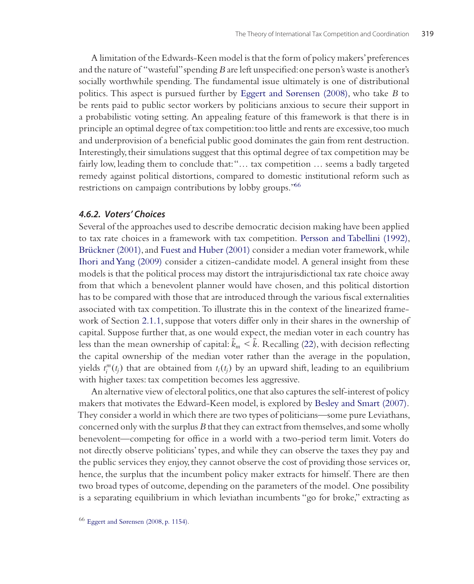A limitation of the Edwards-Keen model is that the form of policy makers' preferences and the nature of "wasteful" spending *B* are left unspecified:one person's waste is another's socially worthwhile spending. The fundamental issue ultimately is one of distributional politics. This aspect is pursued further by [Eggert and Sørensen \(2008\),](#page-66-14) who take *B* to be rents paid to public sector workers by politicians anxious to secure their support in a probabilistic voting setting. An appealing feature of this framework is that there is in principle an optimal degree of tax competition:too little and rents are excessive,too much and underprovision of a beneficial public good dominates the gain from rent destruction. Interestingly, their simulations suggest that this optimal degree of tax competition may be fairly low, leading them to conclude that:"… tax competition … seems a badly targeted remedy against political distortions, compared to domestic institutional reform such as restrictions on campaign contributions by lobby groups.["66](#page-62-0)

#### **4.6.2. Voters' Choices**

Several of the approaches used to describe democratic decision making have been applied to tax rate choices in a framework with tax competition. [Persson and Tabellini \(1992\),](#page-69-10) [Brückner \(2001\),](#page-65-14) and [Fuest and Huber \(2001\)](#page-66-15) consider a median voter framework, while [Ihori and Yang \(2009\)](#page-67-12) consider a citizen-candidate model. A general insight from these models is that the political process may distort the intrajurisdictional tax rate choice away from that which a benevolent planner would have chosen, and this political distortion has to be compared with those that are introduced through the various fiscal externalities associated with tax competition. To illustrate this in the context of the linearized framework of Section [2.1.1,](#page-5-1) suppose that voters differ only in their shares in the ownership of capital. Suppose further that, as one would expect, the median voter in each country has less than the mean ownership of capital:  $\bar{k}_m < \bar{k}$ . Recalling [\(22\)](#page-14-1), with decision reflecting the capital ownership of the median voter rather than the average in the population, yields  $t_i^m(t_j)$  that are obtained from  $t_i(t_j)$  by an upward shift, leading to an equilibrium with higher taxes: tax competition becomes less aggressive.

An alternative view of electoral politics, one that also captures the self-interest of policy makers that motivates the Edward-Keen model, is explored by [Besley and Smart \(2007\).](#page-65-15) They consider a world in which there are two types of politicians—some pure Leviathans, concerned only with the surplus *B* that they can extract from themselves,and some wholly benevolent—competing for office in a world with a two-period term limit. Voters do not directly observe politicians' types, and while they can observe the taxes they pay and the public services they enjoy,they cannot observe the cost of providing those services or, hence, the surplus that the incumbent policy maker extracts for himself. There are then two broad types of outcome, depending on the parameters of the model. One possibility is a separating equilibrium in which leviathan incumbents "go for broke," extracting as

<span id="page-62-0"></span><sup>66</sup> [Eggert and Sørensen \(2008, p. 1154\).](#page-66-14)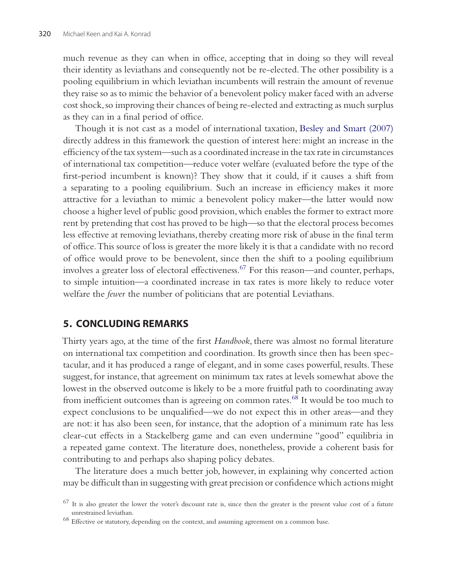much revenue as they can when in office, accepting that in doing so they will reveal their identity as leviathans and consequently not be re-elected. The other possibility is a pooling equilibrium in which leviathan incumbents will restrain the amount of revenue they raise so as to mimic the behavior of a benevolent policy maker faced with an adverse cost shock, so improving their chances of being re-elected and extracting as much surplus as they can in a final period of office.

Though it is not cast as a model of international taxation, [Besley and Smart \(2007\)](#page-65-15) directly address in this framework the question of interest here: might an increase in the efficiency of the tax system—such as a coordinated increase in the tax rate in circumstances of international tax competition—reduce voter welfare (evaluated before the type of the first-period incumbent is known)? They show that it could, if it causes a shift from a separating to a pooling equilibrium. Such an increase in efficiency makes it more attractive for a leviathan to mimic a benevolent policy maker—the latter would now choose a higher level of public good provision, which enables the former to extract more rent by pretending that cost has proved to be high—so that the electoral process becomes less effective at removing leviathans, thereby creating more risk of abuse in the final term of office.This source of loss is greater the more likely it is that a candidate with no record of office would prove to be benevolent, since then the shift to a pooling equilibrium involves a greater loss of electoral effectiveness.<sup>67</sup> For this reason—and counter, perhaps, to simple intuition—a coordinated increase in tax rates is more likely to reduce voter welfare the *fewer* the number of politicians that are potential Leviathans.

# **5. CONCLUDING REMARKS**

Thirty years ago, at the time of the first *Handbook*, there was almost no formal literature on international tax competition and coordination. Its growth since then has been spectacular, and it has produced a range of elegant, and in some cases powerful, results. These suggest, for instance, that agreement on minimum tax rates at levels somewhat above the lowest in the observed outcome is likely to be a more fruitful path to coordinating away from inefficient outcomes than is agreeing on common rates.<sup>[68](#page-63-1)</sup> It would be too much to expect conclusions to be unqualified—we do not expect this in other areas—and they are not: it has also been seen, for instance, that the adoption of a minimum rate has less clear-cut effects in a Stackelberg game and can even undermine "good" equilibria in a repeated game context. The literature does, nonetheless, provide a coherent basis for contributing to and perhaps also shaping policy debates.

The literature does a much better job, however, in explaining why concerted action may be difficult than in suggesting with great precision or confidence which actions might

<span id="page-63-0"></span> $67$  It is also greater the lower the voter's discount rate is, since then the greater is the present value cost of a future unrestrained leviathan.

<span id="page-63-1"></span><sup>68</sup> Effective or statutory, depending on the context, and assuming agreement on a common base.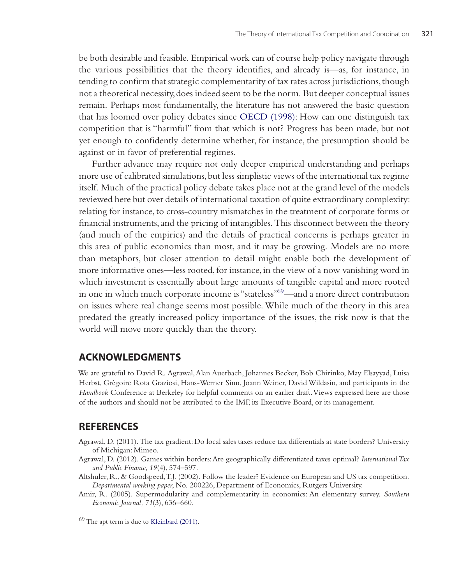be both desirable and feasible. Empirical work can of course help policy navigate through the various possibilities that the theory identifies, and already is—as, for instance, in tending to confirm that strategic complementarity of tax rates across jurisdictions,though not a theoretical necessity,does indeed seem to be the norm. But deeper conceptual issues remain. Perhaps most fundamentally, the literature has not answered the basic question that has loomed over policy debates since [OECD \(1998\):](#page-69-4) How can one distinguish tax competition that is "harmful" from that which is not? Progress has been made, but not yet enough to confidently determine whether, for instance, the presumption should be against or in favor of preferential regimes.

Further advance may require not only deeper empirical understanding and perhaps more use of calibrated simulations, but less simplistic views of the international tax regime itself. Much of the practical policy debate takes place not at the grand level of the models reviewed here but over details of international taxation of quite extraordinary complexity: relating for instance, to cross-country mismatches in the treatment of corporate forms or financial instruments, and the pricing of intangibles.This disconnect between the theory (and much of the empirics) and the details of practical concerns is perhaps greater in this area of public economics than most, and it may be growing. Models are no more than metaphors, but closer attention to detail might enable both the development of more informative ones—less rooted, for instance, in the view of a now vanishing word in which investment is essentially about large amounts of tangible capital and more rooted in one in which much corporate income is "stateless["69](#page-64-0)—and a more direct contribution on issues where real change seems most possible.While much of the theory in this area predated the greatly increased policy importance of the issues, the risk now is that the world will move more quickly than the theory.

## **ACKNOWLEDGMENTS**

We are grateful to David R. Agrawal,Alan Auerbach, Johannes Becker, Bob Chirinko, May Elsayyad, Luisa Herbst, Grégoire Rota Graziosi, Hans-Werner Sinn, Joann Weiner, David Wildasin, and participants in the Handbook Conference at Berkeley for helpful comments on an earlier draft. Views expressed here are those of the authors and should not be attributed to the IMF, its Executive Board, or its management.

# **REFERENCES**

- Agrawal, D. (2011).The tax gradient: Do local sales taxes reduce tax differentials at state borders? University of Michigan: Mimeo.
- Agrawal, D. (2012). Games within borders:Are geographically differentiated taxes optimal? *InternationalTax and Public Finance, 19*(4), 574–597.
- Altshuler, R., & Goodspeed,T.J. (2002). Follow the leader? Evidence on European and US tax competition. *Departmental working paper*, No. 200226, Department of Economics, Rutgers University.
- Amir, R. (2005). Supermodularity and complementarity in economics: An elementary survey. *Southern Economic Journal, 71*(3), 636–660.

<span id="page-64-0"></span> $69$  The apt term is due to [Kleinbard \(2011\).](#page-68-14)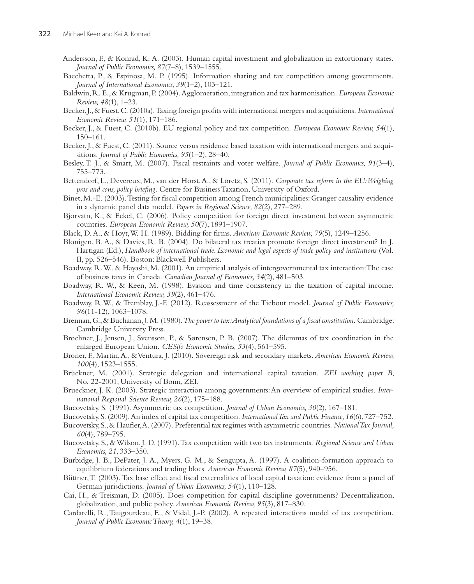- <span id="page-65-4"></span>Andersson, F., & Konrad, K. A. (2003). Human capital investment and globalization in extortionary states. *Journal of Public Economics, 87*(7–8), 1539–1555.
- <span id="page-65-11"></span>Bacchetta, P., & Espinosa, M. P. (1995). Information sharing and tax competition among governments. *Journal of International Economics, 39*(1–2), 103–121.
- <span id="page-65-5"></span>Baldwin,R. E.,& Krugman,P. (2004).Agglomeration,integration and tax harmonisation. *European Economic Review, 48*(1), 1–23.
- Becker, J.,& Fuest,C. (2010a).Taxing foreign profits with international mergers and acquisitions. *International Economic Review, 51*(1), 171–186.
- <span id="page-65-9"></span>Becker, J., & Fuest, C. (2010b). EU regional policy and tax competition. *European Economic Review, 54*(1), 150–161.
- Becker, J., & Fuest, C. (2011). Source versus residence based taxation with international mergers and acquisitions. *Journal of Public Economics, 95*(1–2), 28–40.
- <span id="page-65-15"></span>Besley, T. J., & Smart, M. (2007). Fiscal restraints and voter welfare. *Journal of Public Economics, 91*(3–4), 755–773.
- <span id="page-65-12"></span>Bettendorf, L., Devereux, M., van der Horst,A., & Loretz, S. (2011). *Corporate tax reform in the EU:Weighing pros and cons, policy briefing*. Centre for Business Taxation, University of Oxford.
- Binet, M.-E. (2003). Testing for fiscal competition among French municipalities: Granger causality evidence in a dynamic panel data model. *Papers in Regional Science, 82*(2), 277–289.
- <span id="page-65-8"></span>Bjorvatn, K., & Eckel, C. (2006). Policy competition for foreign direct investment between asymmetric countries. *European Economic Review, 50*(7), 1891–1907.
- <span id="page-65-7"></span>Black, D. A., & Hoyt,W. H. (1989). Bidding for firms. *American Economic Review, 79*(5), 1249–1256.
- Blonigen, B. A., & Davies, R. B. (2004). Do bilateral tax treaties promote foreign direct investment? In J. Hartigan (Ed.), *Handbook of international trade. Economic and legal aspects of trade policy and institutions* (Vol. II, pp. 526–546). Boston: Blackwell Publishers.
- Boadway, R.W., & Hayashi,M. (2001). An empirical analysis of intergovernmental tax interaction:The case of business taxes in Canada. *Canadian Journal of Economics, 34*(2), 481–503.
- <span id="page-65-3"></span>Boadway, R. W., & Keen, M. (1998). Evasion and time consistency in the taxation of capital income. *International Economic Review, 39*(2), 461–476.
- Boadway, R.W., & Tremblay, J.-F. (2012). Reassessment of the Tiebout model. *Journal of Public Economics, 96*(11-12), 1063–1078.
- <span id="page-65-13"></span>Brennan,G.,& Buchanan, J. M. (1980).*The power to tax:Analytical foundations of a fiscal constitution*. Cambridge: Cambridge University Press.
- <span id="page-65-1"></span>Brochner, J., Jensen, J., Svensson, P., & Sørensen, P. B. (2007). The dilemmas of tax coordination in the enlarged European Union. *CESifo Economic Studies, 53*(4), 561–595.
- Broner, F., Martin,A., &Ventura, J. (2010). Sovereign risk and secondary markets.*American Economic Review, 100*(4), 1523–1555.
- <span id="page-65-14"></span>Brückner, M. (2001). Strategic delegation and international capital taxation. *ZEI working paper B*, No. 22-2001, University of Bonn, ZEI.
- Brueckner, J. K. (2003). Strategic interaction among governments:An overview of empirical studies. *International Regional Science Review, 26*(2), 175–188.
- Bucovetsky, S. (1991). Asymmetric tax competition. *Journal of Urban Economics, 30*(2), 167–181.
- Bucovetsky,S. (2009).An index of capital tax competition. *InternationalTax and Public Finance,16*(6),727–752.
- <span id="page-65-10"></span>Bucovetsky,S.,& Haufler,A. (2007). Preferential tax regimes with asymmetric countries. *NationalTax Journal, 60*(4), 789–795.
- Bucovetsky, S., &Wilson, J. D. (1991).Tax competition with two tax instruments. *Regional Science and Urban Economics, 21*, 333–350.
- <span id="page-65-0"></span>Burbidge, J. B., DePater, J. A., Myers, G. M., & Sengupta, A. (1997). A coalition-formation approach to equilibrium federations and trading blocs. *American Economic Review, 87*(5), 940–956.
- Büttner,T. (2003). Tax base effect and fiscal externalities of local capital taxation: evidence from a panel of German jurisdictions. *Journal of Urban Economics, 54*(1), 110–128.
- <span id="page-65-6"></span>Cai, H., & Treisman, D. (2005). Does competition for capital discipline governments? Decentralization, globalization, and public policy. *American Economic Review, 95*(3), 817–830.
- <span id="page-65-2"></span>Cardarelli, R., Taugourdeau, E., & Vidal, J.-P. (2002). A repeated interactions model of tax competition. *Journal of Public EconomicTheory, 4*(1), 19–38.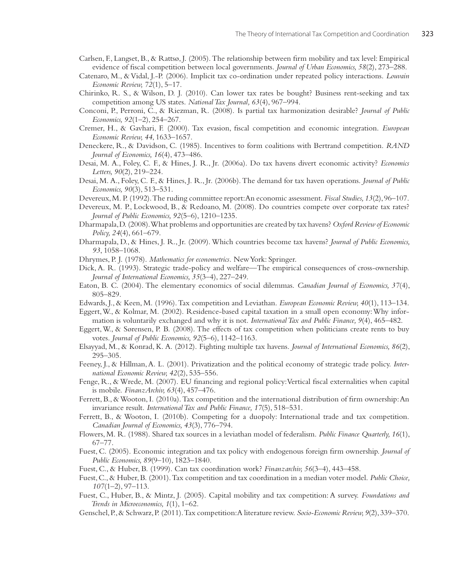- Carlsen, F., Langset, B., & Rattsø, J. (2005). The relationship between firm mobility and tax level: Empirical evidence of fiscal competition between local governments. *Journal of Urban Economics, 58*(2), 273–288.
- <span id="page-66-4"></span>Catenaro, M., & Vidal, J.-P. (2006). Implicit tax co-ordination under repeated policy interactions. *Louvain Economic Review, 72*(1), 5–17.
- <span id="page-66-12"></span>Chirinko, R. S., & Wilson, D. J. (2010). Can lower tax rates be bought? Business rent-seeking and tax competition among US states. *NationalTax Journal, 63*(4), 967–994.
- <span id="page-66-1"></span>Conconi, P., Perroni, C., & Riezman, R. (2008). Is partial tax harmonization desirable? *Journal of Public Economics, 92*(1–2), 254–267.
- <span id="page-66-3"></span>Cremer, H., & Gavhari, F. (2000). Tax evasion, fiscal competition and economic integration. *European Economic Review, 44*, 1633–1657.
- <span id="page-66-0"></span>Deneckere, R., & Davidson, C. (1985). Incentives to form coalitions with Bertrand competition. *RAND Journal of Economics, 16*(4), 473–486.
- Desai, M. A., Foley, C. F., & Hines, J. R., Jr. (2006a). Do tax havens divert economic activity? *Economics Letters, 90*(2), 219–224.
- <span id="page-66-10"></span>Desai, M. A., Foley, C. F., & Hines, J. R., Jr. (2006b). The demand for tax haven operations. *Journal of Public Economics, 90*(3), 513–531.
- Devereux,M. P. (1992).The ruding committee report:An economic assessment. *Fiscal Studies,13*(2),96–107.
- Devereux, M. P., Lockwood, B., & Redoano, M. (2008). Do countries compete over corporate tax rates? *Journal of Public Economics, 92*(5–6), 1210–1235.
- <span id="page-66-9"></span>Dharmapala,D. (2008).What problems and opportunities are created by tax havens? *Oxford Review of Economic Policy, 24*(4), 661–679.
- <span id="page-66-8"></span>Dharmapala, D., & Hines, J. R., Jr. (2009). Which countries become tax havens? *Journal of Public Economics, 93*, 1058–1068.
- Dhrymes, P. J. (1978). *Mathematics for econometrics*. NewYork: Springer.
- Dick, A. R. (1993). Strategic trade-policy and welfare—The empirical consequences of cross-ownership. *Journal of International Economics, 35*(3–4), 227–249.
- Eaton, B. C. (2004). The elementary economics of social dilemmas. *Canadian Journal of Economics, 37*(4), 805–829.
- <span id="page-66-13"></span>Edwards, J., & Keen, M. (1996). Tax competition and Leviathan. *European Economic Review, 40*(1), 113–134.
- <span id="page-66-7"></span>Eggert,W., & Kolmar, M. (2002). Residence-based capital taxation in a small open economy:Why information is voluntarily exchanged and why it is not. *InternationalTax and Public Finance, 9*(4), 465–482.
- <span id="page-66-14"></span>Eggert,W., & Sørensen, P. B. (2008). The effects of tax competition when politicians create rents to buy votes. *Journal of Public Economics, 92*(5–6), 1142–1163.
- <span id="page-66-11"></span>Elsayyad, M., & Konrad, K. A. (2012). Fighting multiple tax havens. *Journal of International Economics, 86*(2), 295–305.
- Feeney, J., & Hillman,A. L. (2001). Privatization and the political economy of strategic trade policy. *International Economic Review, 42*(2), 535–556.
- Fenge, R., & Wrede, M. (2007). EU financing and regional policy:Vertical fiscal externalities when capital is mobile. *FinanzArchiv, 63*(4), 457–476.
- <span id="page-66-5"></span>Ferrett, B., & Wooton, I. (2010a). Tax competition and the international distribution of firm ownership: An invariance result. *InternationalTax and Public Finance, 17*(5), 518–531.
- <span id="page-66-6"></span>Ferrett, B., & Wooton, I. (2010b). Competing for a duopoly: International trade and tax competition. *Canadian Journal of Economics, 43*(3), 776–794.
- Flowers, M. R. (1988). Shared tax sources in a leviathan model of federalism. *Public Finance Quarterly, 16*(1), 67–77.
- Fuest, C. (2005). Economic integration and tax policy with endogenous foreign firm ownership. *Journal of Public Economics, 89*(9–10), 1823–1840.
- <span id="page-66-2"></span>Fuest, C., & Huber, B. (1999). Can tax coordination work? *Finanzarchiv, 56*(3–4), 443–458.
- <span id="page-66-15"></span>Fuest, C., & Huber, B. (2001).Tax competition and tax coordination in a median voter model. *Public Choice, 107*(1–2), 97–113.
- Fuest, C., Huber, B., & Mintz, J. (2005). Capital mobility and tax competition: A survey. *Foundations and Trends in Microeconomics, 1*(1), 1–62.
- Genschel,P.,& Schwarz,P. (2011).Tax competition:A literature review. *Socio-Economic Review, 9*(2),339–370.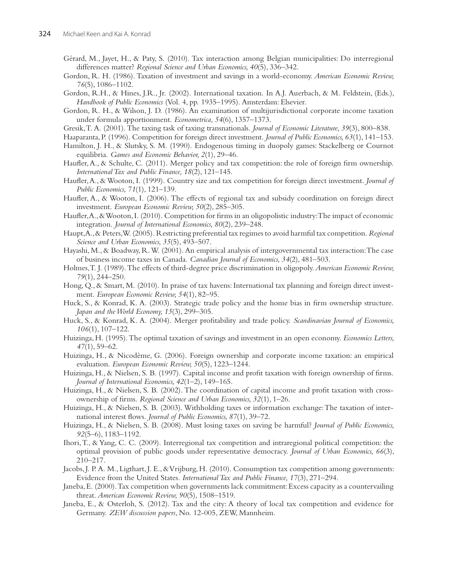- Gérard, M., Jayet, H., & Paty, S. (2010). Tax interaction among Belgian municipalities: Do interregional differences matter? *Regional Science and Urban Economics, 40*(5), 336–342.
- <span id="page-67-1"></span>Gordon, R. H. (1986). Taxation of investment and savings in a world-economy. *American Economic Review, 76*(5), 1086–1102.
- Gordon, R.H., & Hines, J.R., Jr. (2002). International taxation. In A.J. Auerbach, & M. Feldstein, (Eds.), *Handbook of Public Economics* (Vol. 4, pp. 1935–1995). Amsterdam: Elsevier.
- <span id="page-67-11"></span>Gordon, R. H., & Wilson, J. D. (1986). An examination of multijurisdictional corporate income taxation under formula apportionment. *Econometrica, 54*(6), 1357–1373.
- Gresik,T. A. (2001). The taxing task of taxing transnationals. *Journal of Economic Literature, 39*(3), 800–838.
- <span id="page-67-4"></span>Haaparanta, P. (1996). Competition for foreign direct investment. *Journal of Public Economics, 63*(1), 141–153.
- Hamilton, J. H., & Slutsky, S. M. (1990). Endogenous timing in duopoly games: Stackelberg or Cournot equilibria. *Games and Economic Behavior, 2*(1), 29–46.
- Haufler,A., & Schulte, C. (2011). Merger policy and tax competition: the role of foreign firm ownership. *InternationalTax and Public Finance, 18*(2), 121–145.
- <span id="page-67-5"></span>Haufler,A., &Wooton, I. (1999). Country size and tax competition for foreign direct investment. *Journal of Public Economics, 71*(1), 121–139.
- <span id="page-67-0"></span>Haufler, A., & Wooton, I. (2006). The effects of regional tax and subsidy coordination on foreign direct investment. *European Economic Review, 50*(2), 285–305.
- <span id="page-67-6"></span>Haufler,A.,&Wooton, I. (2010). Competition for firms in an oligopolistic industry:The impact of economic integration. *Journal of International Economics, 80*(2), 239–248.
- <span id="page-67-7"></span>Haupt,A.,& Peters,W. (2005). Restricting preferential tax regimes to avoid harmful tax competition. *Regional Science and Urban Economics, 35*(5), 493–507.
- Hayashi,M., & Boadway, R.W. (2001). An empirical analysis of intergovernmental tax interaction:The case of business income taxes in Canada. *Canadian Journal of Economics, 34*(2), 481–503.
- <span id="page-67-8"></span>Holmes,T. J. (1989).The effects of third-degree price discrimination in oligopoly.*American Economic Review, 79*(1), 244–250.
- <span id="page-67-10"></span>Hong, Q., & Smart, M. (2010). In praise of tax havens: International tax planning and foreign direct investment. *European Economic Review, 54*(1), 82–95.
- Huck, S., & Konrad, K. A. (2003). Strategic trade policy and the home bias in firm ownership structure. *Japan and theWorld Economy, 15*(3), 299–305.
- Huck, S., & Konrad, K. A. (2004). Merger profitability and trade policy. *Scandinavian Journal of Economics, 106*(1), 107–122.
- <span id="page-67-2"></span>Huizinga, H. (1995).The optimal taxation of savings and investment in an open economy. *Economics Letters, 47*(1), 59–62.
- Huizinga, H., & Nicodème, G. (2006). Foreign ownership and corporate income taxation: an empirical evaluation. *European Economic Review, 50*(5), 1223–1244.
- Huizinga, H., & Nielsen, S. B. (1997). Capital income and profit taxation with foreign ownership of firms. *Journal of International Economics, 42*(1–2), 149–165.
- Huizinga, H., & Nielsen, S. B. (2002). The coordination of capital income and profit taxation with crossownership of firms. *Regional Science and Urban Economics, 32*(1), 1–26.
- <span id="page-67-9"></span>Huizinga, H., & Nielsen, S. B. (2003). Withholding taxes or information exchange:The taxation of international interest flows. *Journal of Public Economics, 87*(1), 39–72.
- Huizinga, H., & Nielsen, S. B. (2008). Must losing taxes on saving be harmful? *Journal of Public Economics, 92*(5–6), 1183–1192.
- <span id="page-67-12"></span>Ihori,T., & Yang, C. C. (2009). Interregional tax competition and intraregional political competition: the optimal provision of public goods under representative democracy. *Journal of Urban Economics, 66*(3), 210–217.
- Jacobs, J. P. A. M., Ligthart, J. E., &Vrijburg, H. (2010). Consumption tax competition among governments: Evidence from the United States. *InternationalTax and Public Finance, 17*(3), 271–294.
- <span id="page-67-3"></span>Janeba,E. (2000).Tax competition when governments lack commitment:Excess capacity as a countervailing threat. *American Economic Review, 90*(5), 1508–1519.
- Janeba, E., & Osterloh, S. (2012). Tax and the city: A theory of local tax competition and evidence for Germany. *ZEW discussion papers*, No. 12-005, ZEW, Mannheim.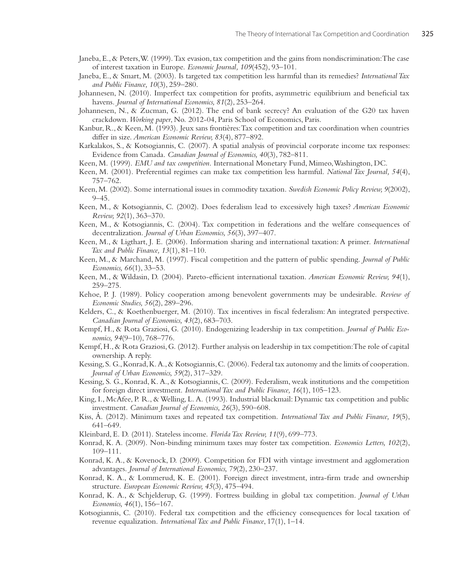- <span id="page-68-4"></span>Janeba, E., & Peters,W. (1999).Tax evasion,tax competition and the gains from nondiscrimination:The case of interest taxation in Europe. *Economic Journal, 109*(452), 93–101.
- <span id="page-68-9"></span>Janeba, E., & Smart, M. (2003). Is targeted tax competition less harmful than its remedies? *International Tax and Public Finance, 10*(3), 259–280.
- <span id="page-68-11"></span>Johannesen, N. (2010). Imperfect tax competition for profits, asymmetric equilibrium and beneficial tax havens. *Journal of International Economics, 81*(2), 253–264.
- <span id="page-68-12"></span>Johannesen, N., & Zucman, G. (2012). The end of bank secrecy? An evaluation of the G20 tax haven crackdown.*Working paper*, No. 2012-04, Paris School of Economics, Paris.
- Kanbur, R., & Keen, M. (1993). Jeux sans frontières:Tax competition and tax coordination when countries differ in size. *American Economic Review, 83*(4), 877–892.
- Karkalakos, S., & Kotsogiannis, C. (2007). A spatial analysis of provincial corporate income tax responses: Evidence from Canada. *Canadian Journal of Economics, 40*(3), 782–811.
- <span id="page-68-13"></span>Keen, M. (1999). *EMU and tax competition*. International Monetary Fund, Mimeo,Washington, DC.
- <span id="page-68-8"></span>Keen, M. (2001). Preferential regimes can make tax competition less harmful. *National Tax Journal, 54*(4), 757–762.
- Keen,M. (2002). Some international issues in commodity taxation. *Swedish Economic Policy Review, 9*(2002), 9–45.
- Keen, M., & Kotsogiannis, C. (2002). Does federalism lead to excessively high taxes? *American Economic Review, 92*(1), 363–370.
- Keen, M., & Kotsogiannis, C. (2004). Tax competition in federations and the welfare consequences of decentralization. *Journal of Urban Economics, 56*(3), 397–407.
- <span id="page-68-10"></span>Keen, M., & Ligthart, J. E. (2006). Information sharing and international taxation: A primer. *International Tax and Public Finance, 13*(1), 81–110.
- <span id="page-68-0"></span>Keen, M., & Marchand, M. (1997). Fiscal competition and the pattern of public spending. *Journal of Public Economics, 66*(1), 33–53.
- Keen, M., & Wildasin, D. (2004). Pareto-efficient international taxation. *American Economic Review, 94*(1), 259–275.
- <span id="page-68-3"></span>Kehoe, P. J. (1989). Policy cooperation among benevolent governments may be undesirable. *Review of Economic Studies, 56*(2), 289–296.
- Kelders, C., & Koethenbuerger, M. (2010). Tax incentives in fiscal federalism: An integrated perspective. *Canadian Journal of Economics, 43*(2), 683–703.
- Kempf, H., & Rota Graziosi, G. (2010). Endogenizing leadership in tax competition. *Journal of Public Economics, 94*(9–10), 768–776.
- Kempf,H., & Rota Graziosi, G. (2012). Further analysis on leadership in tax competition:The role of capital ownership. A reply.
- <span id="page-68-1"></span>Kessing,S. G.,Konrad,K.A.,& Kotsogiannis,C. (2006). Federal tax autonomy and the limits of cooperation. *Journal of Urban Economics, 59*(2), 317–329.
- <span id="page-68-6"></span>Kessing, S. G., Konrad, K. A., & Kotsogiannis, C. (2009). Federalism, weak institutions and the competition for foreign direct investment. *InternationalTax and Public Finance, 16*(1), 105–123.
- <span id="page-68-7"></span>King, I., McAfee, P. R., & Welling, L. A. (1993). Industrial blackmail: Dynamic tax competition and public investment. *Canadian Journal of Economics, 26*(3), 590–608.
- <span id="page-68-2"></span>Kiss, Á. (2012). Minimum taxes and repeated tax competition. *International Tax and Public Finance, 19*(5), 641–649.
- <span id="page-68-14"></span>Kleinbard, E. D. (2011). Stateless income. *FloridaTax Review, 11*(9), 699–773.
- Konrad, K. A. (2009). Non-binding minimum taxes may foster tax competition. *Economics Letters, 102*(2), 109–111.
- <span id="page-68-5"></span>Konrad, K. A., & Kovenock, D. (2009). Competition for FDI with vintage investment and agglomeration advantages. *Journal of International Economics, 79*(2), 230–237.
- Konrad, K. A., & Lommerud, K. E. (2001). Foreign direct investment, intra-firm trade and ownership structure. *European Economic Review, 45*(3), 475–494.
- Konrad, K. A., & Schjelderup, G. (1999). Fortress building in global tax competition. *Journal of Urban Economics, 46*(1), 156–167.
- Kotsogiannis, C. (2010). Federal tax competition and the efficiency consequences for local taxation of revenue equalization. *InternationalTax and Public Finance*, 17(1), 1–14.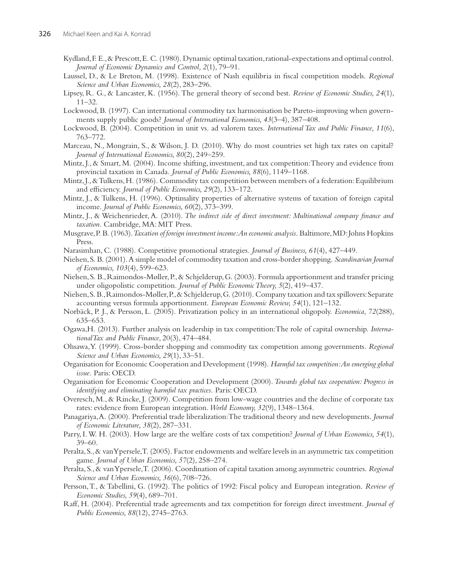- <span id="page-69-1"></span>Kydland,F. E.,& Prescott,E. C. (1980). Dynamic optimal taxation,rational-expectations and optimal control. *Journal of Economic Dynamics and Control, 2*(1), 79–91.
- Laussel, D., & Le Breton, M. (1998). Existence of Nash equilibria in fiscal competition models. *Regional Science and Urban Economics, 28*(2), 283–296.
- <span id="page-69-2"></span>Lipsey, R. G., & Lancaster, K. (1956). The general theory of second best. *Review of Economic Studies, 24*(1), 11–32.
- Lockwood, B. (1997). Can international commodity tax harmonisation be Pareto-improving when governments supply public goods? *Journal of International Economics, 43*(3–4), 387–408.
- Lockwood, B. (2004). Competition in unit vs. ad valorem taxes. *International Tax and Public Finance, 11*(6), 763–772.
- <span id="page-69-3"></span>Marceau, N., Mongrain, S., & Wilson, J. D. (2010). Why do most countries set high tax rates on capital? *Journal of International Economics, 80*(2), 249–259.
- Mintz, J., & Smart,M. (2004). Income shifting, investment, and tax competition:Theory and evidence from provincial taxation in Canada. *Journal of Public Economics, 88*(6), 1149–1168.
- Mintz, J.,&Tulkens,H. (1986). Commodity tax competition between members of a federation: Equilibrium and efficiency. *Journal of Public Economics, 29*(2), 133–172.
- Mintz, J., & Tulkens, H. (1996). Optimality properties of alternative systems of taxation of foreign capital income. *Journal of Public Economics, 60*(2), 373–399.
- Mintz, J., & Weichenrieder, A. (2010). *The indirect side of direct investment: Multinational company finance and taxation*. Cambridge, MA: MIT Press.
- Musgrave,P. B. (1963).*Taxation of foreign investment income:An economic analysis*. Baltimore,MD: Johns Hopkins Press.
- <span id="page-69-6"></span>Narasimhan, C. (1988). Competitive promotional strategies. *Journal of Business, 61*(4), 427–449.
- Nielsen,S. B. (2001).A simple model of commodity taxation and cross-border shopping. *Scandinavian Journal of Economics, 103*(4), 599–623.
- <span id="page-69-8"></span>Nielsen,S. B.,Raimondos-Møller, P.,& Schjelderup,G. (2003). Formula apportionment and transfer pricing under oligopolistic competition. *Journal of Public EconomicTheory, 5*(2), 419–437.
- <span id="page-69-9"></span>Nielsen,S. B.,Raimondos-Møller,P.,& Schjelderup,G. (2010). Company taxation and tax spillovers:Separate accounting versus formula apportionment. *European Economic Review, 54*(1), 121–132.
- Norbäck, P. J., & Persson, L. (2005). Privatization policy in an international oligopoly. *Economica, 72*(288), 635–653.
- Ogawa,H. (2013). Further analysis on leadership in tax competition:The role of capital ownership. *InternationalTax and Public Finance*, 20(3), 474–484.
- Ohsawa,Y. (1999). Cross-border shopping and commodity tax competition among governments. *Regional Science and Urban Economics, 29*(1), 33–51.
- <span id="page-69-4"></span>Organisation for Economic Cooperation and Development (1998). *Harmful tax competition:An emerging global issue*. Paris: OECD.
- <span id="page-69-7"></span>Organisation for Economic Cooperation and Development (2000).*Towards global tax cooperation: Progress in identifying and eliminating harmful tax practices*. Paris: OECD.
- Overesch, M., & Rincke, J. (2009). Competition from low-wage countries and the decline of corporate tax rates: evidence from European integration.*World Economy, 32*(9), 1348–1364.
- Panagariya,A. (2000). Preferential trade liberalization:The traditional theory and new developments. *Journal of Economic Literature, 38*(2), 287–331.
- <span id="page-69-0"></span>Parry, I.W. H. (2003). How large are the welfare costs of tax competition? *Journal of Urban Economics, 54*(1), 39–60.
- Peralta,S.,& vanYpersele,T. (2005). Factor endowments and welfare levels in an asymmetric tax competition game. *Journal of Urban Economics, 57*(2), 258–274.
- Peralta, S., & vanYpersele,T. (2006). Coordination of capital taxation among asymmetric countries. *Regional Science and Urban Economics, 36*(6), 708–726.
- <span id="page-69-10"></span>Persson,T., & Tabellini, G. (1992). The politics of 1992: Fiscal policy and European integration. *Review of Economic Studies, 59*(4), 689–701.
- <span id="page-69-5"></span>Raff, H. (2004). Preferential trade agreements and tax competition for foreign direct investment. *Journal of Public Economics, 88*(12), 2745–2763.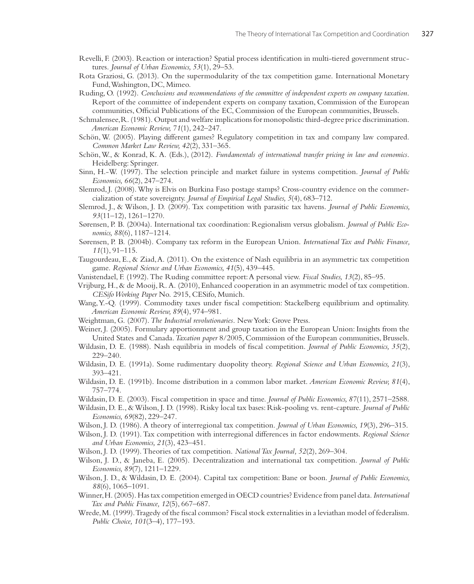- Revelli, F. (2003). Reaction or interaction? Spatial process identification in multi-tiered government structures. *Journal of Urban Economics, 53*(1), 29–53.
- Rota Graziosi, G. (2013). On the supermodularity of the tax competition game. International Monetary Fund,Washington, DC, Mimeo.
- Ruding, O. (1992). *Conclusions and recommendations of the committee of independent experts on company taxation*. Report of the committee of independent experts on company taxation, Commission of the European communities, Official Publications of the EC, Commission of the European communities, Brussels.
- <span id="page-70-3"></span>Schmalensee,R. (1981). Output and welfare implications for monopolistic third-degree price discrimination. *American Economic Review, 71*(1), 242–247.
- <span id="page-70-6"></span>Schön,W. (2005). Playing different games? Regulatory competition in tax and company law compared. *Common Market Law Review, 42*(2), 331–365.
- Schön,W., & Konrad, K. A. (Eds.), (2012). *Fundamentals of international transfer pricing in law and economics*. Heidelberg: Springer.
- <span id="page-70-9"></span>Sinn, H.-W. (1997). The selection principle and market failure in systems competition. *Journal of Public Economics, 66*(2), 247–274.
- <span id="page-70-4"></span>Slemrod, J. (2008).Why is Elvis on Burkina Faso postage stamps? Cross-country evidence on the commercialization of state sovereignty. *Journal of Empirical Legal Studies, 5*(4), 683–712.
- <span id="page-70-5"></span>Slemrod, J., & Wilson, J. D. (2009). Tax competition with parasitic tax havens. *Journal of Public Economics, 93*(11–12), 1261–1270.
- <span id="page-70-0"></span>Sørensen, P. B. (2004a). International tax coordination: Regionalism versus globalism. *Journal of Public Economics, 88*(6), 1187–1214.
- <span id="page-70-7"></span>Sørensen, P. B. (2004b). Company tax reform in the European Union. *International Tax and Public Finance, 11*(1), 91–115.
- Taugourdeau, E., & Ziad,A. (2011). On the existence of Nash equilibria in an asymmetric tax competition game. *Regional Science and Urban Economics, 41*(5), 439–445.
- Vanistendael, F. (1992). The Ruding committee report:A personal view. *Fiscal Studies, 13*(2), 85–95.
- <span id="page-70-1"></span>Vrijburg, H., & de Mooij, R. A. (2010), Enhanced cooperation in an asymmetric model of tax competition. *CESifoWorking Paper* No. 2915, CESifo, Munich.
- Wang,Y.-Q. (1999). Commodity taxes under fiscal competition: Stackelberg equilibrium and optimality. *American Economic Review, 89*(4), 974–981.
- Weightman, G. (2007).*The Industrial revolutionaries*. NewYork: Grove Press.
- <span id="page-70-8"></span>Weiner, J. (2005). Formulary apportionment and group taxation in the European Union: Insights from the United States and Canada.*Taxation paper* 8/2005, Commission of the European communities, Brussels.
- Wildasin, D. E. (1988). Nash equilibria in models of fiscal competition. *Journal of Public Economics, 35*(2), 229–240.
- Wildasin, D. E. (1991a). Some rudimentary duopolity theory. *Regional Science and Urban Economics, 21*(3), 393–421.
- Wildasin, D. E. (1991b). Income distribution in a common labor market. *American Economic Review, 81*(4), 757–774.
- <span id="page-70-2"></span>Wildasin, D. E. (2003). Fiscal competition in space and time. *Journal of Public Economics, 87*(11), 2571–2588.
- Wildasin, D. E., &Wilson, J. D. (1998). Risky local tax bases: Risk-pooling vs. rent-capture. *Journal of Public Economics, 69*(82), 229–247.
- Wilson, J. D. (1986). A theory of interregional tax competition. *Journal of Urban Economics, 19*(3), 296–315.
- Wilson, J. D. (1991). Tax competition with interregional differences in factor endowments. *Regional Science and Urban Economics, 21*(3), 423–451.
- Wilson, J. D. (1999). Theories of tax competition. *NationalTax Journal, 52*(2), 269–304.
- Wilson, J. D., & Janeba, E. (2005). Decentralization and international tax competition. *Journal of Public Economics, 89*(7), 1211–1229.
- Wilson, J. D., & Wildasin, D. E. (2004). Capital tax competition: Bane or boon. *Journal of Public Economics, 88*(6), 1065–1091.
- Winner,H. (2005). Has tax competition emerged in OECD countries? Evidence from panel data. *International Tax and Public Finance, 12*(5), 667–687.
- Wrede,M. (1999).Tragedy of the fiscal common? Fiscal stock externalities in a leviathan model of federalism. *Public Choice, 101*(3–4), 177–193.